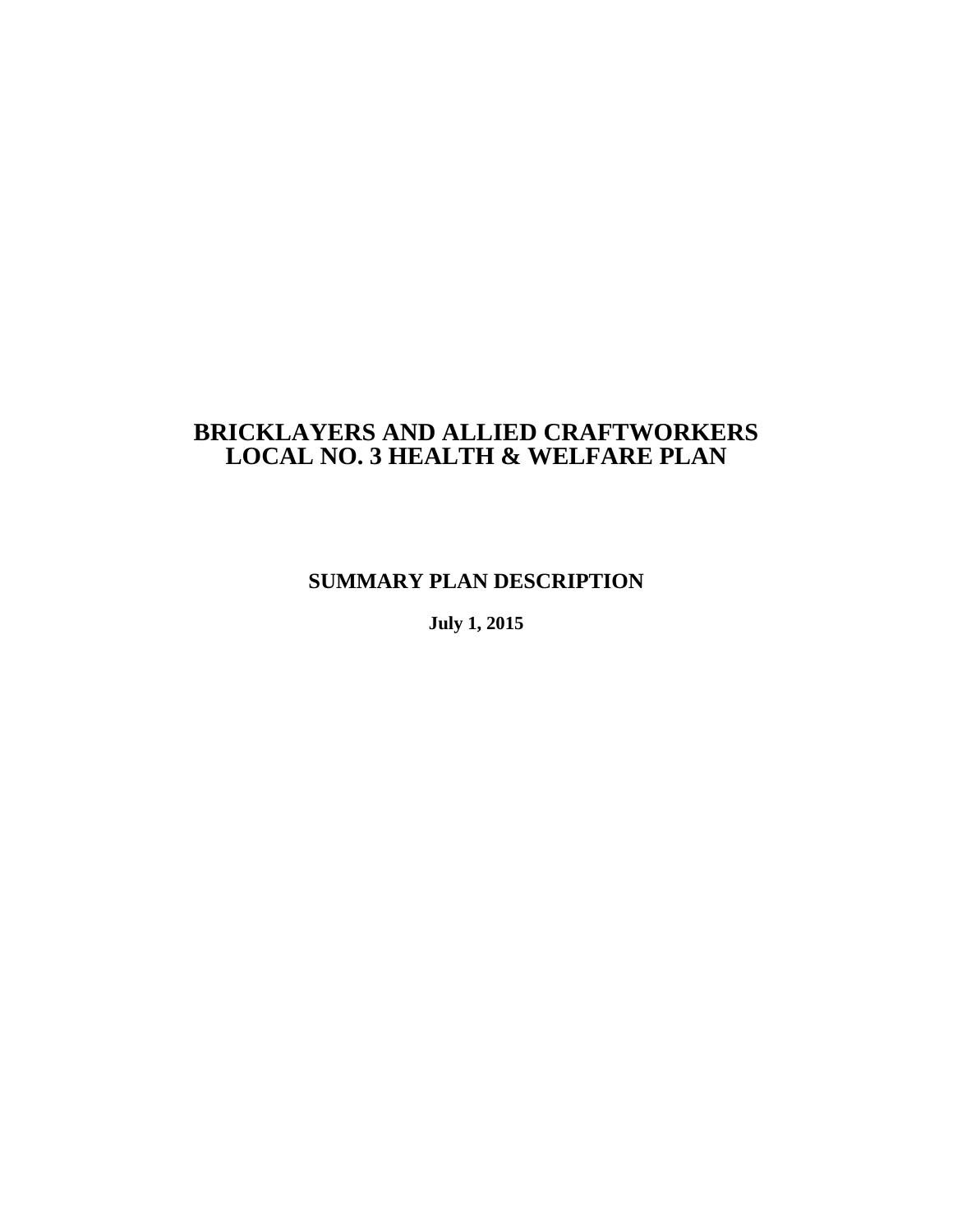# **BRICKLAYERS AND ALLIED CRAFTWORKERS LOCAL NO. 3 HEALTH & WELFARE PLAN**

# **SUMMARY PLAN DESCRIPTION**

**July 1, 2015**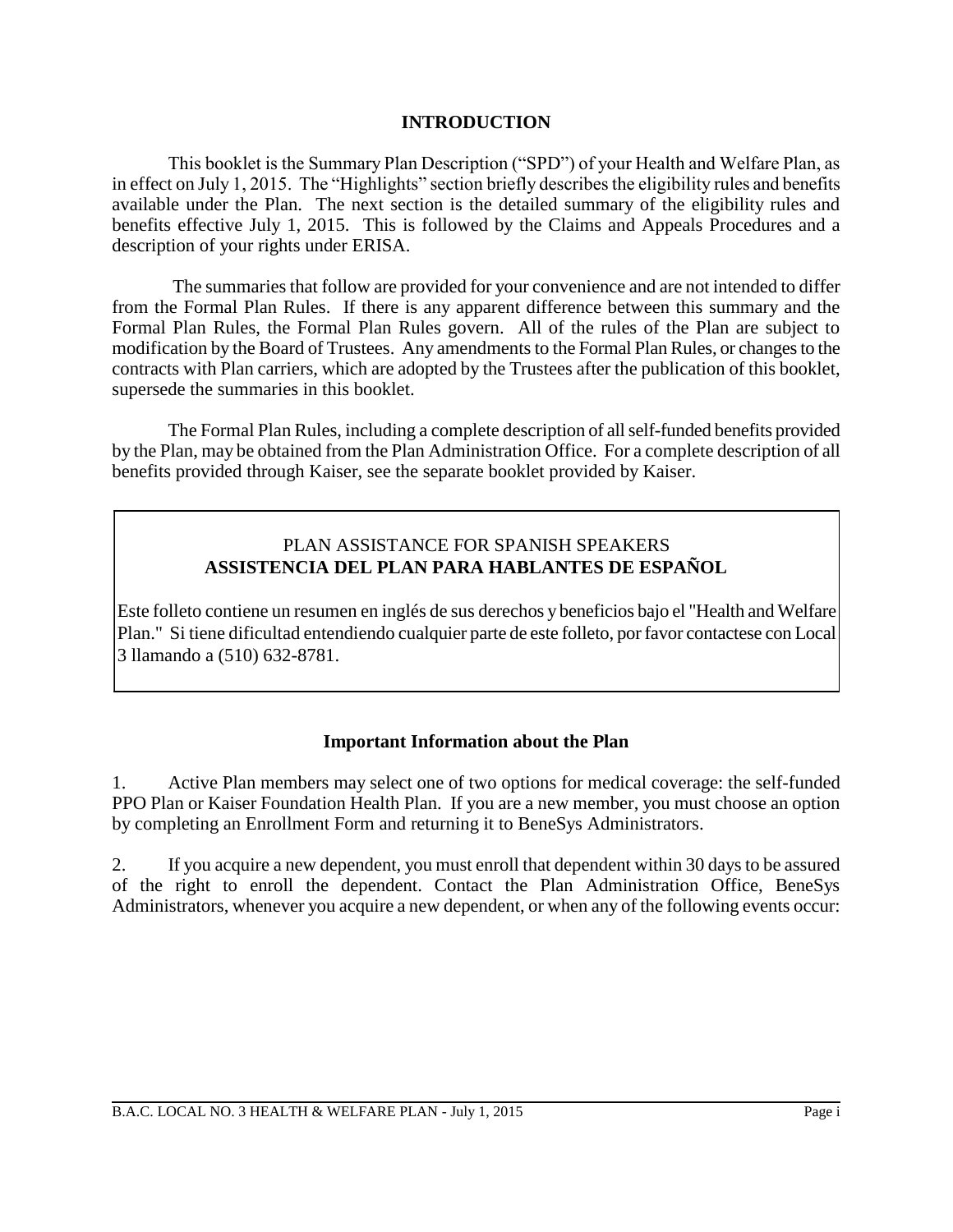#### **INTRODUCTION**

This booklet is the Summary Plan Description ("SPD") of your Health and Welfare Plan, as in effect on July 1, 2015. The "Highlights" section briefly describes the eligibility rules and benefits available under the Plan. The next section is the detailed summary of the eligibility rules and benefits effective July 1, 2015. This is followed by the Claims and Appeals Procedures and a description of your rights under ERISA.

The summaries that follow are provided for your convenience and are not intended to differ from the Formal Plan Rules. If there is any apparent difference between this summary and the Formal Plan Rules, the Formal Plan Rules govern. All of the rules of the Plan are subject to modification by the Board of Trustees. Any amendments to the Formal Plan Rules, or changes to the contracts with Plan carriers, which are adopted by the Trustees after the publication of this booklet, supersede the summaries in this booklet.

The Formal Plan Rules, including a complete description of all self-funded benefits provided by the Plan, may be obtained from the Plan Administration Office. For a complete description of all benefits provided through Kaiser, see the separate booklet provided by Kaiser.

## PLAN ASSISTANCE FOR SPANISH SPEAKERS **ASSISTENCIA DEL PLAN PARA HABLANTES DE ESPAÑOL**

Este folleto contiene un resumen en inglés de sus derechos y beneficios bajo el "Health and Welfare Plan." Si tiene dificultad entendiendo cualquier parte de este folleto, por favor contactese con Local 3 llamando a (510) 632-8781.

#### **Important Information about the Plan**

1. Active Plan members may select one of two options for medical coverage: the self-funded PPO Plan or Kaiser Foundation Health Plan. If you are a new member, you must choose an option by completing an Enrollment Form and returning it to BeneSys Administrators.

2. If you acquire a new dependent, you must enroll that dependent within 30 days to be assured of the right to enroll the dependent. Contact the Plan Administration Office, BeneSys Administrators, whenever you acquire a new dependent, or when any of the following events occur: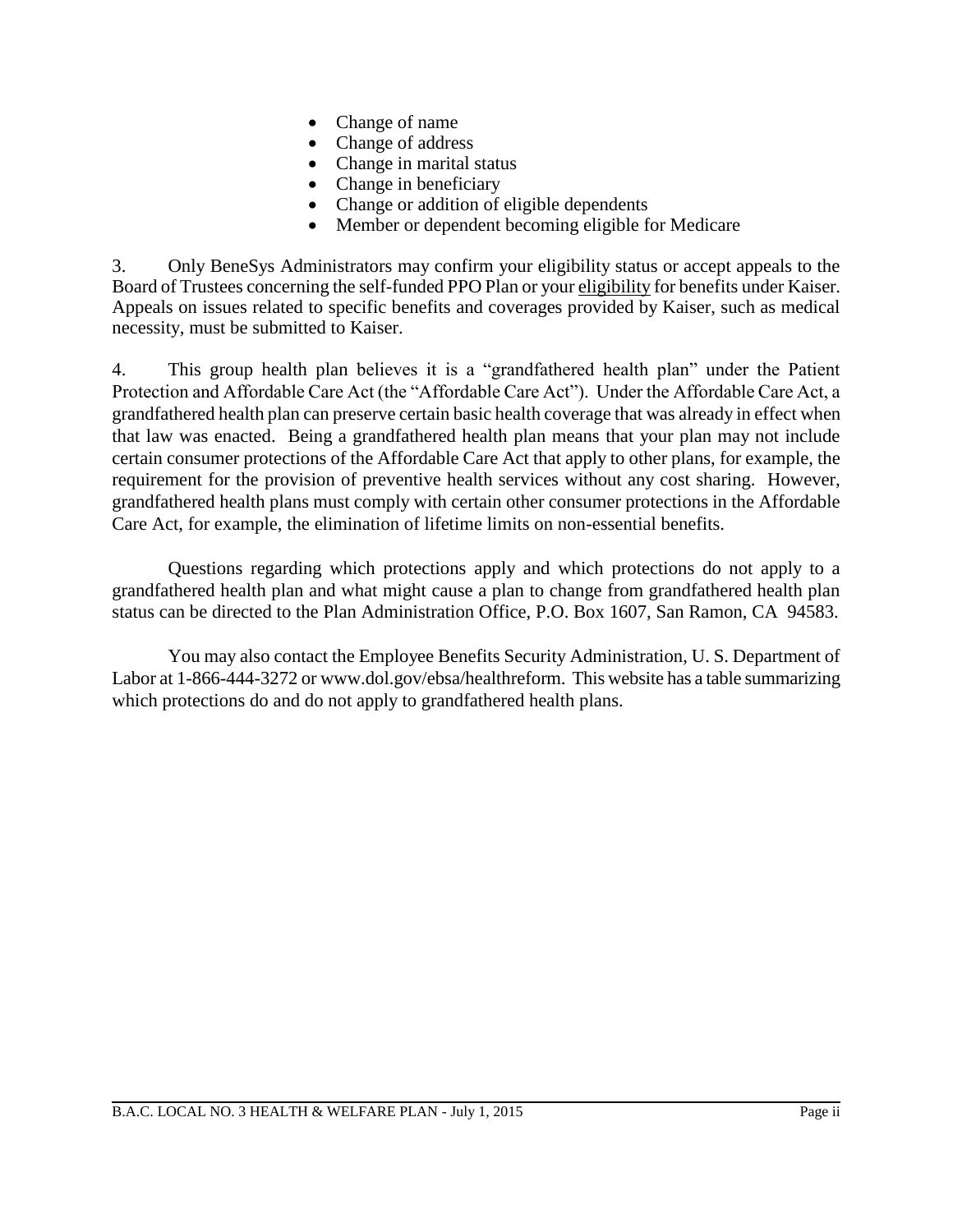- Change of name
- Change of address
- Change in marital status
- Change in beneficiary
- Change or addition of eligible dependents
- Member or dependent becoming eligible for Medicare

3. Only BeneSys Administrators may confirm your eligibility status or accept appeals to the Board of Trustees concerning the self-funded PPO Plan or your eligibility for benefits under Kaiser. Appeals on issues related to specific benefits and coverages provided by Kaiser, such as medical necessity, must be submitted to Kaiser.

4. This group health plan believes it is a "grandfathered health plan" under the Patient Protection and Affordable Care Act (the "Affordable Care Act"). Under the Affordable Care Act, a grandfathered health plan can preserve certain basic health coverage that was already in effect when that law was enacted. Being a grandfathered health plan means that your plan may not include certain consumer protections of the Affordable Care Act that apply to other plans, for example, the requirement for the provision of preventive health services without any cost sharing. However, grandfathered health plans must comply with certain other consumer protections in the Affordable Care Act, for example, the elimination of lifetime limits on non-essential benefits.

Questions regarding which protections apply and which protections do not apply to a grandfathered health plan and what might cause a plan to change from grandfathered health plan status can be directed to the Plan Administration Office, P.O. Box 1607, San Ramon, CA 94583.

You may also contact the Employee Benefits Security Administration, U. S. Department of Labor at 1-866-444-3272 or www.dol.gov/ebsa/healthreform. This website has a table summarizing which protections do and do not apply to grandfathered health plans.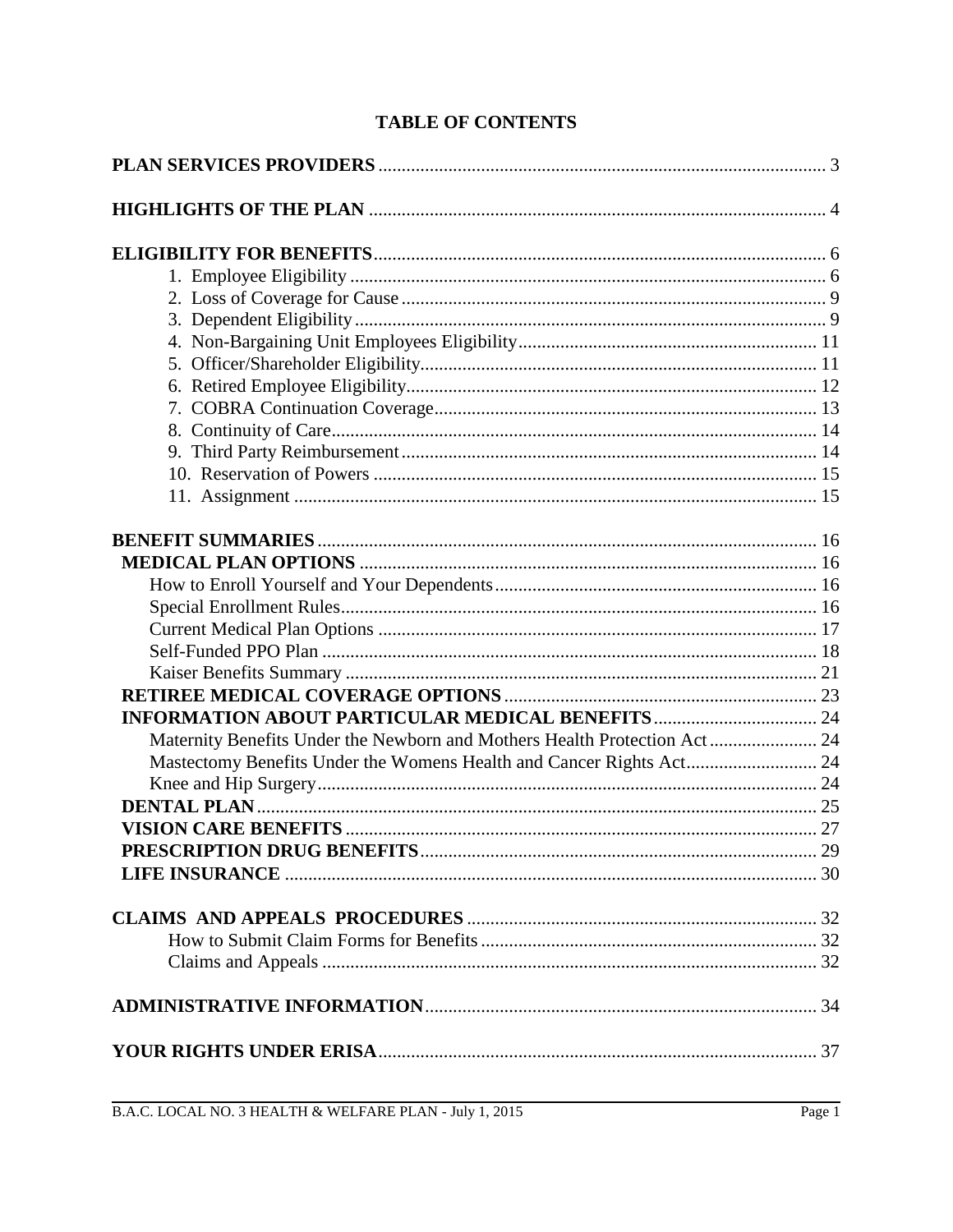## **TABLE OF CONTENTS**

| Maternity Benefits Under the Newborn and Mothers Health Protection Act 24 |  |
|---------------------------------------------------------------------------|--|
| Mastectomy Benefits Under the Womens Health and Cancer Rights Act 24      |  |
|                                                                           |  |
|                                                                           |  |
|                                                                           |  |
|                                                                           |  |
|                                                                           |  |
|                                                                           |  |
|                                                                           |  |
|                                                                           |  |
|                                                                           |  |
|                                                                           |  |
|                                                                           |  |
|                                                                           |  |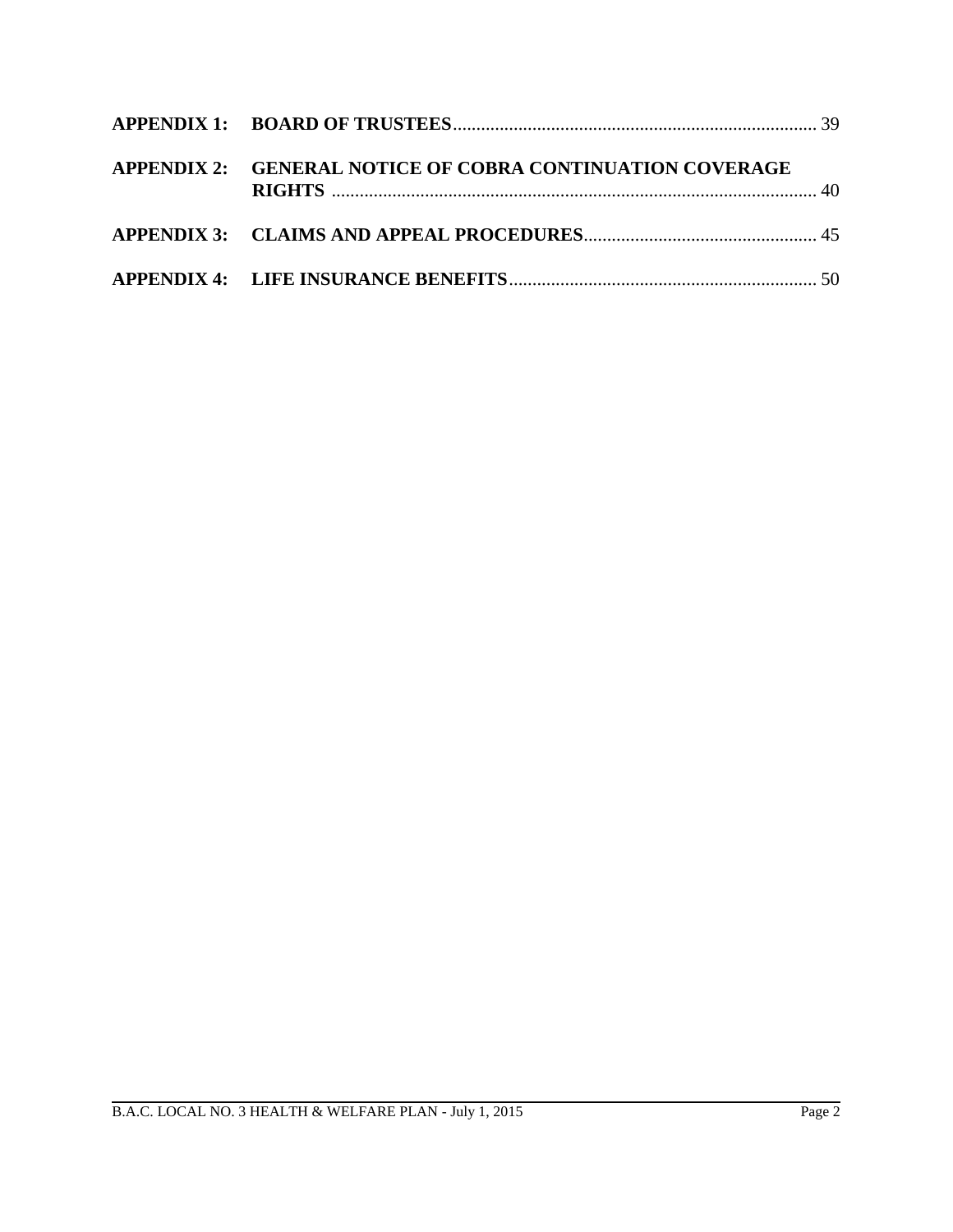| APPENDIX 2: GENERAL NOTICE OF COBRA CONTINUATION COVERAGE |  |
|-----------------------------------------------------------|--|
|                                                           |  |
|                                                           |  |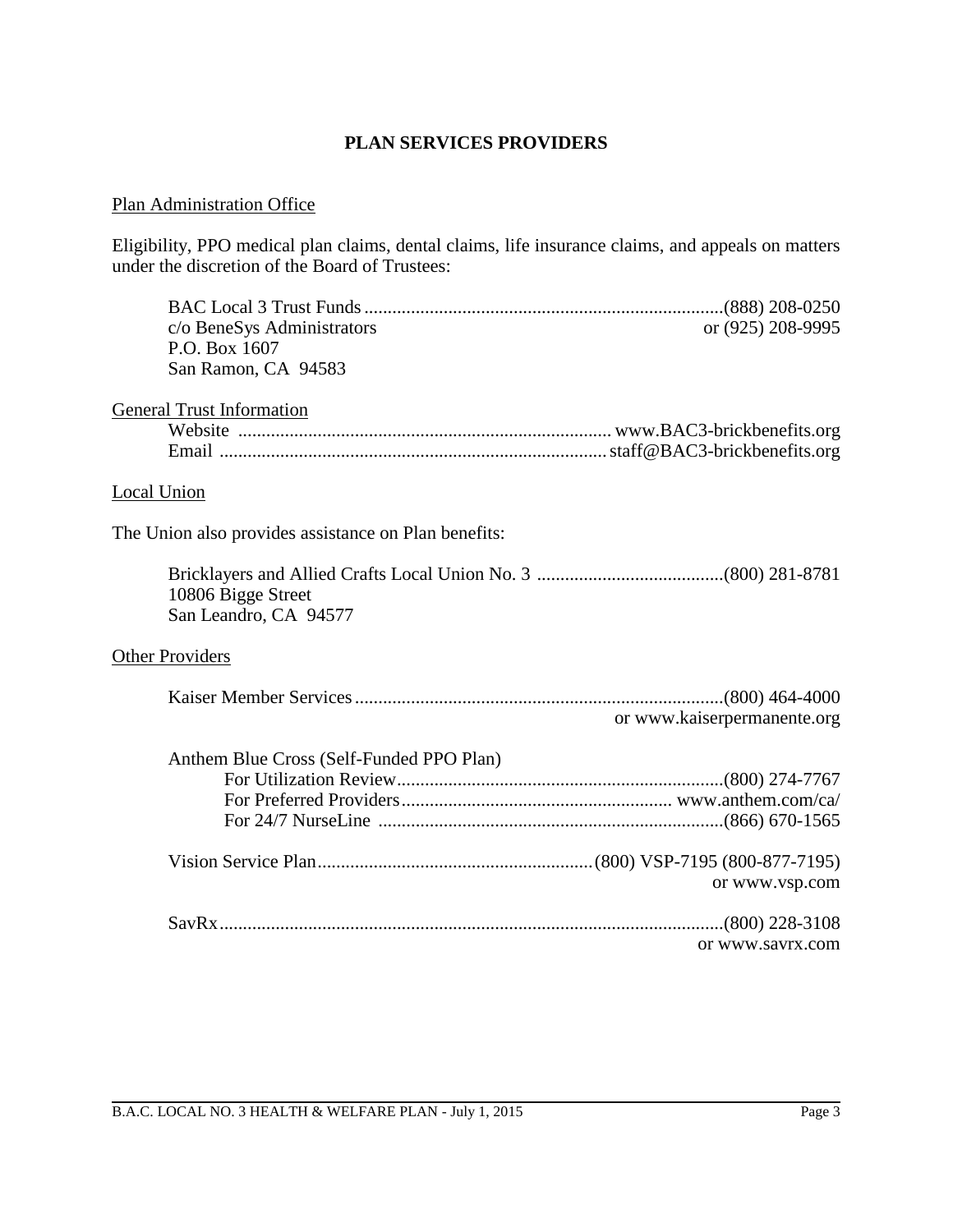## **PLAN SERVICES PROVIDERS**

## Plan Administration Office

Eligibility, PPO medical plan claims, dental claims, life insurance claims, and appeals on matters under the discretion of the Board of Trustees:

| c/o BeneSys Administrators                           | or (925) 208-9995           |
|------------------------------------------------------|-----------------------------|
| P.O. Box 1607                                        |                             |
| San Ramon, CA 94583                                  |                             |
| <b>General Trust Information</b>                     |                             |
|                                                      |                             |
|                                                      |                             |
| Local Union                                          |                             |
| The Union also provides assistance on Plan benefits: |                             |
| 10806 Bigge Street<br>San Leandro, CA 94577          |                             |
| <b>Other Providers</b>                               |                             |
|                                                      |                             |
|                                                      | or www.kaiserpermanente.org |
| Anthem Blue Cross (Self-Funded PPO Plan)             |                             |
|                                                      |                             |
|                                                      |                             |
|                                                      |                             |
|                                                      |                             |
|                                                      | or www.vsp.com              |
|                                                      |                             |
|                                                      | or www.savrx.com            |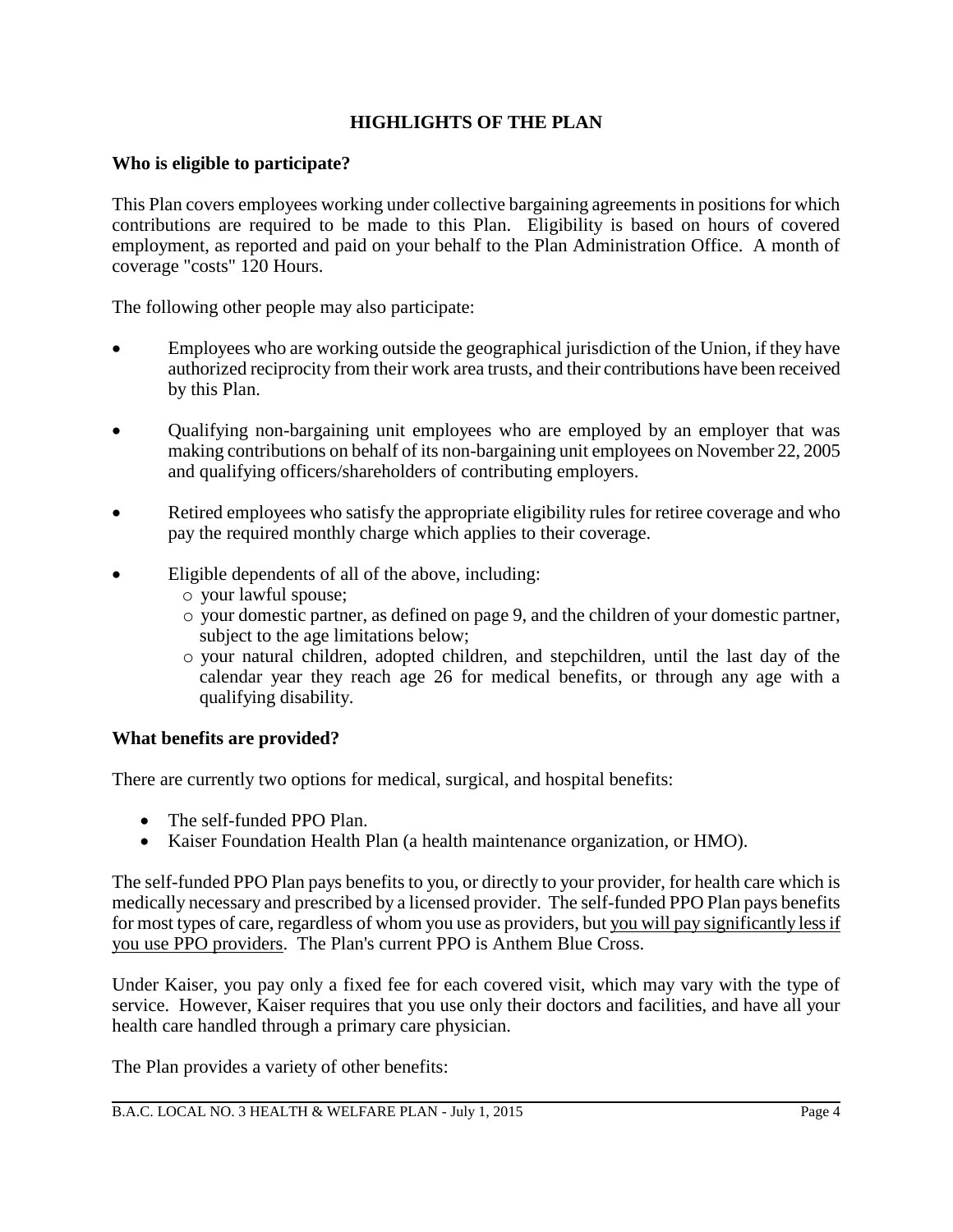## **HIGHLIGHTS OF THE PLAN**

## **Who is eligible to participate?**

This Plan covers employees working under collective bargaining agreements in positions for which contributions are required to be made to this Plan. Eligibility is based on hours of covered employment, as reported and paid on your behalf to the Plan Administration Office. A month of coverage "costs" 120 Hours.

The following other people may also participate:

- Employees who are working outside the geographical jurisdiction of the Union, if they have authorized reciprocity from their work area trusts, and their contributions have been received by this Plan.
- Qualifying non-bargaining unit employees who are employed by an employer that was making contributions on behalf of its non-bargaining unit employees on November 22, 2005 and qualifying officers/shareholders of contributing employers.
- Retired employees who satisfy the appropriate eligibility rules for retiree coverage and who pay the required monthly charge which applies to their coverage.
- Eligible dependents of all of the above, including:
	- o your lawful spouse;
	- o your domestic partner, as defined on page 9, and the children of your domestic partner, subject to the age limitations below;
	- o your natural children, adopted children, and stepchildren, until the last day of the calendar year they reach age 26 for medical benefits, or through any age with a qualifying disability.

#### **What benefits are provided?**

There are currently two options for medical, surgical, and hospital benefits:

- The self-funded PPO Plan.
- Kaiser Foundation Health Plan (a health maintenance organization, or HMO).

The self-funded PPO Plan pays benefits to you, or directly to your provider, for health care which is medically necessary and prescribed by a licensed provider. The self-funded PPO Plan pays benefits for most types of care, regardless of whom you use as providers, but you will pay significantly less if you use PPO providers. The Plan's current PPO is Anthem Blue Cross.

Under Kaiser, you pay only a fixed fee for each covered visit, which may vary with the type of service. However, Kaiser requires that you use only their doctors and facilities, and have all your health care handled through a primary care physician.

The Plan provides a variety of other benefits: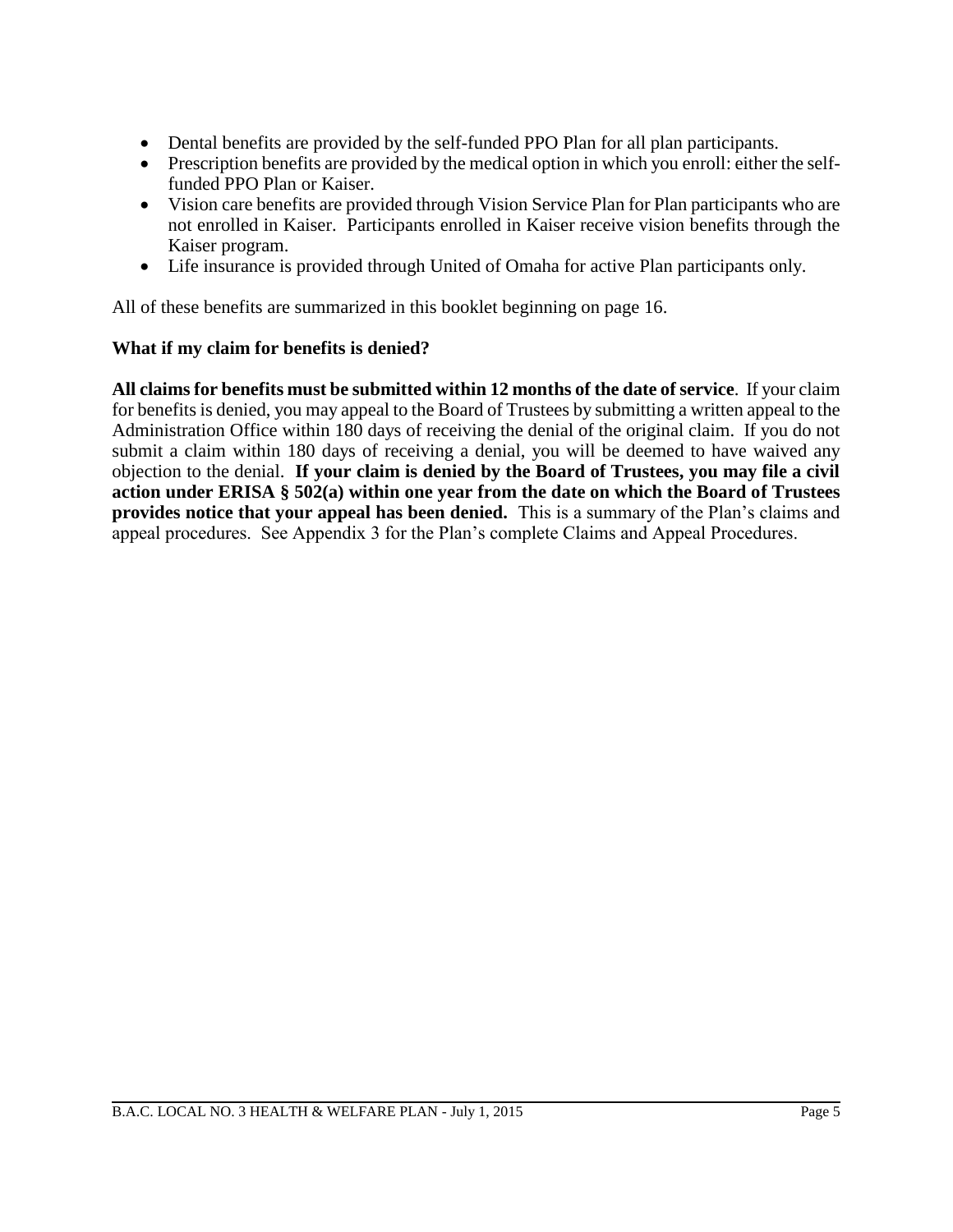- Dental benefits are provided by the self-funded PPO Plan for all plan participants.
- Prescription benefits are provided by the medical option in which you enroll: either the selffunded PPO Plan or Kaiser.
- Vision care benefits are provided through Vision Service Plan for Plan participants who are not enrolled in Kaiser. Participants enrolled in Kaiser receive vision benefits through the Kaiser program.
- Life insurance is provided through United of Omaha for active Plan participants only.

All of these benefits are summarized in this booklet beginning on page 16.

### **What if my claim for benefits is denied?**

**All claims for benefits must be submitted within 12 months of the date of service**. If your claim for benefits is denied, you may appeal to the Board of Trustees by submitting a written appeal to the Administration Office within 180 days of receiving the denial of the original claim. If you do not submit a claim within 180 days of receiving a denial, you will be deemed to have waived any objection to the denial. **If your claim is denied by the Board of Trustees, you may file a civil action under ERISA § 502(a) within one year from the date on which the Board of Trustees provides notice that your appeal has been denied.** This is a summary of the Plan's claims and appeal procedures. See Appendix 3 for the Plan's complete Claims and Appeal Procedures.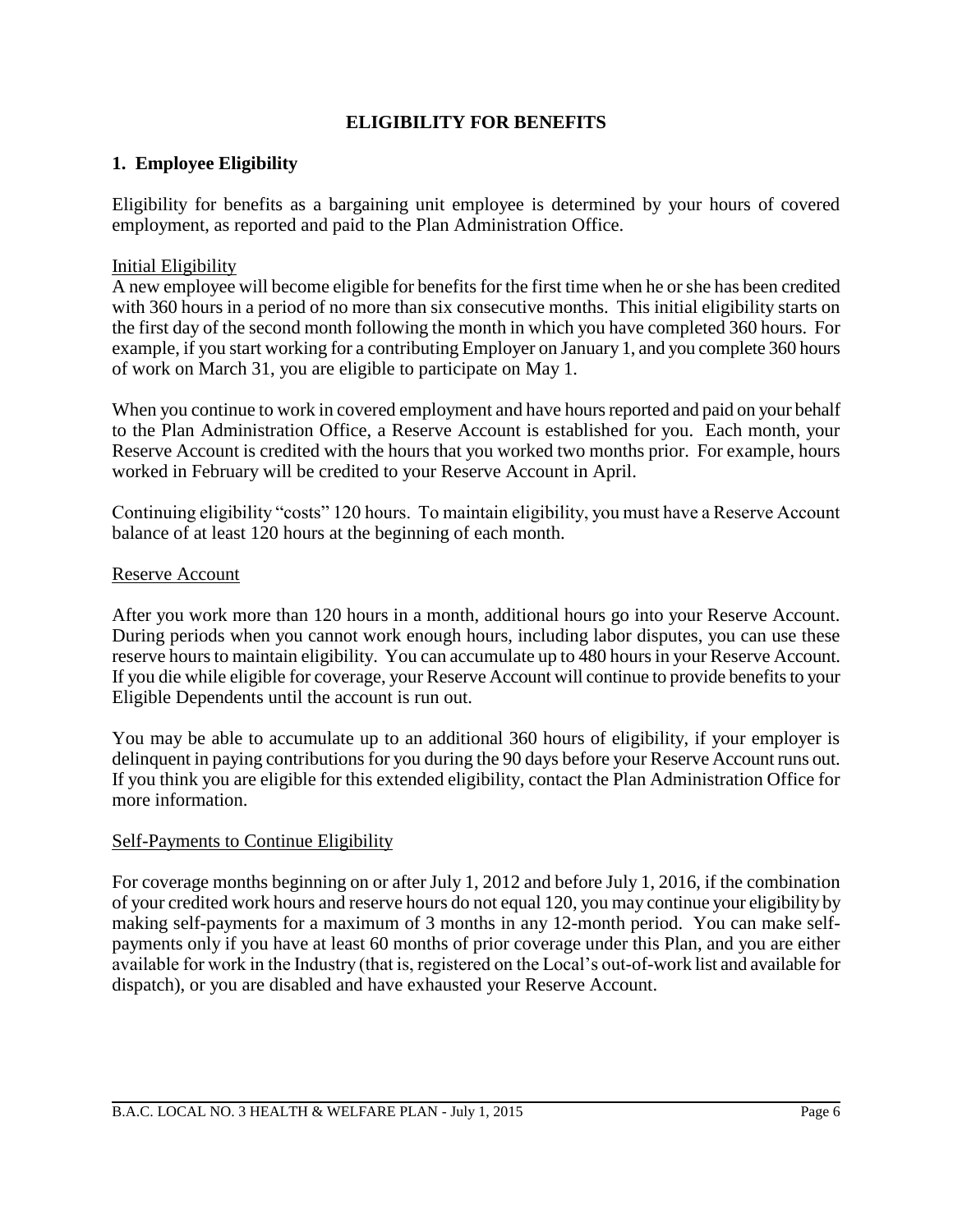#### **ELIGIBILITY FOR BENEFITS**

## **1. Employee Eligibility**

Eligibility for benefits as a bargaining unit employee is determined by your hours of covered employment, as reported and paid to the Plan Administration Office.

#### Initial Eligibility

A new employee will become eligible for benefits for the first time when he or she has been credited with 360 hours in a period of no more than six consecutive months. This initial eligibility starts on the first day of the second month following the month in which you have completed 360 hours. For example, if you start working for a contributing Employer on January 1, and you complete 360 hours of work on March 31, you are eligible to participate on May 1.

When you continue to work in covered employment and have hours reported and paid on your behalf to the Plan Administration Office, a Reserve Account is established for you. Each month, your Reserve Account is credited with the hours that you worked two months prior. For example, hours worked in February will be credited to your Reserve Account in April.

Continuing eligibility "costs" 120 hours. To maintain eligibility, you must have a Reserve Account balance of at least 120 hours at the beginning of each month.

#### Reserve Account

After you work more than 120 hours in a month, additional hours go into your Reserve Account. During periods when you cannot work enough hours, including labor disputes, you can use these reserve hours to maintain eligibility. You can accumulate up to 480 hours in your Reserve Account. If you die while eligible for coverage, your Reserve Account will continue to provide benefits to your Eligible Dependents until the account is run out.

You may be able to accumulate up to an additional 360 hours of eligibility, if your employer is delinquent in paying contributions for you during the 90 days before your Reserve Account runs out. If you think you are eligible for this extended eligibility, contact the Plan Administration Office for more information.

#### Self-Payments to Continue Eligibility

For coverage months beginning on or after July 1, 2012 and before July 1, 2016, if the combination of your credited work hours and reserve hours do not equal 120, you may continue your eligibility by making self-payments for a maximum of 3 months in any 12-month period. You can make selfpayments only if you have at least 60 months of prior coverage under this Plan, and you are either available for work in the Industry (that is, registered on the Local's out-of-work list and available for dispatch), or you are disabled and have exhausted your Reserve Account.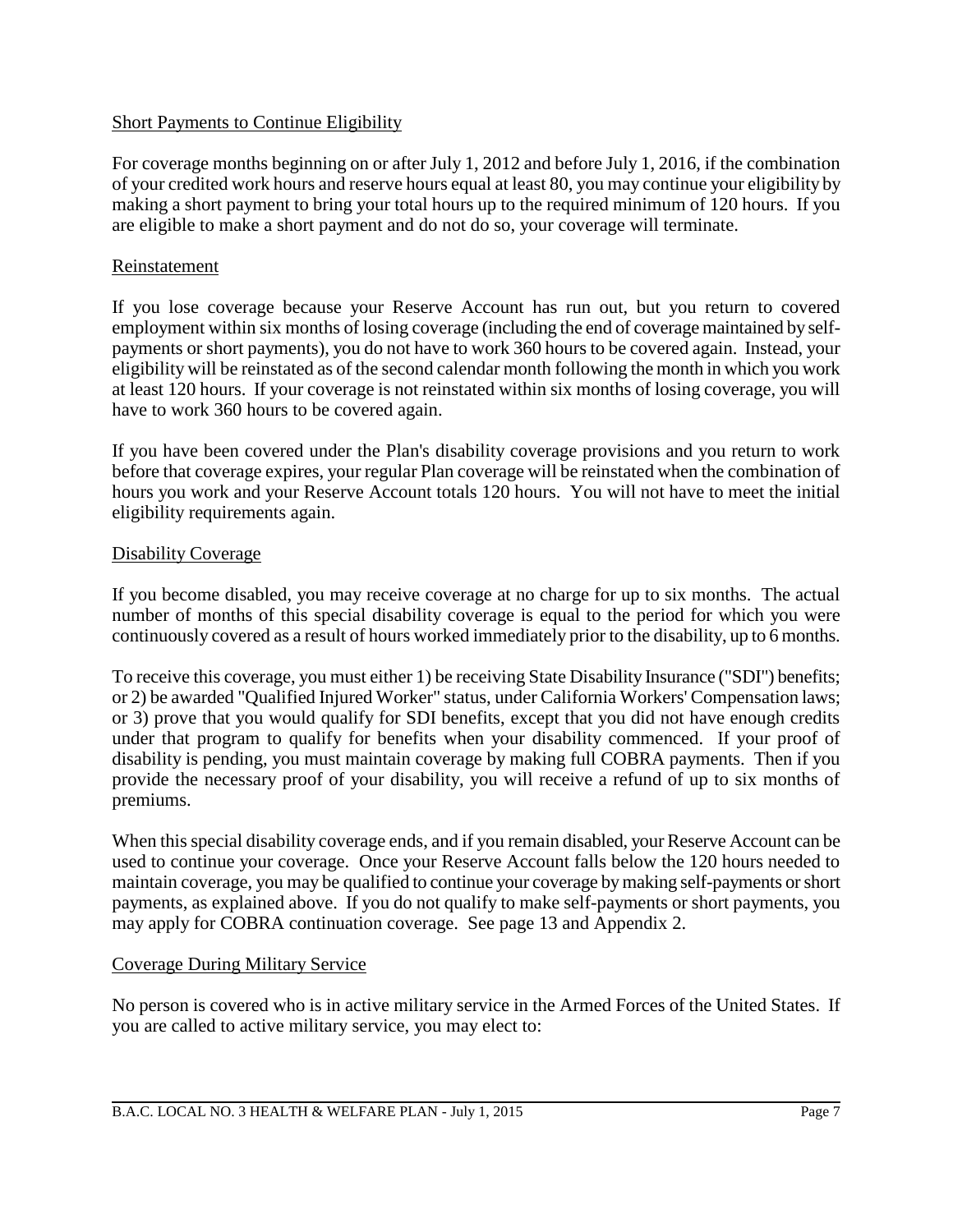#### Short Payments to Continue Eligibility

For coverage months beginning on or after July 1, 2012 and before July 1, 2016, if the combination of your credited work hours and reserve hours equal at least 80, you may continue your eligibility by making a short payment to bring your total hours up to the required minimum of 120 hours. If you are eligible to make a short payment and do not do so, your coverage will terminate.

### Reinstatement

If you lose coverage because your Reserve Account has run out, but you return to covered employment within six months of losing coverage (including the end of coverage maintained by selfpayments or short payments), you do not have to work 360 hours to be covered again. Instead, your eligibility will be reinstated as of the second calendar month following the month in which you work at least 120 hours. If your coverage is not reinstated within six months of losing coverage, you will have to work 360 hours to be covered again.

If you have been covered under the Plan's disability coverage provisions and you return to work before that coverage expires, your regular Plan coverage will be reinstated when the combination of hours you work and your Reserve Account totals 120 hours. You will not have to meet the initial eligibility requirements again.

### Disability Coverage

If you become disabled, you may receive coverage at no charge for up to six months. The actual number of months of this special disability coverage is equal to the period for which you were continuously covered as a result of hours worked immediately prior to the disability, up to 6 months.

To receive this coverage, you must either 1) be receiving State Disability Insurance ("SDI") benefits; or 2) be awarded "Qualified Injured Worker" status, under California Workers' Compensation laws; or 3) prove that you would qualify for SDI benefits, except that you did not have enough credits under that program to qualify for benefits when your disability commenced. If your proof of disability is pending, you must maintain coverage by making full COBRA payments. Then if you provide the necessary proof of your disability, you will receive a refund of up to six months of premiums.

When this special disability coverage ends, and if you remain disabled, your Reserve Account can be used to continue your coverage. Once your Reserve Account falls below the 120 hours needed to maintain coverage, you may be qualified to continue your coverage by making self-payments or short payments, as explained above. If you do not qualify to make self-payments or short payments, you may apply for COBRA continuation coverage. See page 13 and Appendix 2.

## Coverage During Military Service

No person is covered who is in active military service in the Armed Forces of the United States. If you are called to active military service, you may elect to: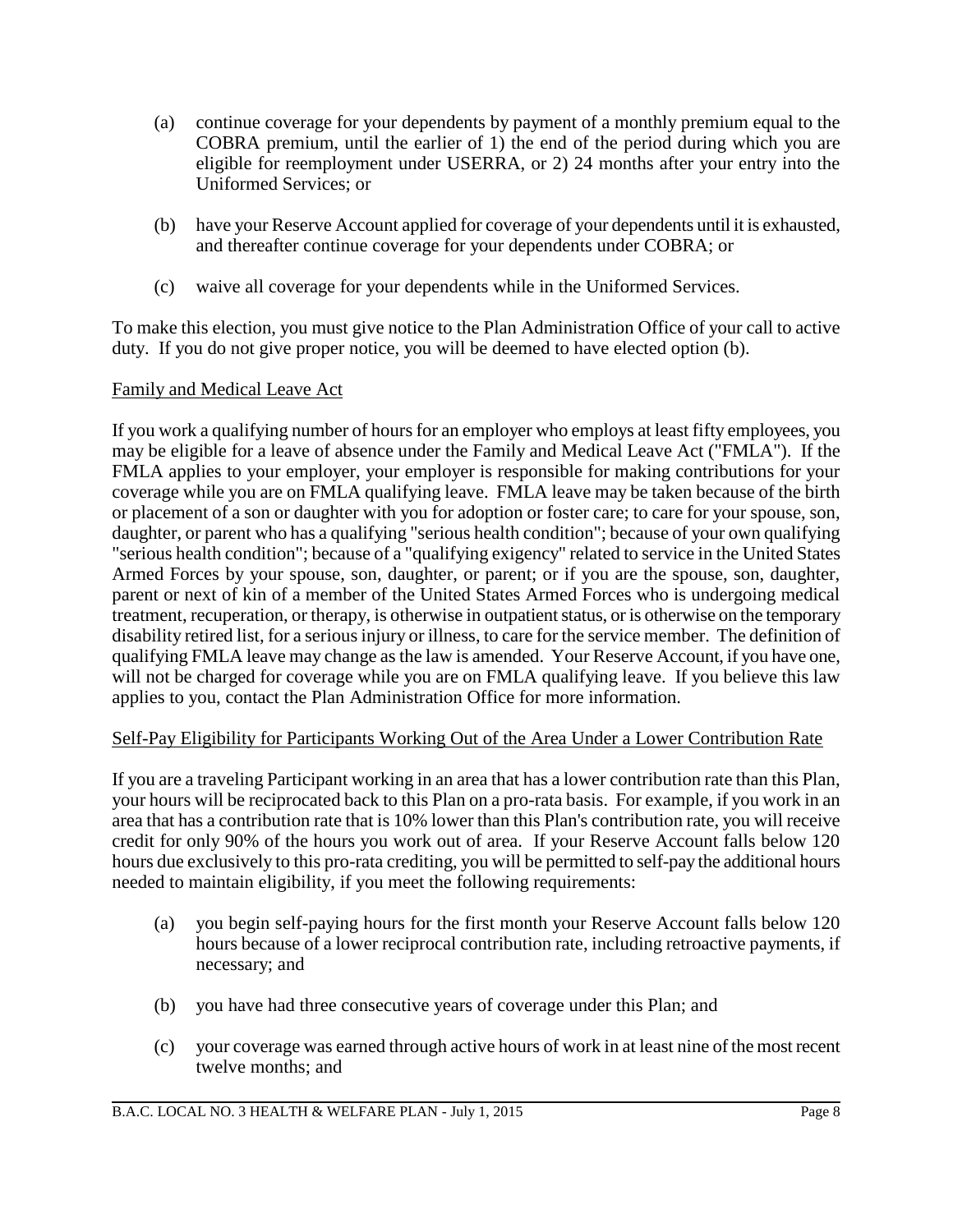- (a) continue coverage for your dependents by payment of a monthly premium equal to the COBRA premium, until the earlier of 1) the end of the period during which you are eligible for reemployment under USERRA, or 2) 24 months after your entry into the Uniformed Services; or
- (b) have your Reserve Account applied for coverage of your dependents until it is exhausted, and thereafter continue coverage for your dependents under COBRA; or
- (c) waive all coverage for your dependents while in the Uniformed Services.

To make this election, you must give notice to the Plan Administration Office of your call to active duty. If you do not give proper notice, you will be deemed to have elected option (b).

## Family and Medical Leave Act

If you work a qualifying number of hours for an employer who employs at least fifty employees, you may be eligible for a leave of absence under the Family and Medical Leave Act ("FMLA"). If the FMLA applies to your employer, your employer is responsible for making contributions for your coverage while you are on FMLA qualifying leave. FMLA leave may be taken because of the birth or placement of a son or daughter with you for adoption or foster care; to care for your spouse, son, daughter, or parent who has a qualifying "serious health condition"; because of your own qualifying "serious health condition"; because of a "qualifying exigency" related to service in the United States Armed Forces by your spouse, son, daughter, or parent; or if you are the spouse, son, daughter, parent or next of kin of a member of the United States Armed Forces who is undergoing medical treatment, recuperation, or therapy, is otherwise in outpatient status, or is otherwise on the temporary disability retired list, for a serious injury or illness, to care for the service member. The definition of qualifying FMLA leave may change as the law is amended. Your Reserve Account, if you have one, will not be charged for coverage while you are on FMLA qualifying leave. If you believe this law applies to you, contact the Plan Administration Office for more information.

#### Self-Pay Eligibility for Participants Working Out of the Area Under a Lower Contribution Rate

If you are a traveling Participant working in an area that has a lower contribution rate than this Plan, your hours will be reciprocated back to this Plan on a pro-rata basis. For example, if you work in an area that has a contribution rate that is 10% lower than this Plan's contribution rate, you will receive credit for only 90% of the hours you work out of area. If your Reserve Account falls below 120 hours due exclusively to this pro-rata crediting, you will be permitted to self-pay the additional hours needed to maintain eligibility, if you meet the following requirements:

- (a) you begin self-paying hours for the first month your Reserve Account falls below 120 hours because of a lower reciprocal contribution rate, including retroactive payments, if necessary; and
- (b) you have had three consecutive years of coverage under this Plan; and
- (c) your coverage was earned through active hours of work in at least nine of the most recent twelve months; and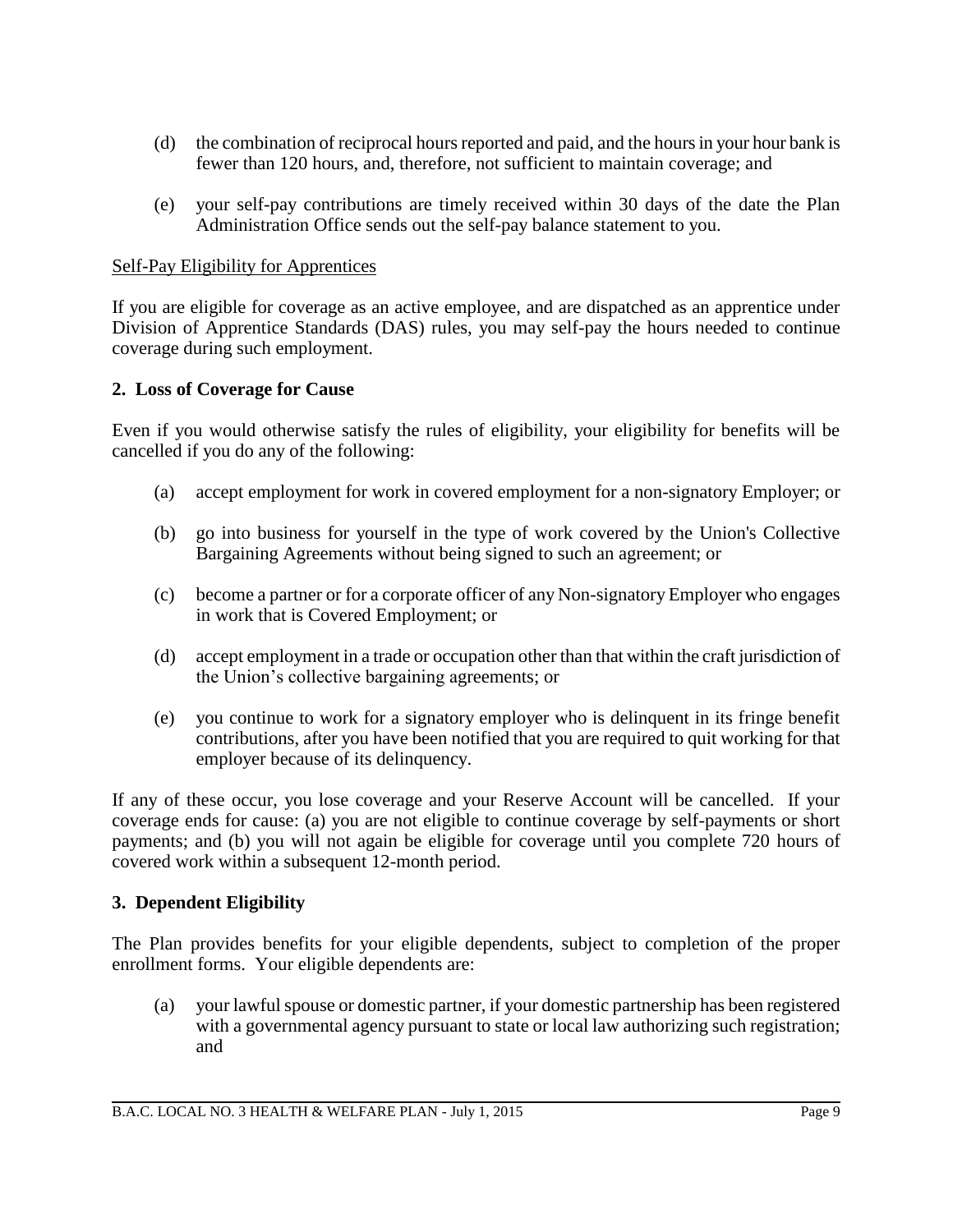- (d) the combination of reciprocal hours reported and paid, and the hours in your hour bank is fewer than 120 hours, and, therefore, not sufficient to maintain coverage; and
- (e) your self-pay contributions are timely received within 30 days of the date the Plan Administration Office sends out the self-pay balance statement to you.

## Self-Pay Eligibility for Apprentices

If you are eligible for coverage as an active employee, and are dispatched as an apprentice under Division of Apprentice Standards (DAS) rules, you may self-pay the hours needed to continue coverage during such employment.

### **2. Loss of Coverage for Cause**

Even if you would otherwise satisfy the rules of eligibility, your eligibility for benefits will be cancelled if you do any of the following:

- (a) accept employment for work in covered employment for a non-signatory Employer; or
- (b) go into business for yourself in the type of work covered by the Union's Collective Bargaining Agreements without being signed to such an agreement; or
- (c) become a partner or for a corporate officer of any Non-signatory Employer who engages in work that is Covered Employment; or
- (d) accept employment in a trade or occupation other than that within the craft jurisdiction of the Union's collective bargaining agreements; or
- (e) you continue to work for a signatory employer who is delinquent in its fringe benefit contributions, after you have been notified that you are required to quit working for that employer because of its delinquency.

If any of these occur, you lose coverage and your Reserve Account will be cancelled. If your coverage ends for cause: (a) you are not eligible to continue coverage by self-payments or short payments; and (b) you will not again be eligible for coverage until you complete 720 hours of covered work within a subsequent 12-month period.

## **3. Dependent Eligibility**

The Plan provides benefits for your eligible dependents, subject to completion of the proper enrollment forms. Your eligible dependents are:

(a) your lawful spouse or domestic partner, if your domestic partnership has been registered with a governmental agency pursuant to state or local law authorizing such registration; and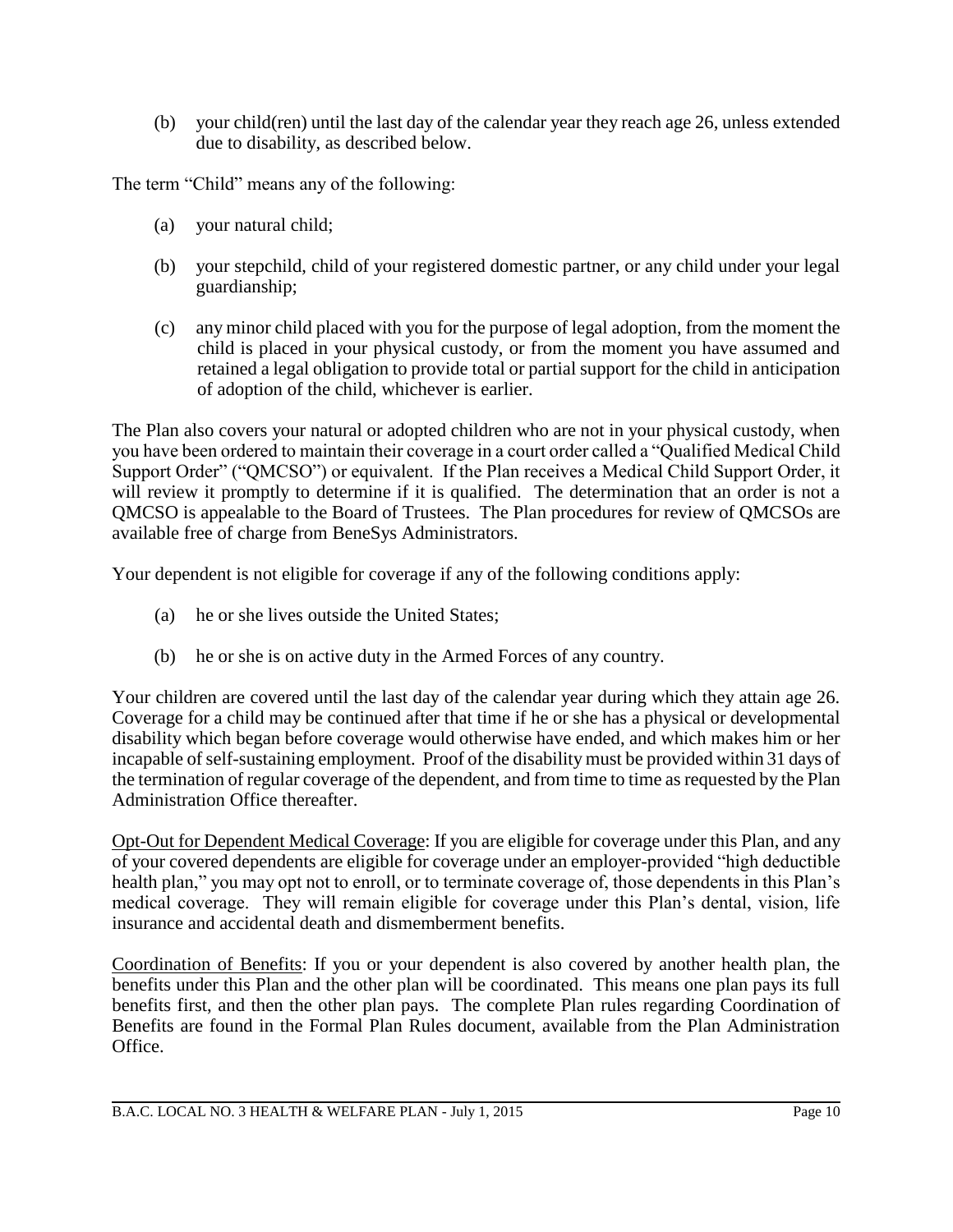(b) your child(ren) until the last day of the calendar year they reach age 26, unless extended due to disability, as described below.

The term "Child" means any of the following:

- (a) your natural child;
- (b) your stepchild, child of your registered domestic partner, or any child under your legal guardianship;
- (c) any minor child placed with you for the purpose of legal adoption, from the moment the child is placed in your physical custody, or from the moment you have assumed and retained a legal obligation to provide total or partial support for the child in anticipation of adoption of the child, whichever is earlier.

The Plan also covers your natural or adopted children who are not in your physical custody, when you have been ordered to maintain their coverage in a court order called a "Qualified Medical Child Support Order" ("QMCSO") or equivalent. If the Plan receives a Medical Child Support Order, it will review it promptly to determine if it is qualified. The determination that an order is not a QMCSO is appealable to the Board of Trustees. The Plan procedures for review of QMCSOs are available free of charge from BeneSys Administrators.

Your dependent is not eligible for coverage if any of the following conditions apply:

- (a) he or she lives outside the United States;
- (b) he or she is on active duty in the Armed Forces of any country.

Your children are covered until the last day of the calendar year during which they attain age 26. Coverage for a child may be continued after that time if he or she has a physical or developmental disability which began before coverage would otherwise have ended, and which makes him or her incapable of self-sustaining employment. Proof of the disability must be provided within 31 days of the termination of regular coverage of the dependent, and from time to time as requested by the Plan Administration Office thereafter.

Opt-Out for Dependent Medical Coverage: If you are eligible for coverage under this Plan, and any of your covered dependents are eligible for coverage under an employer-provided "high deductible health plan," you may opt not to enroll, or to terminate coverage of, those dependents in this Plan's medical coverage. They will remain eligible for coverage under this Plan's dental, vision, life insurance and accidental death and dismemberment benefits.

Coordination of Benefits: If you or your dependent is also covered by another health plan, the benefits under this Plan and the other plan will be coordinated. This means one plan pays its full benefits first, and then the other plan pays. The complete Plan rules regarding Coordination of Benefits are found in the Formal Plan Rules document, available from the Plan Administration Office.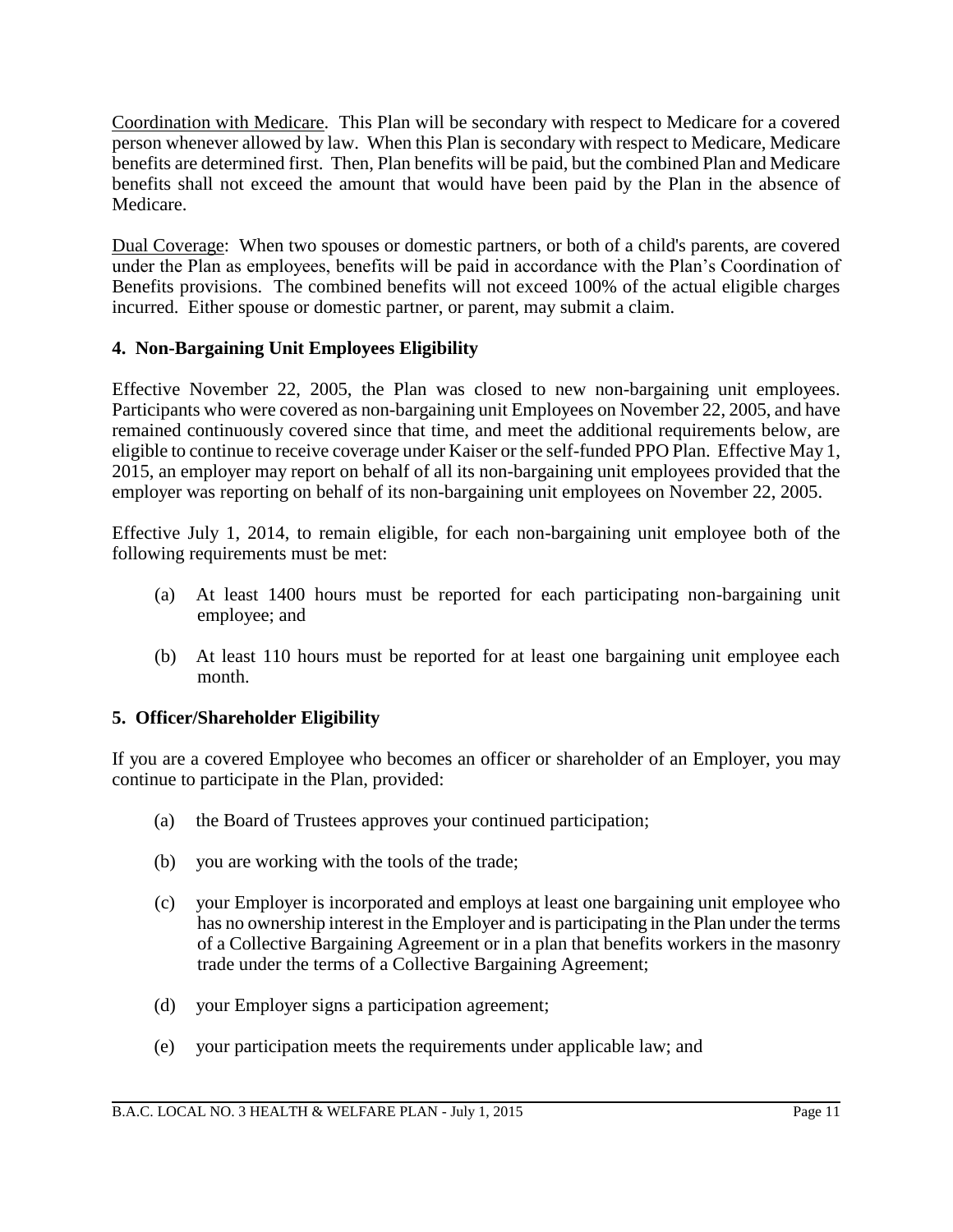Coordination with Medicare. This Plan will be secondary with respect to Medicare for a covered person whenever allowed by law. When this Plan is secondary with respect to Medicare, Medicare benefits are determined first. Then, Plan benefits will be paid, but the combined Plan and Medicare benefits shall not exceed the amount that would have been paid by the Plan in the absence of Medicare.

Dual Coverage: When two spouses or domestic partners, or both of a child's parents, are covered under the Plan as employees, benefits will be paid in accordance with the Plan's Coordination of Benefits provisions. The combined benefits will not exceed 100% of the actual eligible charges incurred. Either spouse or domestic partner, or parent, may submit a claim.

## **4. Non-Bargaining Unit Employees Eligibility**

Effective November 22, 2005, the Plan was closed to new non-bargaining unit employees. Participants who were covered as non-bargaining unit Employees on November 22, 2005, and have remained continuously covered since that time, and meet the additional requirements below, are eligible to continue to receive coverage under Kaiser or the self-funded PPO Plan. Effective May 1, 2015, an employer may report on behalf of all its non-bargaining unit employees provided that the employer was reporting on behalf of its non-bargaining unit employees on November 22, 2005.

Effective July 1, 2014, to remain eligible, for each non-bargaining unit employee both of the following requirements must be met:

- (a) At least 1400 hours must be reported for each participating non-bargaining unit employee; and
- (b) At least 110 hours must be reported for at least one bargaining unit employee each month.

## **5. Officer/Shareholder Eligibility**

If you are a covered Employee who becomes an officer or shareholder of an Employer, you may continue to participate in the Plan, provided:

- (a) the Board of Trustees approves your continued participation;
- (b) you are working with the tools of the trade;
- (c) your Employer is incorporated and employs at least one bargaining unit employee who has no ownership interest in the Employer and is participating in the Plan under the terms of a Collective Bargaining Agreement or in a plan that benefits workers in the masonry trade under the terms of a Collective Bargaining Agreement;
- (d) your Employer signs a participation agreement;
- (e) your participation meets the requirements under applicable law; and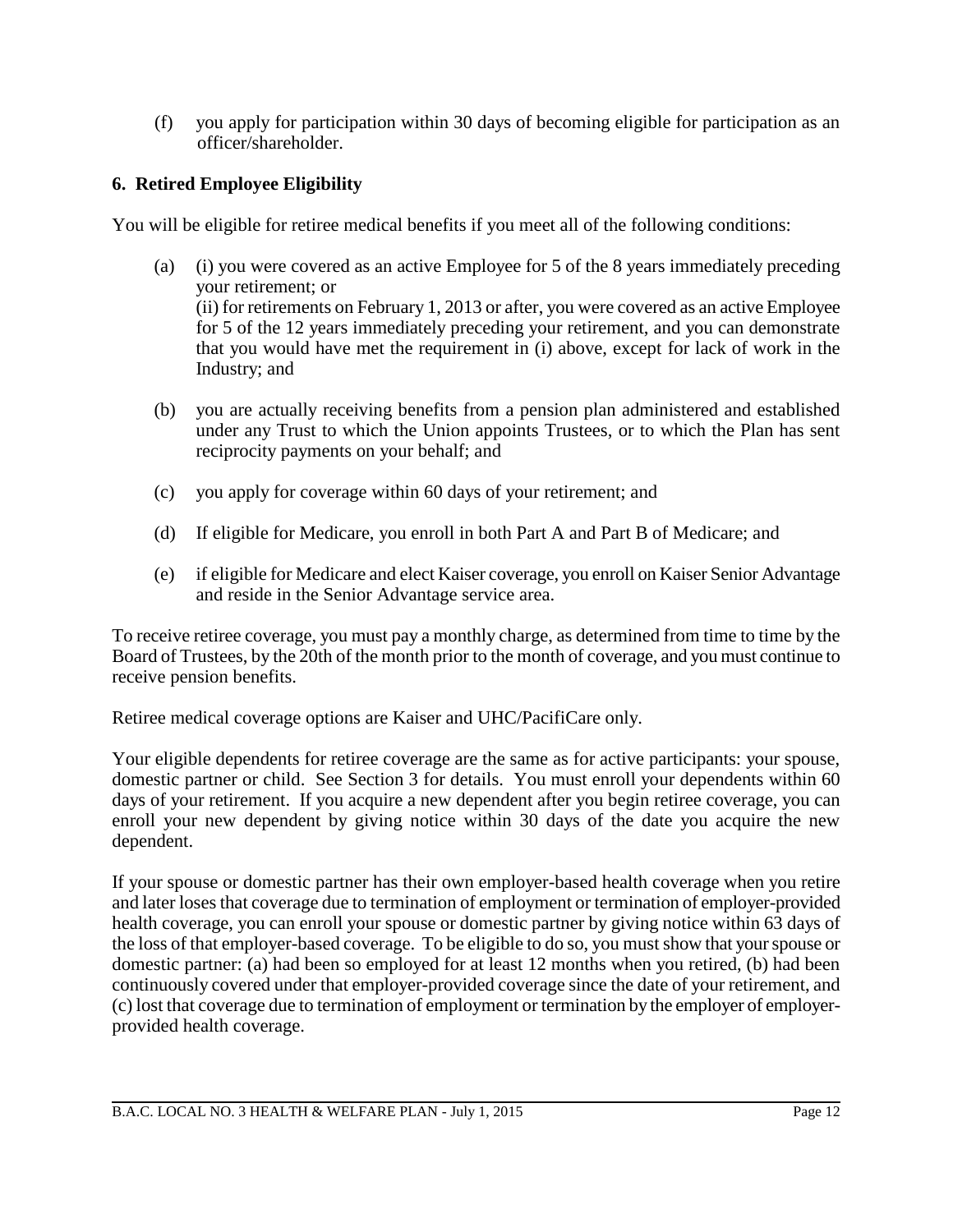(f) you apply for participation within 30 days of becoming eligible for participation as an officer/shareholder.

# **6. Retired Employee Eligibility**

You will be eligible for retiree medical benefits if you meet all of the following conditions:

- (a) (i) you were covered as an active Employee for 5 of the 8 years immediately preceding your retirement; or (ii) for retirements on February 1, 2013 or after, you were covered as an active Employee for 5 of the 12 years immediately preceding your retirement, and you can demonstrate that you would have met the requirement in (i) above, except for lack of work in the Industry; and
- (b) you are actually receiving benefits from a pension plan administered and established under any Trust to which the Union appoints Trustees, or to which the Plan has sent reciprocity payments on your behalf; and
- (c) you apply for coverage within 60 days of your retirement; and
- (d) If eligible for Medicare, you enroll in both Part A and Part B of Medicare; and
- (e) if eligible for Medicare and elect Kaiser coverage, you enroll on Kaiser Senior Advantage and reside in the Senior Advantage service area.

To receive retiree coverage, you must pay a monthly charge, as determined from time to time by the Board of Trustees, by the 20th of the month prior to the month of coverage, and you must continue to receive pension benefits.

Retiree medical coverage options are Kaiser and UHC/PacifiCare only.

Your eligible dependents for retiree coverage are the same as for active participants: your spouse, domestic partner or child. See Section 3 for details. You must enroll your dependents within 60 days of your retirement. If you acquire a new dependent after you begin retiree coverage, you can enroll your new dependent by giving notice within 30 days of the date you acquire the new dependent.

If your spouse or domestic partner has their own employer-based health coverage when you retire and later loses that coverage due to termination of employment or termination of employer-provided health coverage, you can enroll your spouse or domestic partner by giving notice within 63 days of the loss of that employer-based coverage. To be eligible to do so, you must show that your spouse or domestic partner: (a) had been so employed for at least 12 months when you retired, (b) had been continuously covered under that employer-provided coverage since the date of your retirement, and (c) lost that coverage due to termination of employment or termination by the employer of employerprovided health coverage.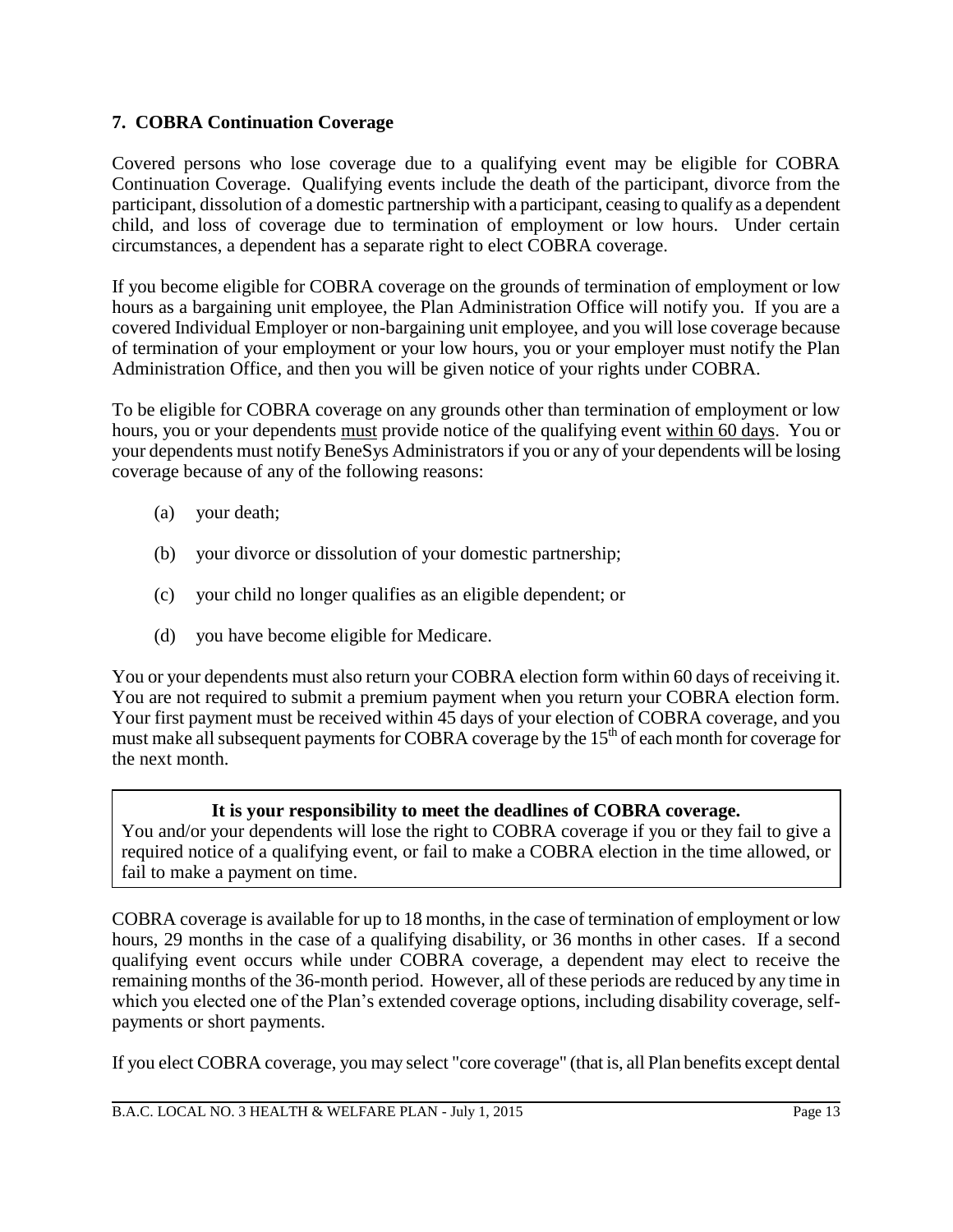## **7. COBRA Continuation Coverage**

Covered persons who lose coverage due to a qualifying event may be eligible for COBRA Continuation Coverage. Qualifying events include the death of the participant, divorce from the participant, dissolution of a domestic partnership with a participant, ceasing to qualify as a dependent child, and loss of coverage due to termination of employment or low hours. Under certain circumstances, a dependent has a separate right to elect COBRA coverage.

If you become eligible for COBRA coverage on the grounds of termination of employment or low hours as a bargaining unit employee, the Plan Administration Office will notify you. If you are a covered Individual Employer or non-bargaining unit employee, and you will lose coverage because of termination of your employment or your low hours, you or your employer must notify the Plan Administration Office, and then you will be given notice of your rights under COBRA.

To be eligible for COBRA coverage on any grounds other than termination of employment or low hours, you or your dependents must provide notice of the qualifying event within 60 days. You or your dependents must notify BeneSys Administrators if you or any of your dependents will be losing coverage because of any of the following reasons:

- (a) your death;
- (b) your divorce or dissolution of your domestic partnership;
- (c) your child no longer qualifies as an eligible dependent; or
- (d) you have become eligible for Medicare.

You or your dependents must also return your COBRA election form within 60 days of receiving it. You are not required to submit a premium payment when you return your COBRA election form. Your first payment must be received within 45 days of your election of COBRA coverage, and you must make all subsequent payments for COBRA coverage by the 15<sup>th</sup> of each month for coverage for the next month.

#### **It is your responsibility to meet the deadlines of COBRA coverage.**

You and/or your dependents will lose the right to COBRA coverage if you or they fail to give a required notice of a qualifying event, or fail to make a COBRA election in the time allowed, or fail to make a payment on time.

COBRA coverage is available for up to 18 months, in the case of termination of employment or low hours, 29 months in the case of a qualifying disability, or 36 months in other cases. If a second qualifying event occurs while under COBRA coverage, a dependent may elect to receive the remaining months of the 36-month period. However, all of these periods are reduced by any time in which you elected one of the Plan's extended coverage options, including disability coverage, selfpayments or short payments.

If you elect COBRA coverage, you may select "core coverage" (that is, all Plan benefits except dental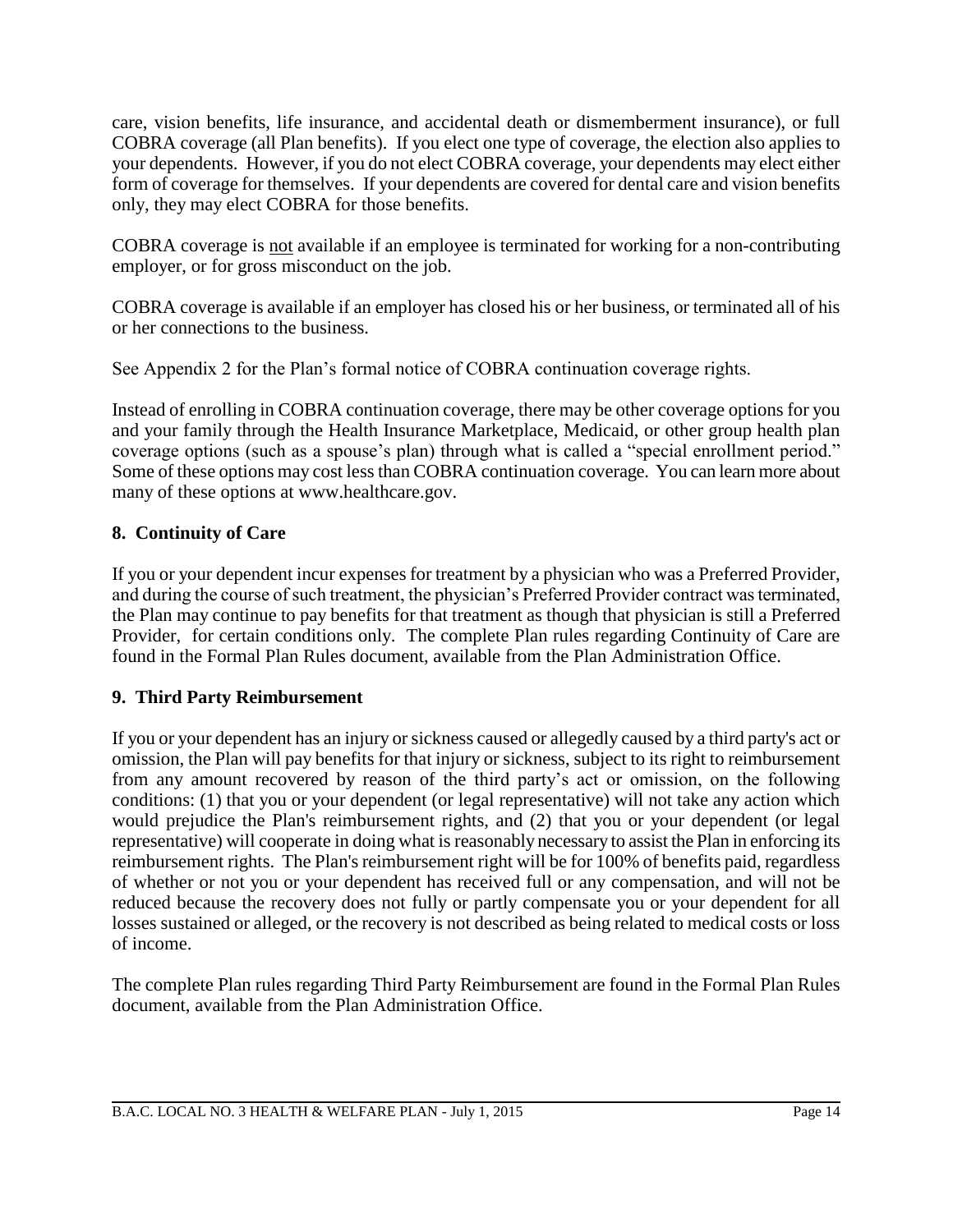care, vision benefits, life insurance, and accidental death or dismemberment insurance), or full COBRA coverage (all Plan benefits). If you elect one type of coverage, the election also applies to your dependents. However, if you do not elect COBRA coverage, your dependents may elect either form of coverage for themselves. If your dependents are covered for dental care and vision benefits only, they may elect COBRA for those benefits.

COBRA coverage is not available if an employee is terminated for working for a non-contributing employer, or for gross misconduct on the job.

COBRA coverage is available if an employer has closed his or her business, or terminated all of his or her connections to the business.

See Appendix 2 for the Plan's formal notice of COBRA continuation coverage rights.

Instead of enrolling in COBRA continuation coverage, there may be other coverage options for you and your family through the Health Insurance Marketplace, Medicaid, or other group health plan coverage options (such as a spouse's plan) through what is called a "special enrollment period." Some of these options may cost less than COBRA continuation coverage. You can learn more about many of these options at www.healthcare.gov.

## **8. Continuity of Care**

If you or your dependent incur expenses for treatment by a physician who was a Preferred Provider, and during the course of such treatment, the physician's Preferred Provider contract was terminated, the Plan may continue to pay benefits for that treatment as though that physician is still a Preferred Provider, for certain conditions only. The complete Plan rules regarding Continuity of Care are found in the Formal Plan Rules document, available from the Plan Administration Office.

## **9. Third Party Reimbursement**

If you or your dependent has an injury or sickness caused or allegedly caused by a third party's act or omission, the Plan will pay benefits for that injury or sickness, subject to its right to reimbursement from any amount recovered by reason of the third party's act or omission, on the following conditions: (1) that you or your dependent (or legal representative) will not take any action which would prejudice the Plan's reimbursement rights, and (2) that you or your dependent (or legal representative) will cooperate in doing what is reasonably necessary to assist the Plan in enforcing its reimbursement rights. The Plan's reimbursement right will be for 100% of benefits paid, regardless of whether or not you or your dependent has received full or any compensation, and will not be reduced because the recovery does not fully or partly compensate you or your dependent for all losses sustained or alleged, or the recovery is not described as being related to medical costs or loss of income.

The complete Plan rules regarding Third Party Reimbursement are found in the Formal Plan Rules document, available from the Plan Administration Office.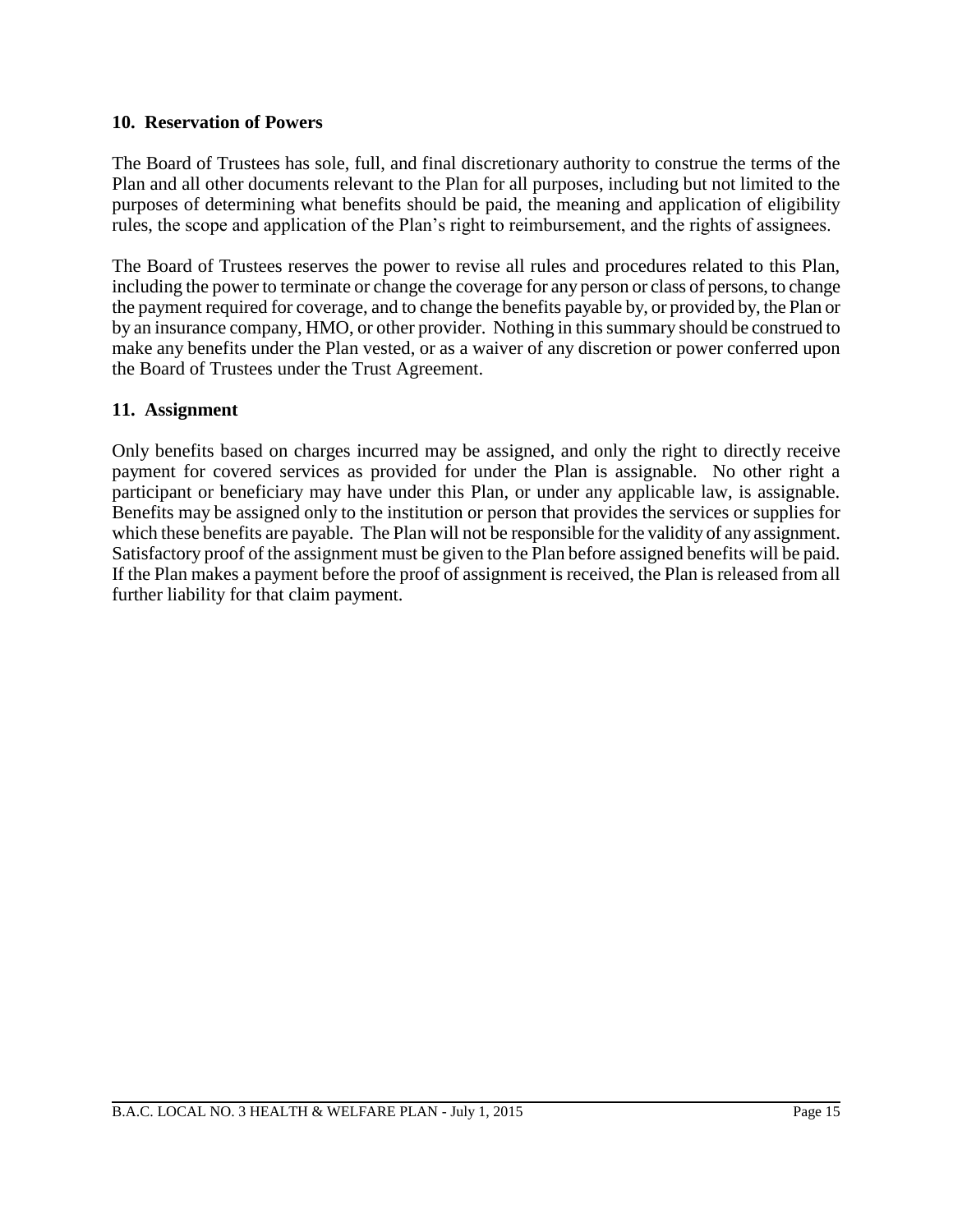#### **10. Reservation of Powers**

The Board of Trustees has sole, full, and final discretionary authority to construe the terms of the Plan and all other documents relevant to the Plan for all purposes, including but not limited to the purposes of determining what benefits should be paid, the meaning and application of eligibility rules, the scope and application of the Plan's right to reimbursement, and the rights of assignees.

The Board of Trustees reserves the power to revise all rules and procedures related to this Plan, including the power to terminate or change the coverage for any person or class of persons, to change the payment required for coverage, and to change the benefits payable by, or provided by, the Plan or by an insurance company, HMO, or other provider. Nothing in this summary should be construed to make any benefits under the Plan vested, or as a waiver of any discretion or power conferred upon the Board of Trustees under the Trust Agreement.

## **11. Assignment**

Only benefits based on charges incurred may be assigned, and only the right to directly receive payment for covered services as provided for under the Plan is assignable. No other right a participant or beneficiary may have under this Plan, or under any applicable law, is assignable. Benefits may be assigned only to the institution or person that provides the services or supplies for which these benefits are payable. The Plan will not be responsible for the validity of any assignment. Satisfactory proof of the assignment must be given to the Plan before assigned benefits will be paid. If the Plan makes a payment before the proof of assignment is received, the Plan is released from all further liability for that claim payment.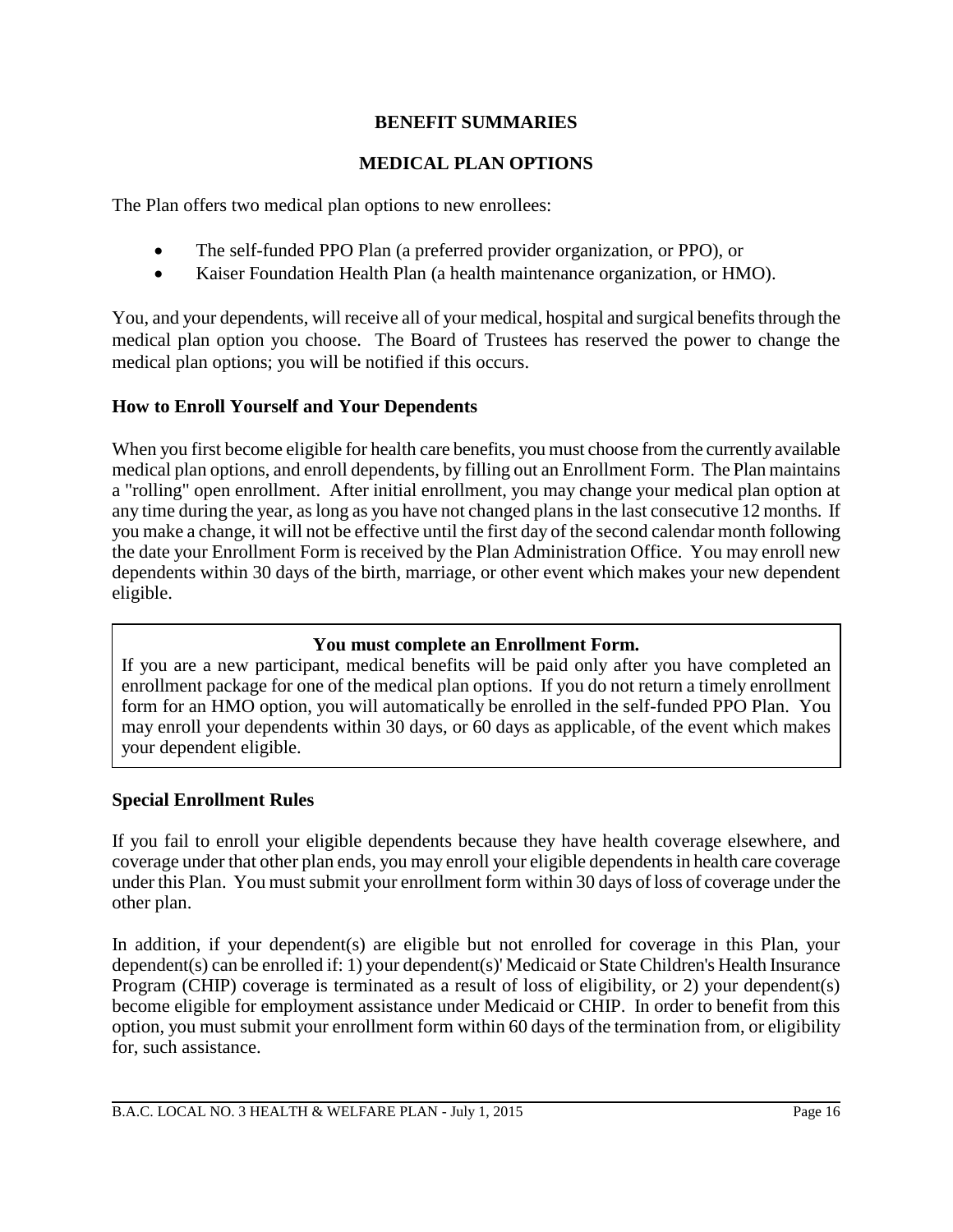## **BENEFIT SUMMARIES**

# **MEDICAL PLAN OPTIONS**

The Plan offers two medical plan options to new enrollees:

- The self-funded PPO Plan (a preferred provider organization, or PPO), or
- Kaiser Foundation Health Plan (a health maintenance organization, or HMO).

You, and your dependents, will receive all of your medical, hospital and surgical benefits through the medical plan option you choose. The Board of Trustees has reserved the power to change the medical plan options; you will be notified if this occurs.

## **How to Enroll Yourself and Your Dependents**

When you first become eligible for health care benefits, you must choose from the currently available medical plan options, and enroll dependents, by filling out an Enrollment Form. The Plan maintains a "rolling" open enrollment. After initial enrollment, you may change your medical plan option at any time during the year, as long as you have not changed plans in the last consecutive 12 months. If you make a change, it will not be effective until the first day of the second calendar month following the date your Enrollment Form is received by the Plan Administration Office. You may enroll new dependents within 30 days of the birth, marriage, or other event which makes your new dependent eligible.

## **You must complete an Enrollment Form.**

If you are a new participant, medical benefits will be paid only after you have completed an enrollment package for one of the medical plan options. If you do not return a timely enrollment form for an HMO option, you will automatically be enrolled in the self-funded PPO Plan. You may enroll your dependents within 30 days, or 60 days as applicable, of the event which makes your dependent eligible.

## **Special Enrollment Rules**

If you fail to enroll your eligible dependents because they have health coverage elsewhere, and coverage under that other plan ends, you may enroll your eligible dependents in health care coverage under this Plan. You must submit your enrollment form within 30 days of loss of coverage under the other plan.

In addition, if your dependent(s) are eligible but not enrolled for coverage in this Plan, your dependent(s) can be enrolled if: 1) your dependent(s)' Medicaid or State Children's Health Insurance Program (CHIP) coverage is terminated as a result of loss of eligibility, or 2) your dependent(s) become eligible for employment assistance under Medicaid or CHIP. In order to benefit from this option, you must submit your enrollment form within 60 days of the termination from, or eligibility for, such assistance.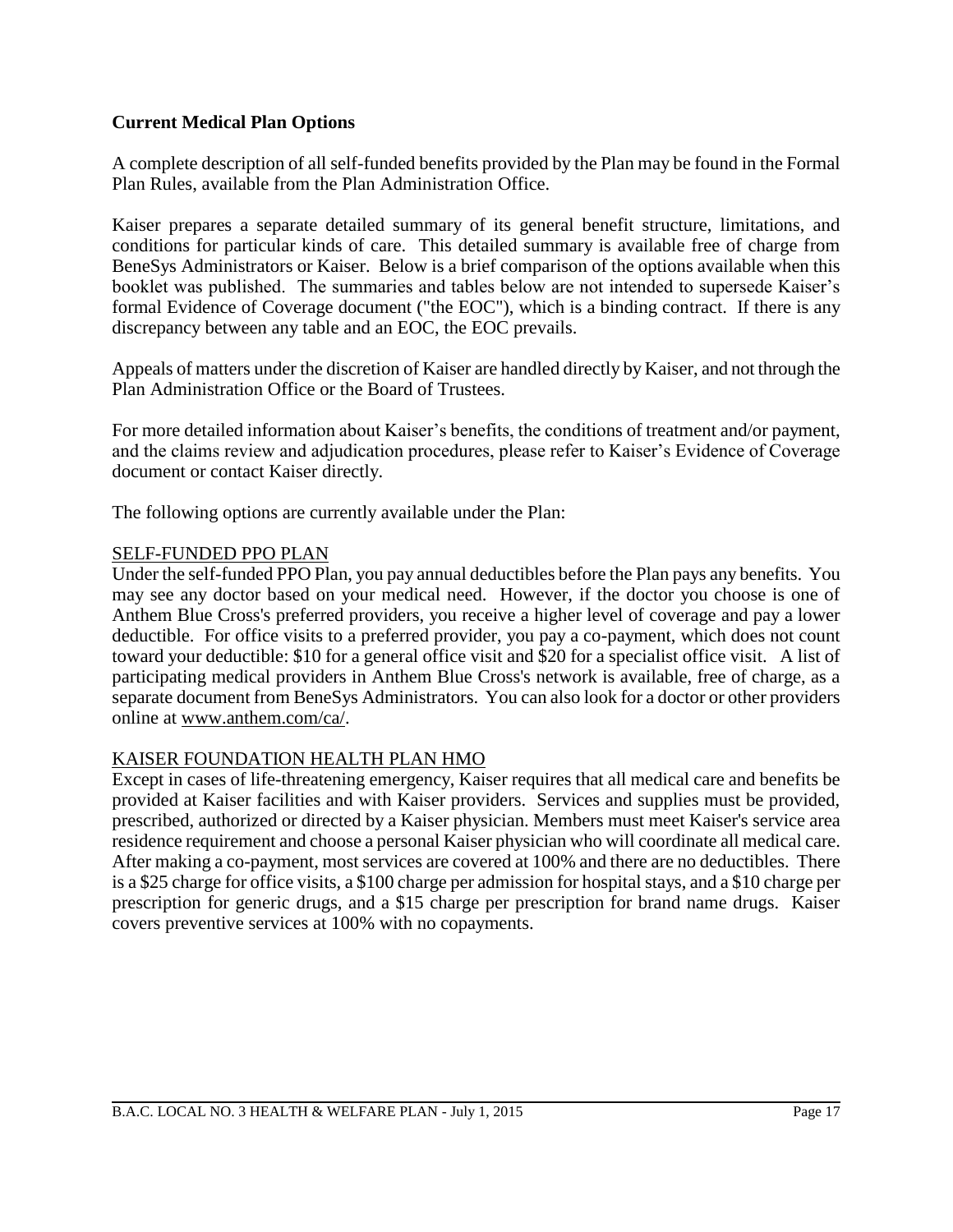## **Current Medical Plan Options**

A complete description of all self-funded benefits provided by the Plan may be found in the Formal Plan Rules, available from the Plan Administration Office.

Kaiser prepares a separate detailed summary of its general benefit structure, limitations, and conditions for particular kinds of care. This detailed summary is available free of charge from BeneSys Administrators or Kaiser. Below is a brief comparison of the options available when this booklet was published. The summaries and tables below are not intended to supersede Kaiser's formal Evidence of Coverage document ("the EOC"), which is a binding contract. If there is any discrepancy between any table and an EOC, the EOC prevails.

Appeals of matters under the discretion of Kaiser are handled directly by Kaiser, and not through the Plan Administration Office or the Board of Trustees.

For more detailed information about Kaiser's benefits, the conditions of treatment and/or payment, and the claims review and adjudication procedures, please refer to Kaiser's Evidence of Coverage document or contact Kaiser directly.

The following options are currently available under the Plan:

### SELF-FUNDED PPO PLAN

Under the self-funded PPO Plan, you pay annual deductibles before the Plan pays any benefits. You may see any doctor based on your medical need. However, if the doctor you choose is one of Anthem Blue Cross's preferred providers, you receive a higher level of coverage and pay a lower deductible. For office visits to a preferred provider, you pay a co-payment, which does not count toward your deductible: \$10 for a general office visit and \$20 for a specialist office visit. A list of participating medical providers in Anthem Blue Cross's network is available, free of charge, as a separate document from BeneSys Administrators. You can also look for a doctor or other providers online at www.anthem.com/ca/.

#### KAISER FOUNDATION HEALTH PLAN HMO

Except in cases of life-threatening emergency, Kaiser requires that all medical care and benefits be provided at Kaiser facilities and with Kaiser providers. Services and supplies must be provided, prescribed, authorized or directed by a Kaiser physician. Members must meet Kaiser's service area residence requirement and choose a personal Kaiser physician who will coordinate all medical care. After making a co-payment, most services are covered at 100% and there are no deductibles. There is a \$25 charge for office visits, a \$100 charge per admission for hospital stays, and a \$10 charge per prescription for generic drugs, and a \$15 charge per prescription for brand name drugs. Kaiser covers preventive services at 100% with no copayments.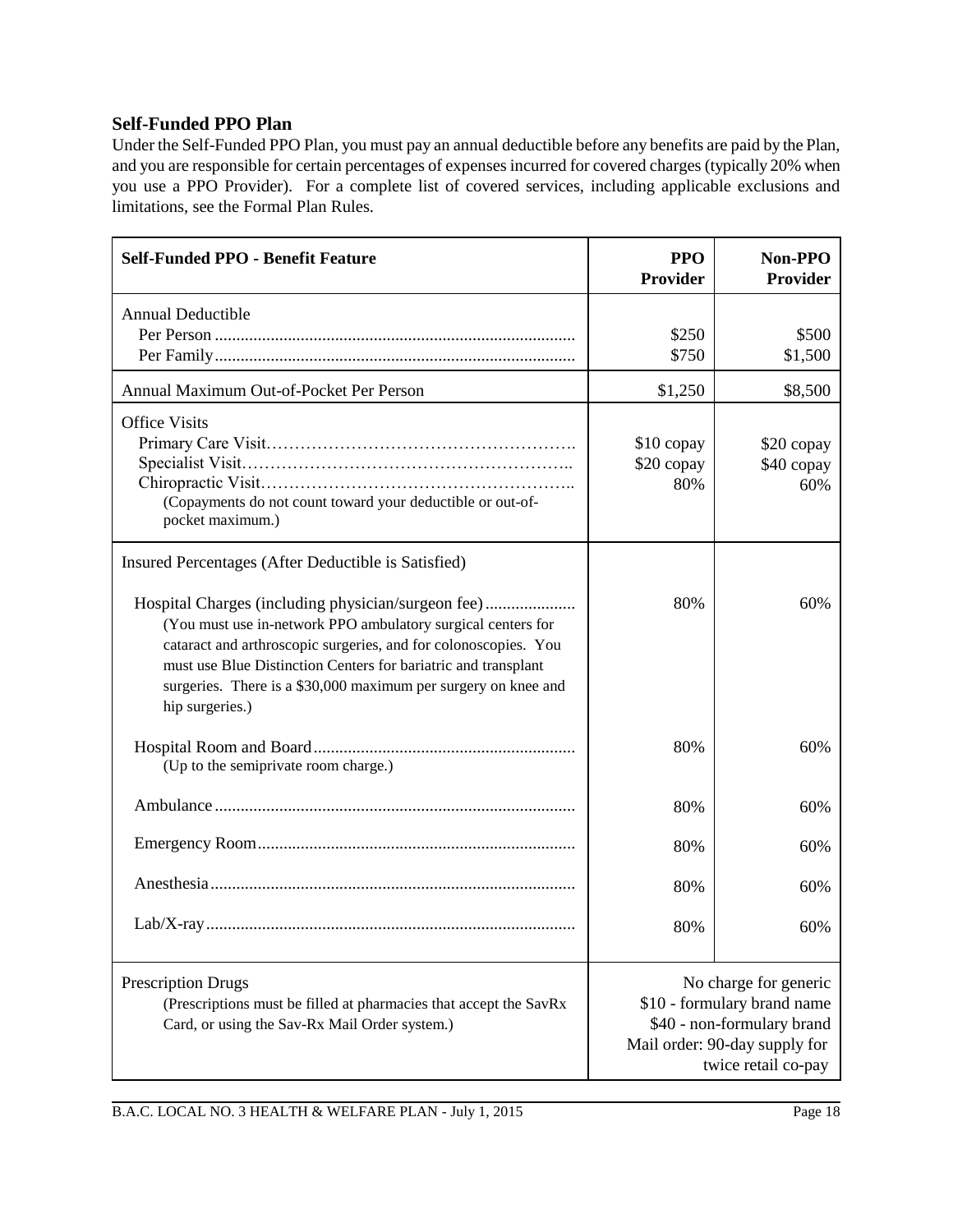## **Self-Funded PPO Plan**

Under the Self-Funded PPO Plan, you must pay an annual deductible before any benefits are paid by the Plan, and you are responsible for certain percentages of expenses incurred for covered charges (typically 20% when you use a PPO Provider). For a complete list of covered services, including applicable exclusions and limitations, see the Formal Plan Rules.

| <b>Self-Funded PPO - Benefit Feature</b>                                                                                                                                                                                                                                                                                                     | <b>PPO</b><br><b>Provider</b>                                                                                                              | Non-PPO<br><b>Provider</b>      |
|----------------------------------------------------------------------------------------------------------------------------------------------------------------------------------------------------------------------------------------------------------------------------------------------------------------------------------------------|--------------------------------------------------------------------------------------------------------------------------------------------|---------------------------------|
| <b>Annual Deductible</b>                                                                                                                                                                                                                                                                                                                     | \$250<br>\$750                                                                                                                             | \$500<br>\$1,500                |
| Annual Maximum Out-of-Pocket Per Person                                                                                                                                                                                                                                                                                                      | \$1,250                                                                                                                                    | \$8,500                         |
| <b>Office Visits</b><br>(Copayments do not count toward your deductible or out-of-<br>pocket maximum.)                                                                                                                                                                                                                                       | \$10 copay<br>\$20 copay<br>80%                                                                                                            | \$20 copay<br>\$40 copay<br>60% |
| Insured Percentages (After Deductible is Satisfied)                                                                                                                                                                                                                                                                                          |                                                                                                                                            |                                 |
| Hospital Charges (including physician/surgeon fee)<br>(You must use in-network PPO ambulatory surgical centers for<br>cataract and arthroscopic surgeries, and for colonoscopies. You<br>must use Blue Distinction Centers for bariatric and transplant<br>surgeries. There is a \$30,000 maximum per surgery on knee and<br>hip surgeries.) | 80%                                                                                                                                        | 60%                             |
| (Up to the semiprivate room charge.)                                                                                                                                                                                                                                                                                                         | 80%                                                                                                                                        | 60%                             |
|                                                                                                                                                                                                                                                                                                                                              | 80%                                                                                                                                        | 60%                             |
|                                                                                                                                                                                                                                                                                                                                              | 80%                                                                                                                                        | 60%                             |
|                                                                                                                                                                                                                                                                                                                                              | 80%                                                                                                                                        | 60%                             |
|                                                                                                                                                                                                                                                                                                                                              | 80%                                                                                                                                        | 60%                             |
| <b>Prescription Drugs</b><br>(Prescriptions must be filled at pharmacies that accept the SavRx<br>Card, or using the Sav-Rx Mail Order system.)                                                                                                                                                                                              | No charge for generic<br>\$10 - formulary brand name<br>\$40 - non-formulary brand<br>Mail order: 90-day supply for<br>twice retail co-pay |                                 |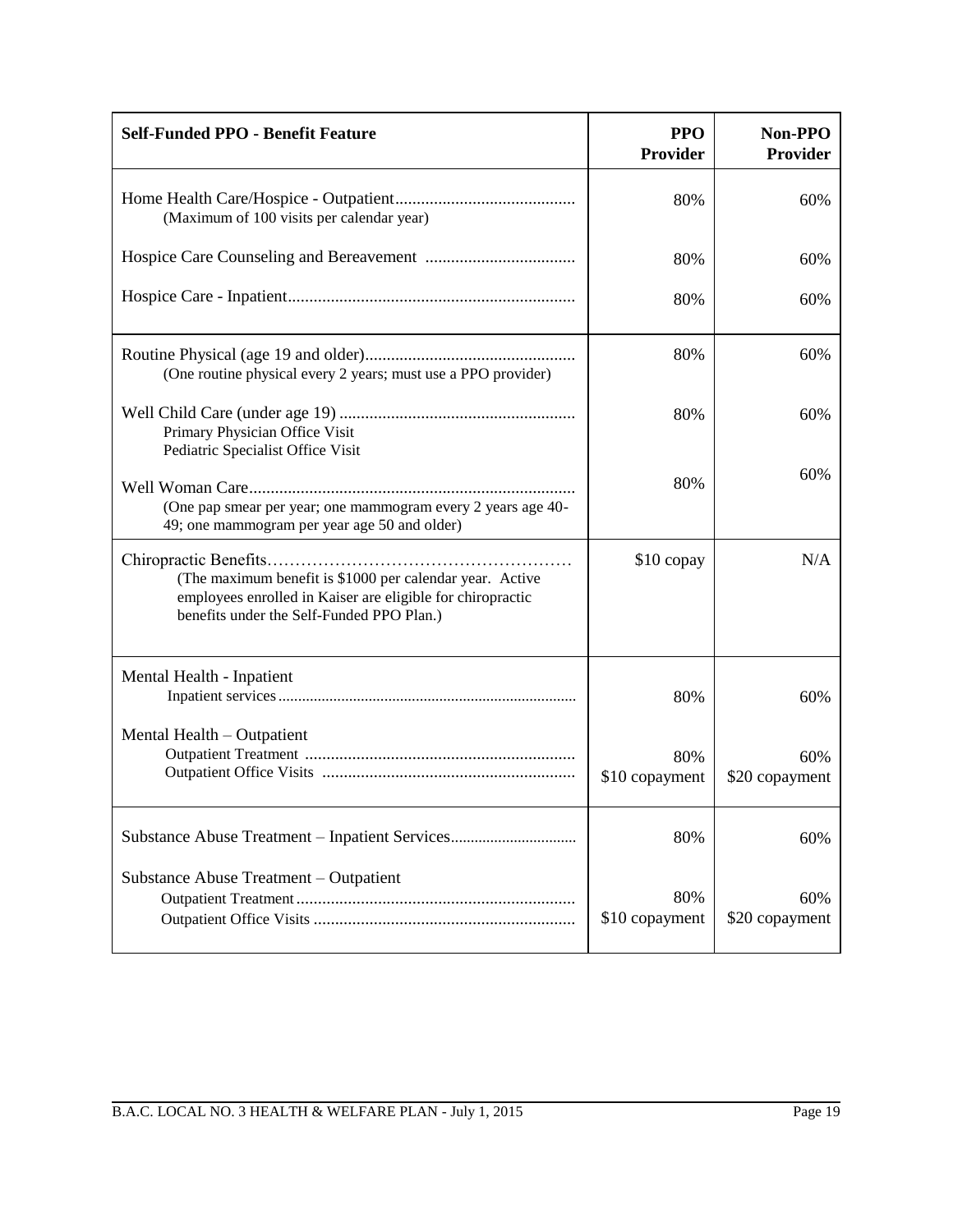| <b>Self-Funded PPO - Benefit Feature</b>                                                                                                                            | <b>PPO</b><br>Provider | Non-PPO<br>Provider   |
|---------------------------------------------------------------------------------------------------------------------------------------------------------------------|------------------------|-----------------------|
| (Maximum of 100 visits per calendar year)                                                                                                                           | 80%                    | 60%                   |
|                                                                                                                                                                     | 80%                    | 60%                   |
|                                                                                                                                                                     | 80%                    | 60%                   |
| (One routine physical every 2 years; must use a PPO provider)                                                                                                       | 80%                    | 60%                   |
| Primary Physician Office Visit<br>Pediatric Specialist Office Visit                                                                                                 | 80%                    | 60%                   |
| (One pap smear per year; one mammogram every 2 years age 40-<br>49; one mammogram per year age 50 and older)                                                        | 80%                    | 60%                   |
| (The maximum benefit is \$1000 per calendar year. Active<br>employees enrolled in Kaiser are eligible for chiropractic<br>benefits under the Self-Funded PPO Plan.) | \$10 copay             | N/A                   |
| Mental Health - Inpatient                                                                                                                                           | 80%                    | 60%                   |
| Mental Health – Outpatient                                                                                                                                          | 80%<br>\$10 copayment  | 60%<br>\$20 copayment |
| Substance Abuse Treatment - Inpatient Services                                                                                                                      | 80%                    | 60%                   |
| Substance Abuse Treatment - Outpatient                                                                                                                              | 80%<br>\$10 copayment  | 60%<br>\$20 copayment |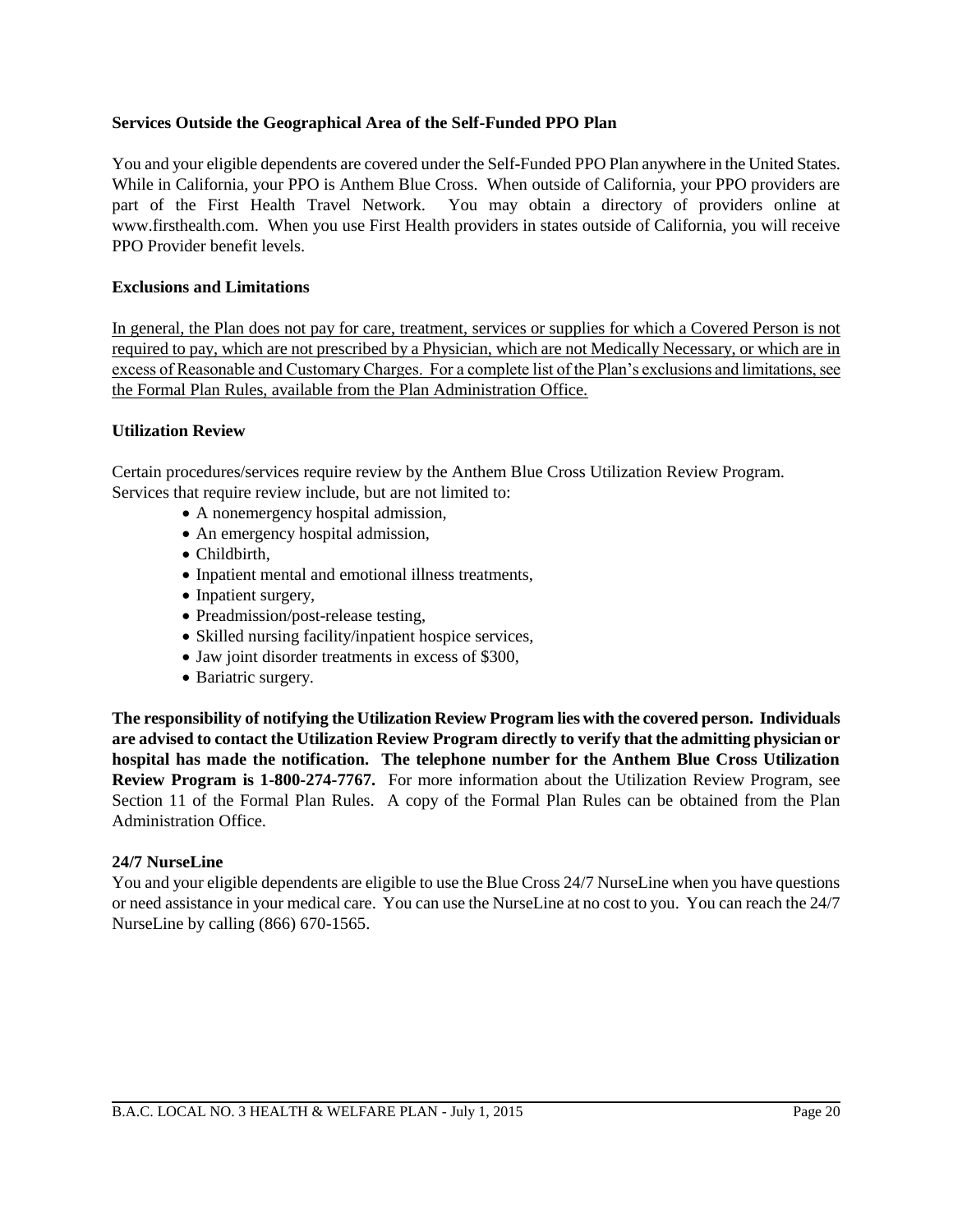#### **Services Outside the Geographical Area of the Self-Funded PPO Plan**

You and your eligible dependents are covered under the Self-Funded PPO Plan anywhere in the United States. While in California, your PPO is Anthem Blue Cross. When outside of California, your PPO providers are part of the First Health Travel Network. You may obtain a directory of providers online at www.firsthealth.com. When you use First Health providers in states outside of California, you will receive PPO Provider benefit levels.

#### **Exclusions and Limitations**

In general, the Plan does not pay for care, treatment, services or supplies for which a Covered Person is not required to pay, which are not prescribed by a Physician, which are not Medically Necessary, or which are in excess of Reasonable and Customary Charges. For a complete list of the Plan's exclusions and limitations, see the Formal Plan Rules, available from the Plan Administration Office.

#### **Utilization Review**

Certain procedures/services require review by the Anthem Blue Cross Utilization Review Program. Services that require review include, but are not limited to:

- A nonemergency hospital admission,
- An emergency hospital admission,
- Childbirth,
- Inpatient mental and emotional illness treatments,
- Inpatient surgery,
- Preadmission/post-release testing,
- Skilled nursing facility/inpatient hospice services,
- Jaw joint disorder treatments in excess of \$300,
- Bariatric surgery.

**The responsibility of notifying the Utilization Review Program lies with the covered person. Individuals are advised to contact the Utilization Review Program directly to verify that the admitting physician or hospital has made the notification. The telephone number for the Anthem Blue Cross Utilization Review Program is 1-800-274-7767.** For more information about the Utilization Review Program, see Section 11 of the Formal Plan Rules. A copy of the Formal Plan Rules can be obtained from the Plan Administration Office.

#### **24/7 NurseLine**

You and your eligible dependents are eligible to use the Blue Cross 24/7 NurseLine when you have questions or need assistance in your medical care. You can use the NurseLine at no cost to you. You can reach the 24/7 NurseLine by calling (866) 670-1565.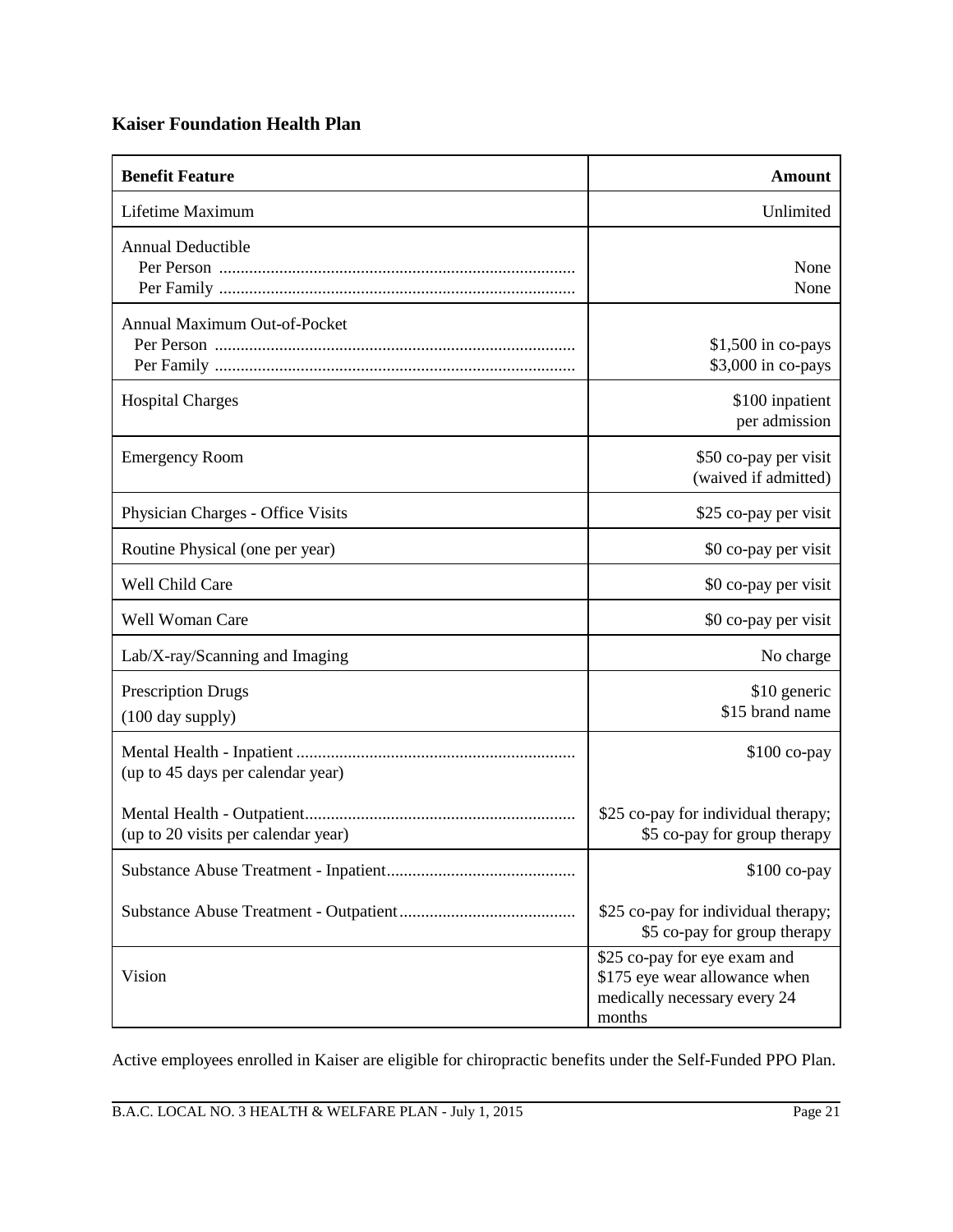# **Kaiser Foundation Health Plan**

| <b>Benefit Feature</b>                                  | Amount                                                                                                  |
|---------------------------------------------------------|---------------------------------------------------------------------------------------------------------|
| Lifetime Maximum                                        | Unlimited                                                                                               |
| <b>Annual Deductible</b>                                | None<br>None                                                                                            |
| Annual Maximum Out-of-Pocket                            | $$1,500$ in co-pays<br>\$3,000 in co-pays                                                               |
| <b>Hospital Charges</b>                                 | \$100 inpatient<br>per admission                                                                        |
| <b>Emergency Room</b>                                   | \$50 co-pay per visit<br>(waived if admitted)                                                           |
| Physician Charges - Office Visits                       | \$25 co-pay per visit                                                                                   |
| Routine Physical (one per year)                         | \$0 co-pay per visit                                                                                    |
| Well Child Care                                         | \$0 co-pay per visit                                                                                    |
| Well Woman Care                                         | \$0 co-pay per visit                                                                                    |
| Lab/X-ray/Scanning and Imaging                          | No charge                                                                                               |
| <b>Prescription Drugs</b><br>$(100 \text{ day supply})$ | \$10 generic<br>\$15 brand name                                                                         |
| (up to 45 days per calendar year)                       | $$100$ co-pay                                                                                           |
| (up to 20 visits per calendar year)                     | \$25 co-pay for individual therapy;<br>\$5 co-pay for group therapy                                     |
|                                                         | $$100$ co-pay                                                                                           |
|                                                         | \$25 co-pay for individual therapy;<br>\$5 co-pay for group therapy                                     |
| Vision                                                  | \$25 co-pay for eye exam and<br>\$175 eye wear allowance when<br>medically necessary every 24<br>months |

Active employees enrolled in Kaiser are eligible for chiropractic benefits under the Self-Funded PPO Plan.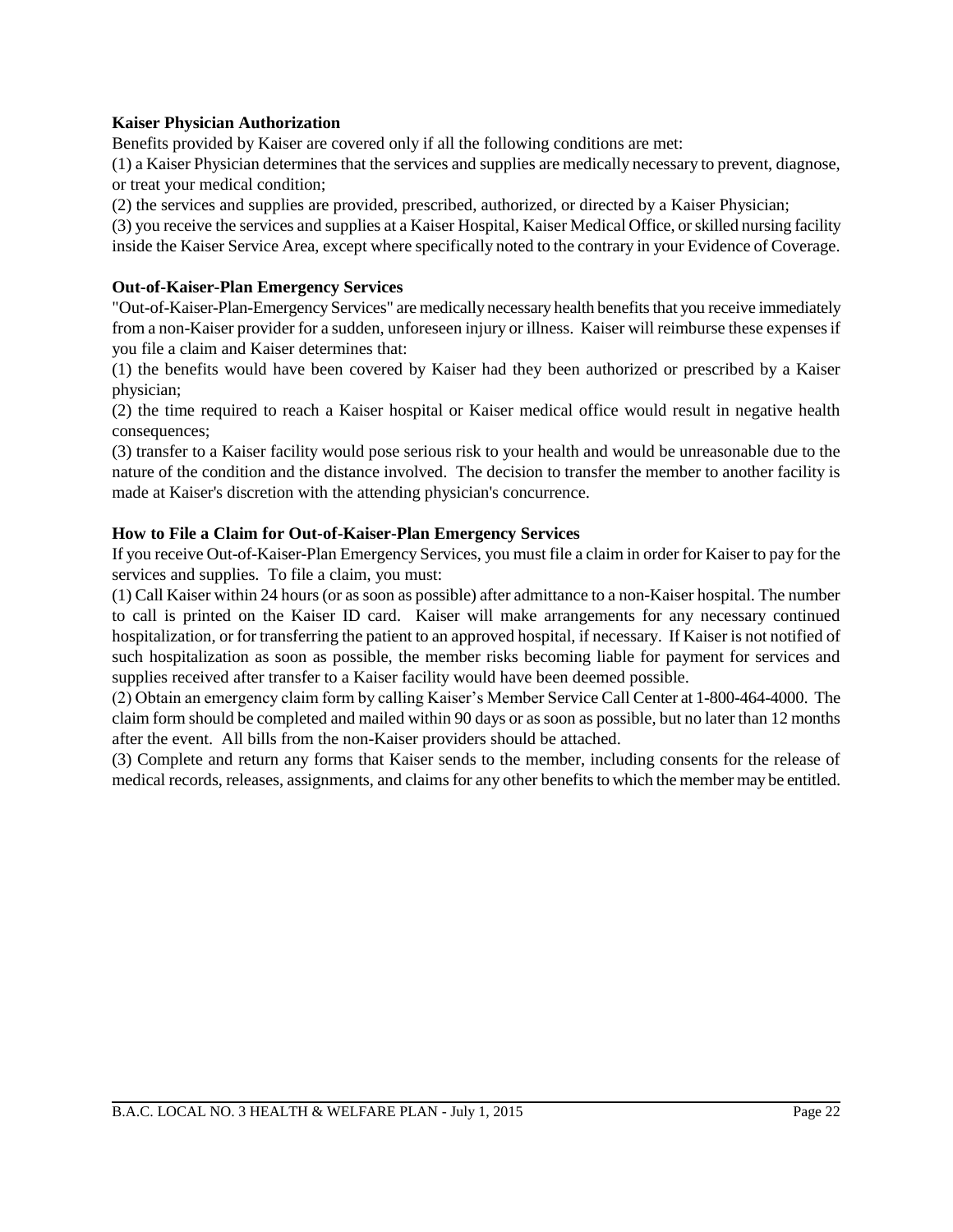#### **Kaiser Physician Authorization**

Benefits provided by Kaiser are covered only if all the following conditions are met:

(1) a Kaiser Physician determines that the services and supplies are medically necessary to prevent, diagnose, or treat your medical condition;

(2) the services and supplies are provided, prescribed, authorized, or directed by a Kaiser Physician;

(3) you receive the services and supplies at a Kaiser Hospital, Kaiser Medical Office, or skilled nursing facility inside the Kaiser Service Area, except where specifically noted to the contrary in your Evidence of Coverage.

#### **Out-of-Kaiser-Plan Emergency Services**

"Out-of-Kaiser-Plan-Emergency Services" are medically necessary health benefits that you receive immediately from a non-Kaiser provider for a sudden, unforeseen injury or illness. Kaiser will reimburse these expenses if you file a claim and Kaiser determines that:

(1) the benefits would have been covered by Kaiser had they been authorized or prescribed by a Kaiser physician;

(2) the time required to reach a Kaiser hospital or Kaiser medical office would result in negative health consequences;

(3) transfer to a Kaiser facility would pose serious risk to your health and would be unreasonable due to the nature of the condition and the distance involved. The decision to transfer the member to another facility is made at Kaiser's discretion with the attending physician's concurrence.

#### **How to File a Claim for Out-of-Kaiser-Plan Emergency Services**

If you receive Out-of-Kaiser-Plan Emergency Services, you must file a claim in order for Kaiser to pay for the services and supplies. To file a claim, you must:

(1) Call Kaiser within 24 hours (or as soon as possible) after admittance to a non-Kaiser hospital. The number to call is printed on the Kaiser ID card. Kaiser will make arrangements for any necessary continued hospitalization, or for transferring the patient to an approved hospital, if necessary. If Kaiser is not notified of such hospitalization as soon as possible, the member risks becoming liable for payment for services and supplies received after transfer to a Kaiser facility would have been deemed possible.

(2) Obtain an emergency claim form by calling Kaiser's Member Service Call Center at 1-800-464-4000. The claim form should be completed and mailed within 90 days or as soon as possible, but no later than 12 months after the event. All bills from the non-Kaiser providers should be attached.

(3) Complete and return any forms that Kaiser sends to the member, including consents for the release of medical records, releases, assignments, and claims for any other benefits to which the member may be entitled.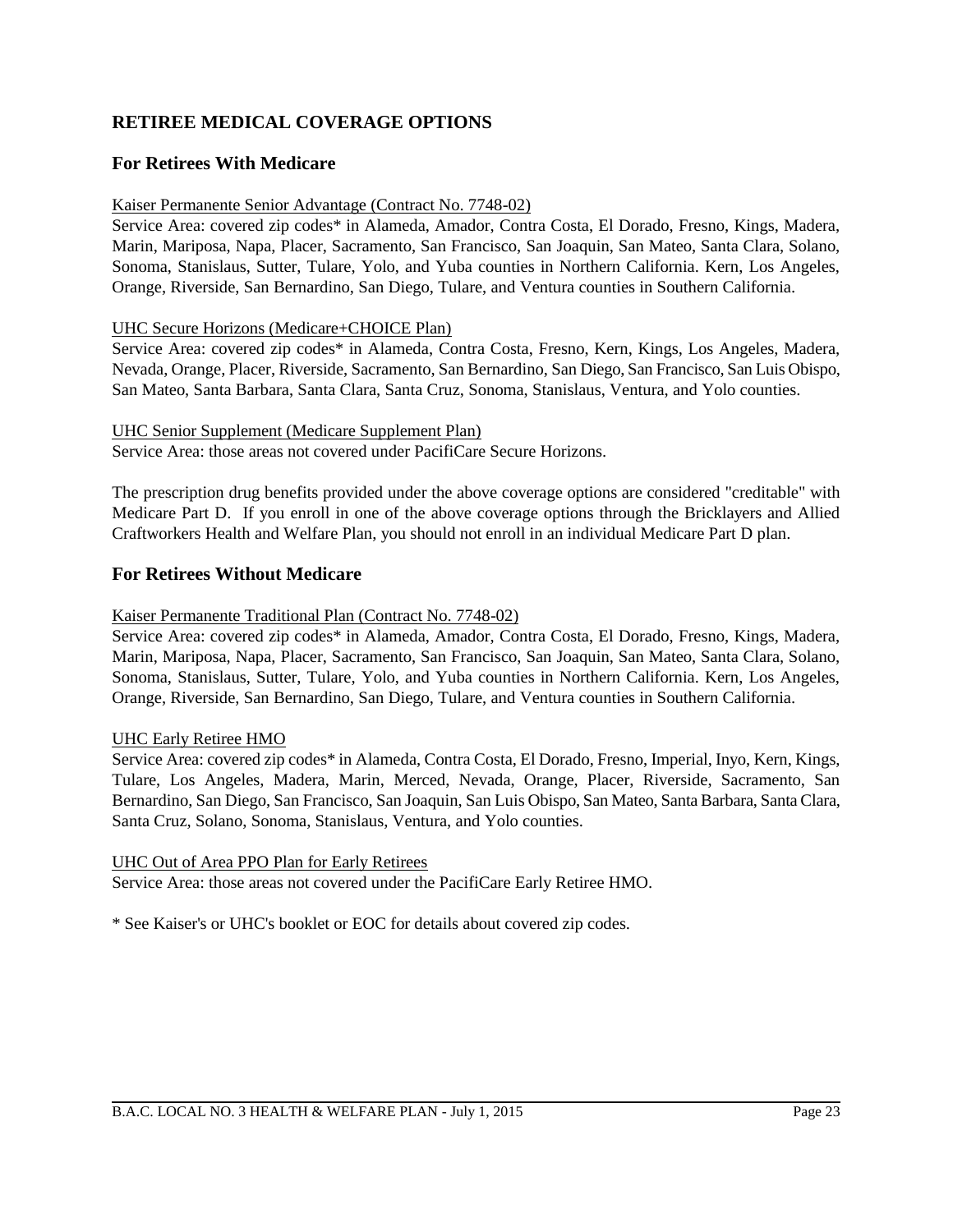## **RETIREE MEDICAL COVERAGE OPTIONS**

#### **For Retirees With Medicare**

#### Kaiser Permanente Senior Advantage (Contract No. 7748-02)

Service Area: covered zip codes\* in Alameda, Amador, Contra Costa, El Dorado, Fresno, Kings, Madera, Marin, Mariposa, Napa, Placer, Sacramento, San Francisco, San Joaquin, San Mateo, Santa Clara, Solano, Sonoma, Stanislaus, Sutter, Tulare, Yolo, and Yuba counties in Northern California. Kern, Los Angeles, Orange, Riverside, San Bernardino, San Diego, Tulare, and Ventura counties in Southern California.

#### UHC Secure Horizons (Medicare+CHOICE Plan)

Service Area: covered zip codes\* in Alameda, Contra Costa, Fresno, Kern, Kings, Los Angeles, Madera, Nevada, Orange, Placer, Riverside, Sacramento, San Bernardino, San Diego, San Francisco, San Luis Obispo, San Mateo, Santa Barbara, Santa Clara, Santa Cruz, Sonoma, Stanislaus, Ventura, and Yolo counties.

#### UHC Senior Supplement (Medicare Supplement Plan)

Service Area: those areas not covered under PacifiCare Secure Horizons.

The prescription drug benefits provided under the above coverage options are considered "creditable" with Medicare Part D. If you enroll in one of the above coverage options through the Bricklayers and Allied Craftworkers Health and Welfare Plan, you should not enroll in an individual Medicare Part D plan.

#### **For Retirees Without Medicare**

#### Kaiser Permanente Traditional Plan (Contract No. 7748-02)

Service Area: covered zip codes\* in Alameda, Amador, Contra Costa, El Dorado, Fresno, Kings, Madera, Marin, Mariposa, Napa, Placer, Sacramento, San Francisco, San Joaquin, San Mateo, Santa Clara, Solano, Sonoma, Stanislaus, Sutter, Tulare, Yolo, and Yuba counties in Northern California. Kern, Los Angeles, Orange, Riverside, San Bernardino, San Diego, Tulare, and Ventura counties in Southern California.

#### UHC Early Retiree HMO

Service Area: covered zip codes\* in Alameda, Contra Costa, El Dorado, Fresno, Imperial, Inyo, Kern, Kings, Tulare, Los Angeles, Madera, Marin, Merced, Nevada, Orange, Placer, Riverside, Sacramento, San Bernardino, San Diego, San Francisco, San Joaquin, San Luis Obispo, San Mateo, Santa Barbara, Santa Clara, Santa Cruz, Solano, Sonoma, Stanislaus, Ventura, and Yolo counties.

#### UHC Out of Area PPO Plan for Early Retirees

Service Area: those areas not covered under the PacifiCare Early Retiree HMO.

\* See Kaiser's or UHC's booklet or EOC for details about covered zip codes.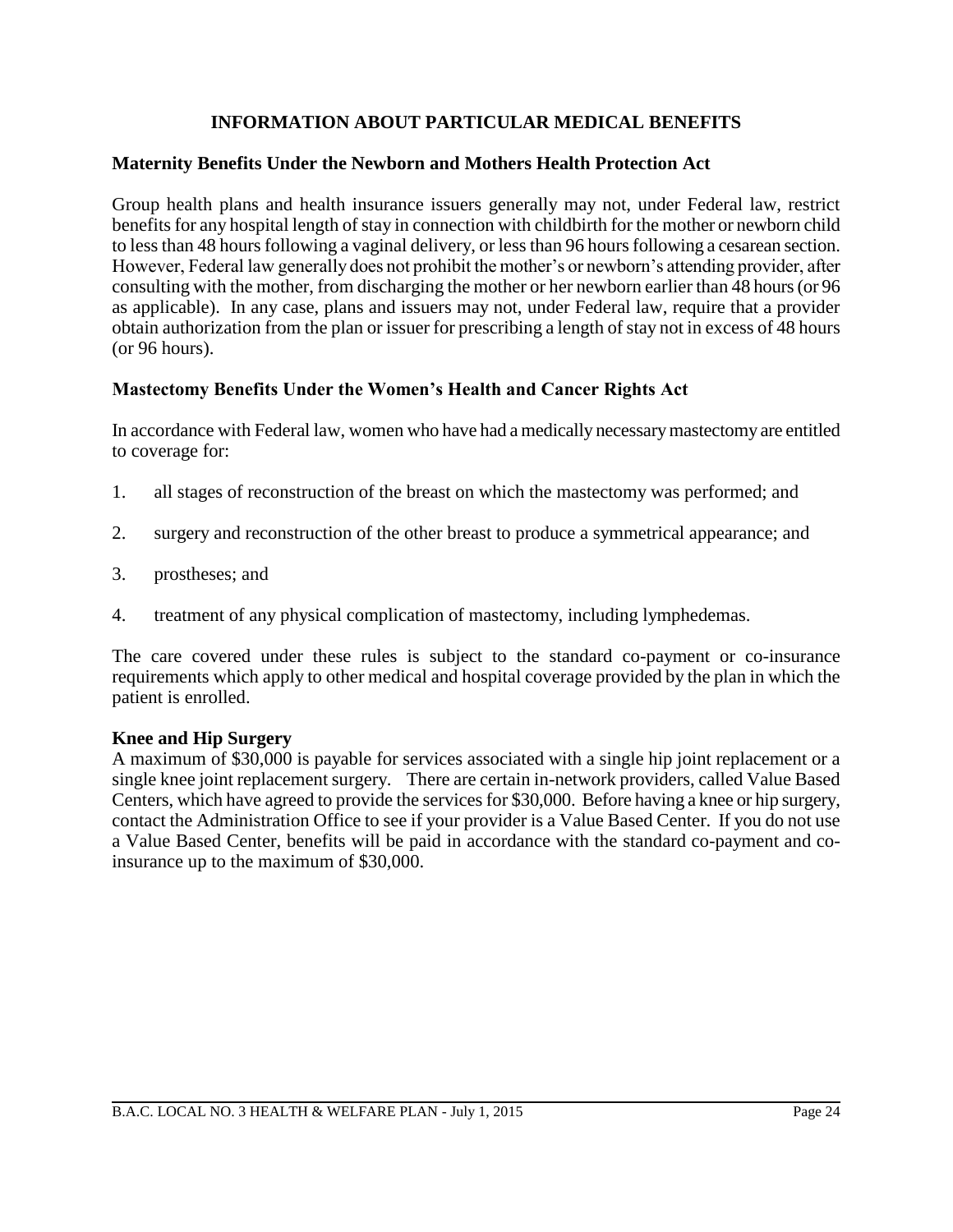## **INFORMATION ABOUT PARTICULAR MEDICAL BENEFITS**

## **Maternity Benefits Under the Newborn and Mothers Health Protection Act**

Group health plans and health insurance issuers generally may not, under Federal law, restrict benefits for any hospital length of stay in connection with childbirth for the mother or newborn child to less than 48 hours following a vaginal delivery, or less than 96 hours following a cesarean section. However, Federal law generally does not prohibit the mother's or newborn's attending provider, after consulting with the mother, from discharging the mother or her newborn earlier than 48 hours (or 96 as applicable). In any case, plans and issuers may not, under Federal law, require that a provider obtain authorization from the plan or issuer for prescribing a length of stay not in excess of 48 hours (or 96 hours).

## **Mastectomy Benefits Under the Women's Health and Cancer Rights Act**

In accordance with Federal law, women who have had a medically necessarymastectomy are entitled to coverage for:

- 1. all stages of reconstruction of the breast on which the mastectomy was performed; and
- 2. surgery and reconstruction of the other breast to produce a symmetrical appearance; and
- 3. prostheses; and
- 4. treatment of any physical complication of mastectomy, including lymphedemas.

The care covered under these rules is subject to the standard co-payment or co-insurance requirements which apply to other medical and hospital coverage provided by the plan in which the patient is enrolled.

#### **Knee and Hip Surgery**

A maximum of \$30,000 is payable for services associated with a single hip joint replacement or a single knee joint replacement surgery. There are certain in-network providers, called Value Based Centers, which have agreed to provide the services for \$30,000. Before having a knee or hip surgery, contact the Administration Office to see if your provider is a Value Based Center. If you do not use a Value Based Center, benefits will be paid in accordance with the standard co-payment and coinsurance up to the maximum of \$30,000.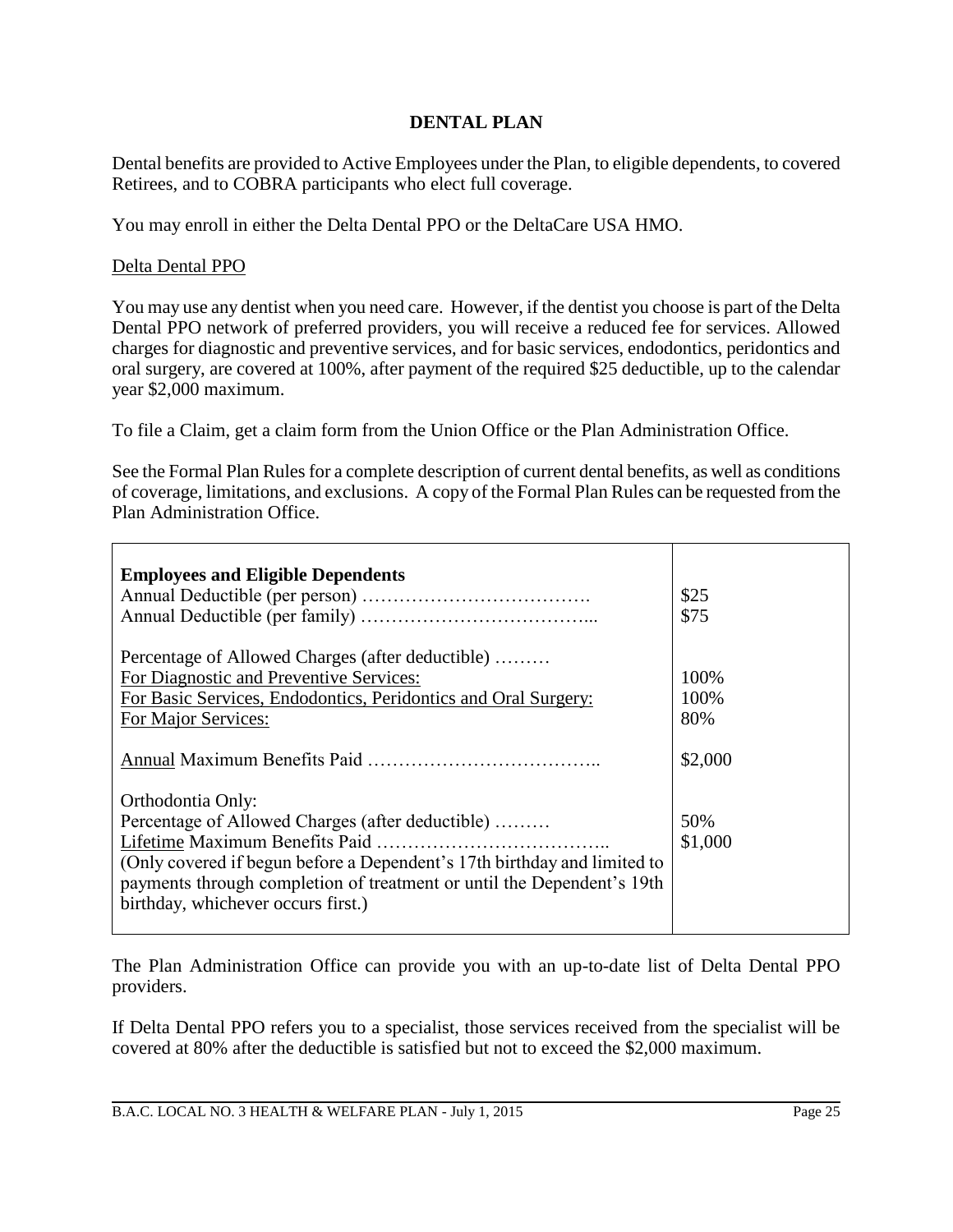### **DENTAL PLAN**

Dental benefits are provided to Active Employees under the Plan, to eligible dependents, to covered Retirees, and to COBRA participants who elect full coverage.

You may enroll in either the Delta Dental PPO or the DeltaCare USA HMO.

#### Delta Dental PPO

You may use any dentist when you need care. However, if the dentist you choose is part of the Delta Dental PPO network of preferred providers, you will receive a reduced fee for services. Allowed charges for diagnostic and preventive services, and for basic services, endodontics, peridontics and oral surgery, are covered at 100%, after payment of the required \$25 deductible, up to the calendar year \$2,000 maximum.

To file a Claim, get a claim form from the Union Office or the Plan Administration Office.

See the Formal Plan Rules for a complete description of current dental benefits, as well as conditions of coverage, limitations, and exclusions. A copy of the Formal Plan Rules can be requested from the Plan Administration Office.

| <b>Employees and Eligible Dependents</b>                                                                                                                                                                                                                          | \$25<br>\$75          |
|-------------------------------------------------------------------------------------------------------------------------------------------------------------------------------------------------------------------------------------------------------------------|-----------------------|
| Percentage of Allowed Charges (after deductible)<br>For Diagnostic and Preventive Services:<br>For Basic Services, Endodontics, Peridontics and Oral Surgery:<br>For Major Services:                                                                              | 100\%<br>100\%<br>80% |
|                                                                                                                                                                                                                                                                   | \$2,000               |
| Orthodontia Only:<br>Percentage of Allowed Charges (after deductible)<br>(Only covered if begun before a Dependent's 17th birthday and limited to<br>payments through completion of treatment or until the Dependent's 19th<br>birthday, whichever occurs first.) | 50%<br>\$1,000        |

The Plan Administration Office can provide you with an up-to-date list of Delta Dental PPO providers.

If Delta Dental PPO refers you to a specialist, those services received from the specialist will be covered at 80% after the deductible is satisfied but not to exceed the \$2,000 maximum.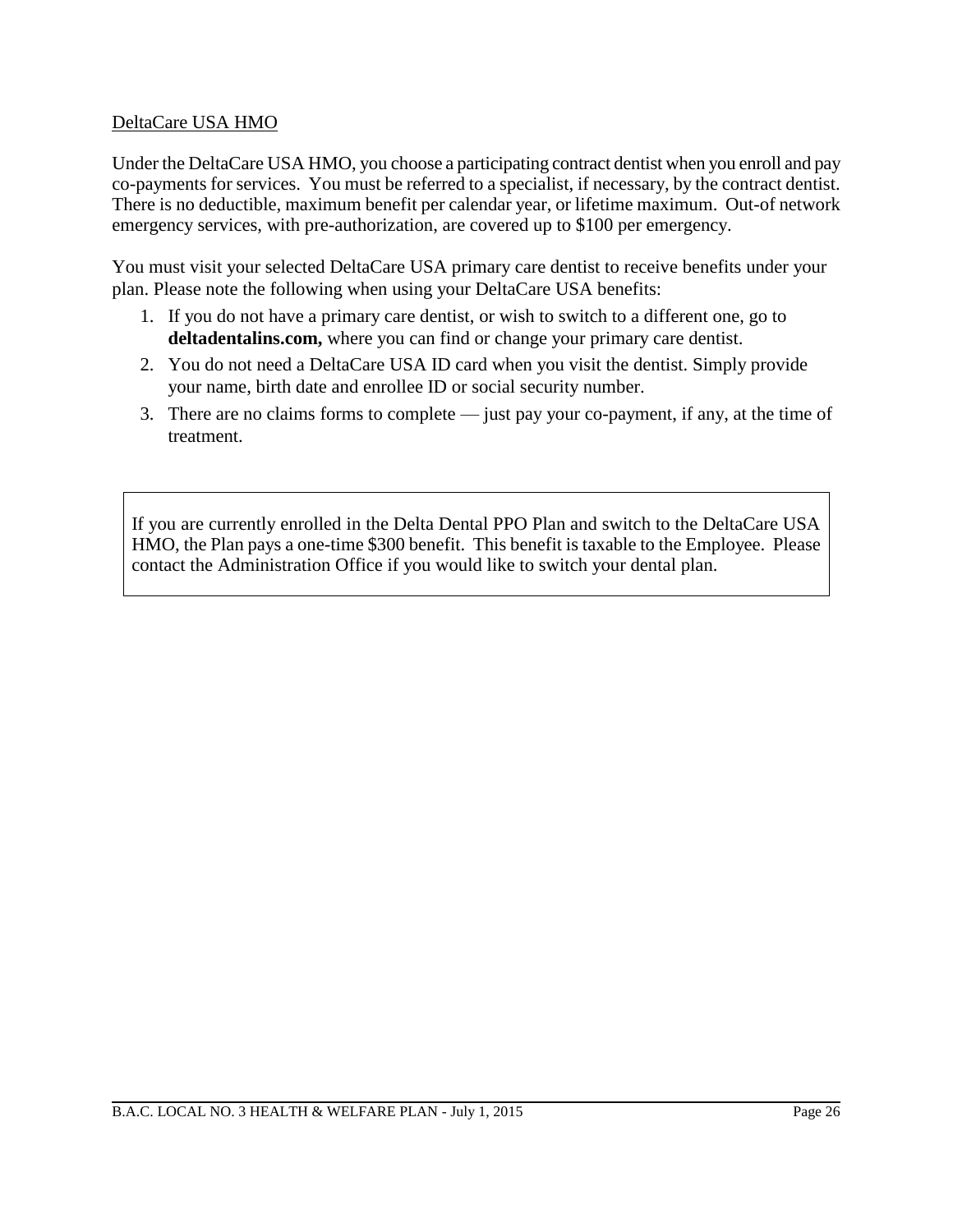## DeltaCare USA HMO

Under the DeltaCare USA HMO, you choose a participating contract dentist when you enroll and pay co-payments for services. You must be referred to a specialist, if necessary, by the contract dentist. There is no deductible, maximum benefit per calendar year, or lifetime maximum. Out-of network emergency services, with pre-authorization, are covered up to \$100 per emergency.

You must visit your selected DeltaCare USA primary care dentist to receive benefits under your plan. Please note the following when using your DeltaCare USA benefits:

- 1. If you do not have a primary care dentist, or wish to switch to a different one, go to **deltadentalins.com,** where you can find or change your primary care dentist.
- 2. You do not need a DeltaCare USA ID card when you visit the dentist. Simply provide your name, birth date and enrollee ID or social security number.
- 3. There are no claims forms to complete just pay your co-payment, if any, at the time of treatment.

If you are currently enrolled in the Delta Dental PPO Plan and switch to the DeltaCare USA HMO, the Plan pays a one-time \$300 benefit. This benefit is taxable to the Employee. Please contact the Administration Office if you would like to switch your dental plan.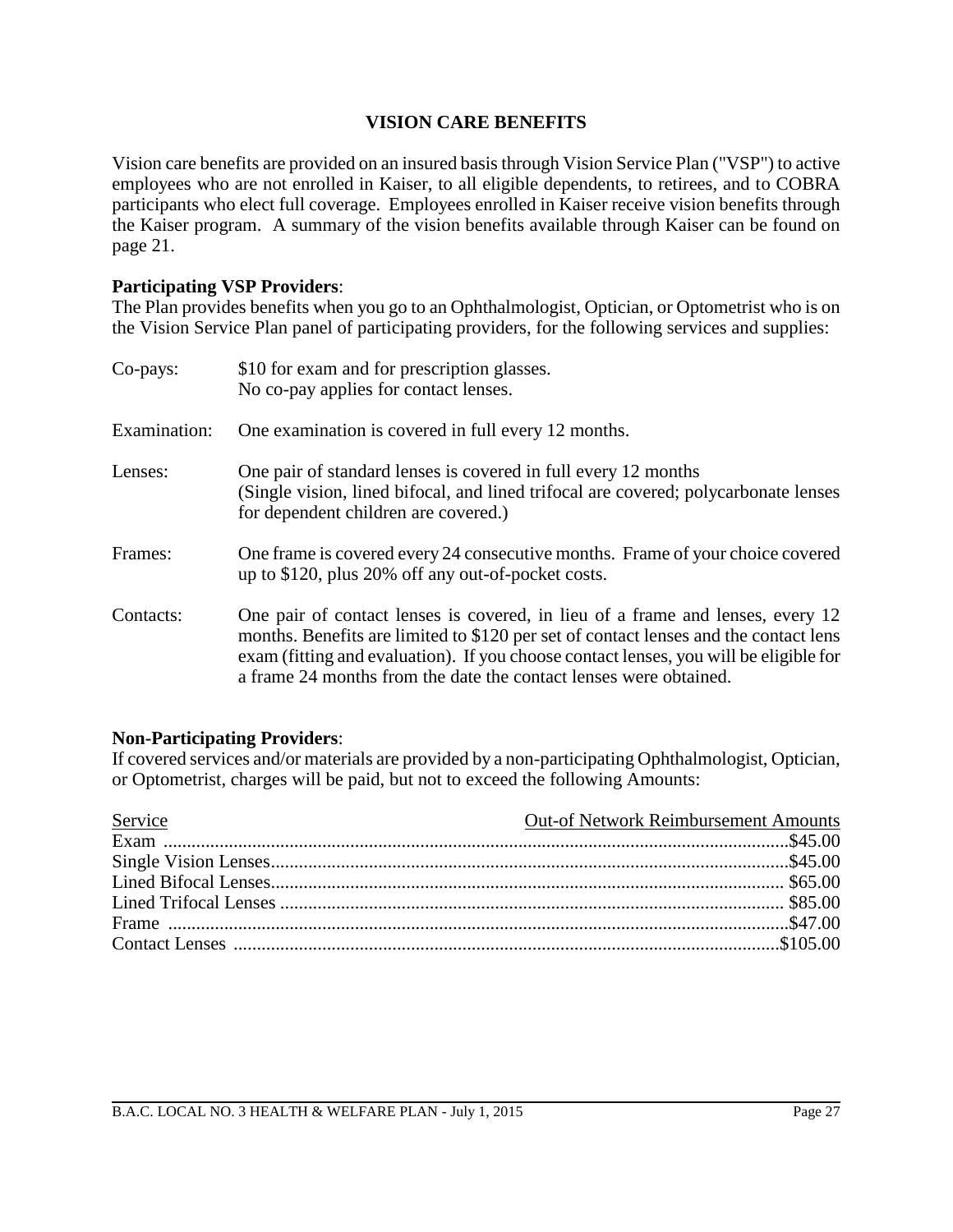#### **VISION CARE BENEFITS**

Vision care benefits are provided on an insured basis through Vision Service Plan ("VSP") to active employees who are not enrolled in Kaiser, to all eligible dependents, to retirees, and to COBRA participants who elect full coverage. Employees enrolled in Kaiser receive vision benefits through the Kaiser program. A summary of the vision benefits available through Kaiser can be found on page 21.

#### **Participating VSP Providers**:

The Plan provides benefits when you go to an Ophthalmologist, Optician, or Optometrist who is on the Vision Service Plan panel of participating providers, for the following services and supplies:

| Co-pays:     | \$10 for exam and for prescription glasses.<br>No co-pay applies for contact lenses.                                                                                                                                                                                                                                                 |
|--------------|--------------------------------------------------------------------------------------------------------------------------------------------------------------------------------------------------------------------------------------------------------------------------------------------------------------------------------------|
| Examination: | One examination is covered in full every 12 months.                                                                                                                                                                                                                                                                                  |
| Lenses:      | One pair of standard lenses is covered in full every 12 months<br>(Single vision, lined bifocal, and lined trifocal are covered; polycarbonate lenses)<br>for dependent children are covered.)                                                                                                                                       |
| Frames:      | One frame is covered every 24 consecutive months. Frame of your choice covered<br>up to \$120, plus 20% off any out-of-pocket costs.                                                                                                                                                                                                 |
| Contacts:    | One pair of contact lenses is covered, in lieu of a frame and lenses, every 12<br>months. Benefits are limited to \$120 per set of contact lenses and the contact lens<br>exam (fitting and evaluation). If you choose contact lenses, you will be eligible for<br>a frame 24 months from the date the contact lenses were obtained. |

#### **Non-Participating Providers**:

If covered services and/or materials are provided by a non-participating Ophthalmologist, Optician, or Optometrist, charges will be paid, but not to exceed the following Amounts:

| Service | <b>Out-of Network Reimbursement Amounts</b> |
|---------|---------------------------------------------|
|         |                                             |
|         |                                             |
|         |                                             |
|         |                                             |
|         |                                             |
|         |                                             |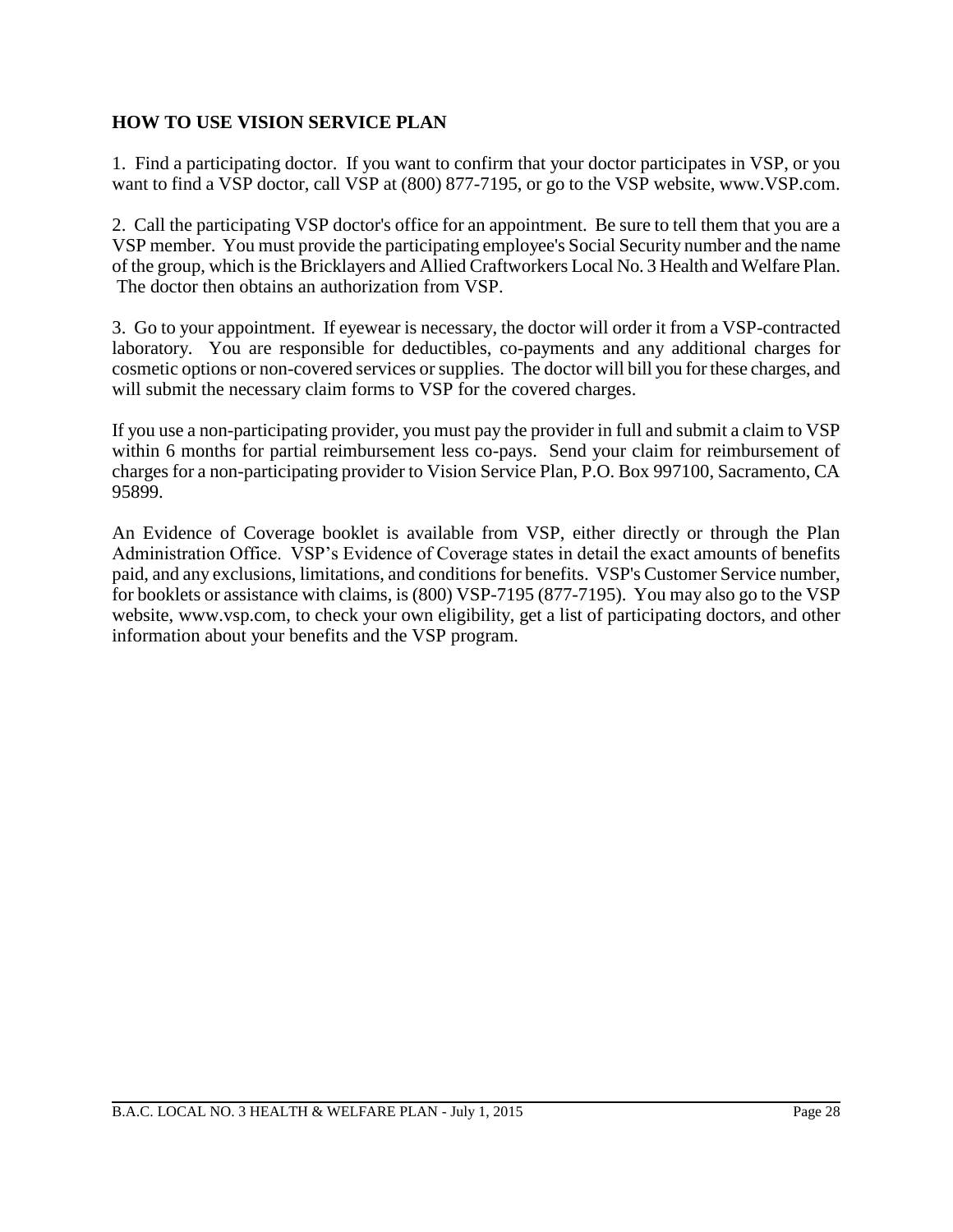## **HOW TO USE VISION SERVICE PLAN**

1. Find a participating doctor. If you want to confirm that your doctor participates in VSP, or you want to find a VSP doctor, call VSP at (800) 877-7195, or go to the VSP website, www.VSP.com.

2. Call the participating VSP doctor's office for an appointment. Be sure to tell them that you are a VSP member. You must provide the participating employee's Social Security number and the name of the group, which is the Bricklayers and Allied Craftworkers Local No. 3 Health and Welfare Plan. The doctor then obtains an authorization from VSP.

3. Go to your appointment. If eyewear is necessary, the doctor will order it from a VSP-contracted laboratory. You are responsible for deductibles, co-payments and any additional charges for cosmetic options or non-covered services or supplies. The doctor will bill you for these charges, and will submit the necessary claim forms to VSP for the covered charges.

If you use a non-participating provider, you must pay the provider in full and submit a claim to VSP within 6 months for partial reimbursement less co-pays. Send your claim for reimbursement of charges for a non-participating provider to Vision Service Plan, P.O. Box 997100, Sacramento, CA 95899.

An Evidence of Coverage booklet is available from VSP, either directly or through the Plan Administration Office. VSP's Evidence of Coverage states in detail the exact amounts of benefits paid, and any exclusions, limitations, and conditions for benefits. VSP's Customer Service number, for booklets or assistance with claims, is (800) VSP-7195 (877-7195). You may also go to the VSP website, www.vsp.com, to check your own eligibility, get a list of participating doctors, and other information about your benefits and the VSP program.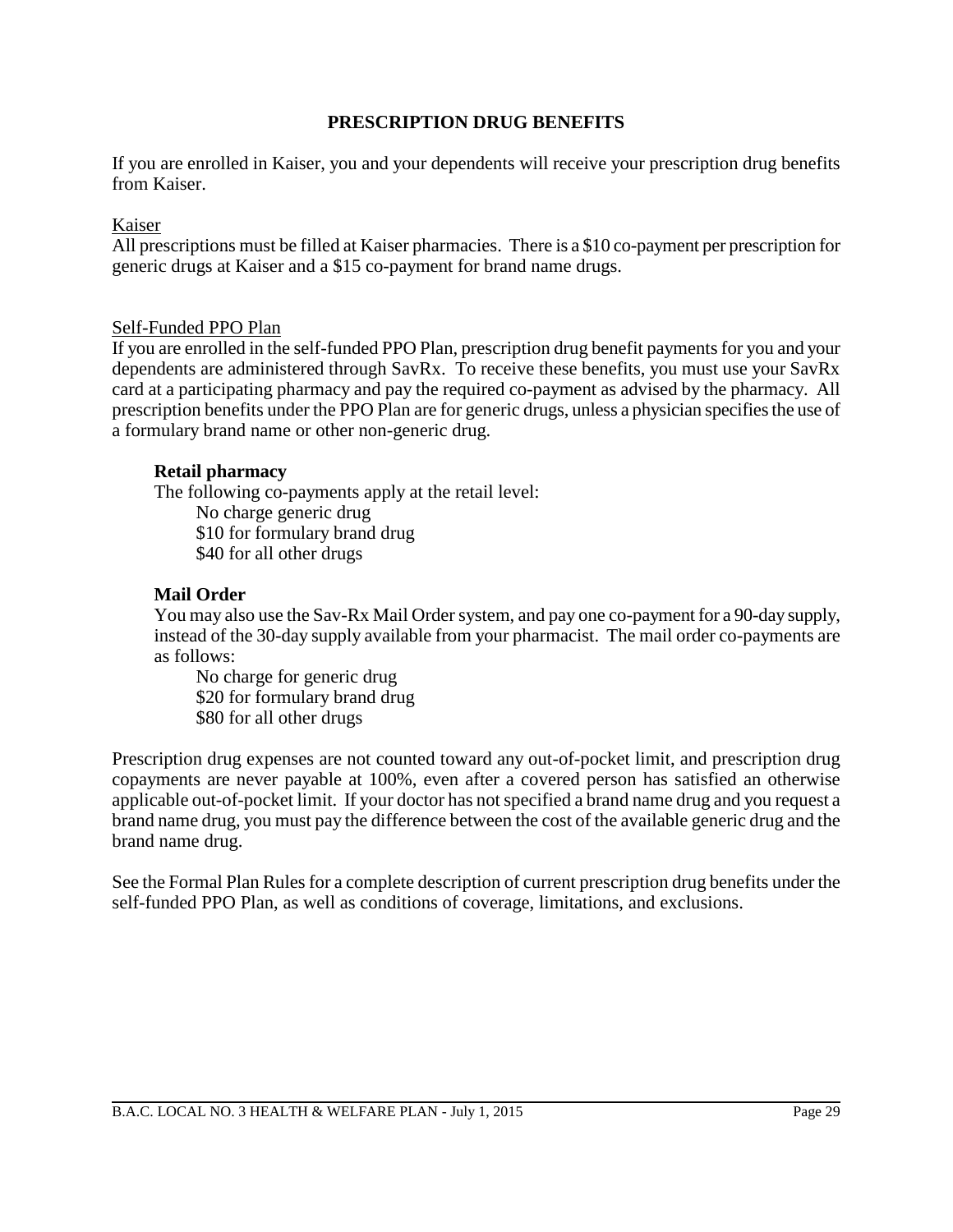#### **PRESCRIPTION DRUG BENEFITS**

If you are enrolled in Kaiser, you and your dependents will receive your prescription drug benefits from Kaiser.

### Kaiser

All prescriptions must be filled at Kaiser pharmacies. There is a \$10 co-payment per prescription for generic drugs at Kaiser and a \$15 co-payment for brand name drugs.

### Self-Funded PPO Plan

If you are enrolled in the self-funded PPO Plan, prescription drug benefit payments for you and your dependents are administered through SavRx. To receive these benefits, you must use your SavRx card at a participating pharmacy and pay the required co-payment as advised by the pharmacy. All prescription benefits under the PPO Plan are for generic drugs, unless a physician specifies the use of a formulary brand name or other non-generic drug.

### **Retail pharmacy**

The following co-payments apply at the retail level:

No charge generic drug \$10 for formulary brand drug \$40 for all other drugs

### **Mail Order**

You may also use the Sav-Rx Mail Order system, and pay one co-payment for a 90-day supply, instead of the 30-day supply available from your pharmacist. The mail order co-payments are as follows:

No charge for generic drug \$20 for formulary brand drug \$80 for all other drugs

Prescription drug expenses are not counted toward any out-of-pocket limit, and prescription drug copayments are never payable at 100%, even after a covered person has satisfied an otherwise applicable out-of-pocket limit. If your doctor has not specified a brand name drug and you request a brand name drug, you must pay the difference between the cost of the available generic drug and the brand name drug.

See the Formal Plan Rules for a complete description of current prescription drug benefits under the self-funded PPO Plan, as well as conditions of coverage, limitations, and exclusions.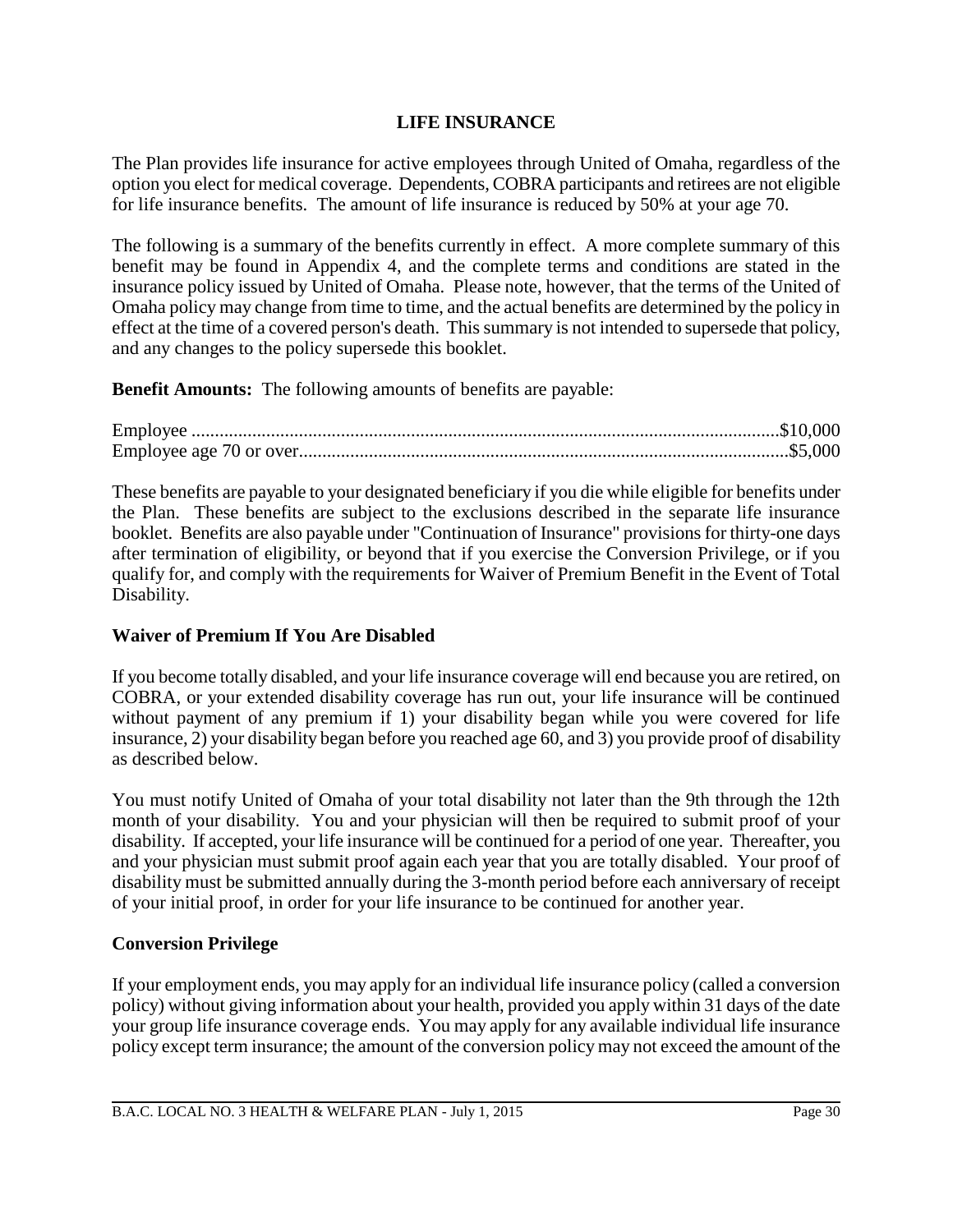## **LIFE INSURANCE**

The Plan provides life insurance for active employees through United of Omaha, regardless of the option you elect for medical coverage. Dependents, COBRA participants and retirees are not eligible for life insurance benefits. The amount of life insurance is reduced by 50% at your age 70.

The following is a summary of the benefits currently in effect. A more complete summary of this benefit may be found in Appendix 4, and the complete terms and conditions are stated in the insurance policy issued by United of Omaha. Please note, however, that the terms of the United of Omaha policy may change from time to time, and the actual benefits are determined by the policy in effect at the time of a covered person's death. This summary is not intended to supersede that policy, and any changes to the policy supersede this booklet.

**Benefit Amounts:** The following amounts of benefits are payable:

These benefits are payable to your designated beneficiary if you die while eligible for benefits under the Plan. These benefits are subject to the exclusions described in the separate life insurance booklet. Benefits are also payable under "Continuation of Insurance" provisions for thirty-one days after termination of eligibility, or beyond that if you exercise the Conversion Privilege, or if you qualify for, and comply with the requirements for Waiver of Premium Benefit in the Event of Total Disability.

## **Waiver of Premium If You Are Disabled**

If you become totally disabled, and your life insurance coverage will end because you are retired, on COBRA, or your extended disability coverage has run out, your life insurance will be continued without payment of any premium if 1) your disability began while you were covered for life insurance, 2) your disability began before you reached age 60, and 3) you provide proof of disability as described below.

You must notify United of Omaha of your total disability not later than the 9th through the 12th month of your disability. You and your physician will then be required to submit proof of your disability. If accepted, your life insurance will be continued for a period of one year. Thereafter, you and your physician must submit proof again each year that you are totally disabled. Your proof of disability must be submitted annually during the 3-month period before each anniversary of receipt of your initial proof, in order for your life insurance to be continued for another year.

## **Conversion Privilege**

If your employment ends, you may apply for an individual life insurance policy (called a conversion policy) without giving information about your health, provided you apply within 31 days of the date your group life insurance coverage ends. You may apply for any available individual life insurance policy except term insurance; the amount of the conversion policy may not exceed the amount of the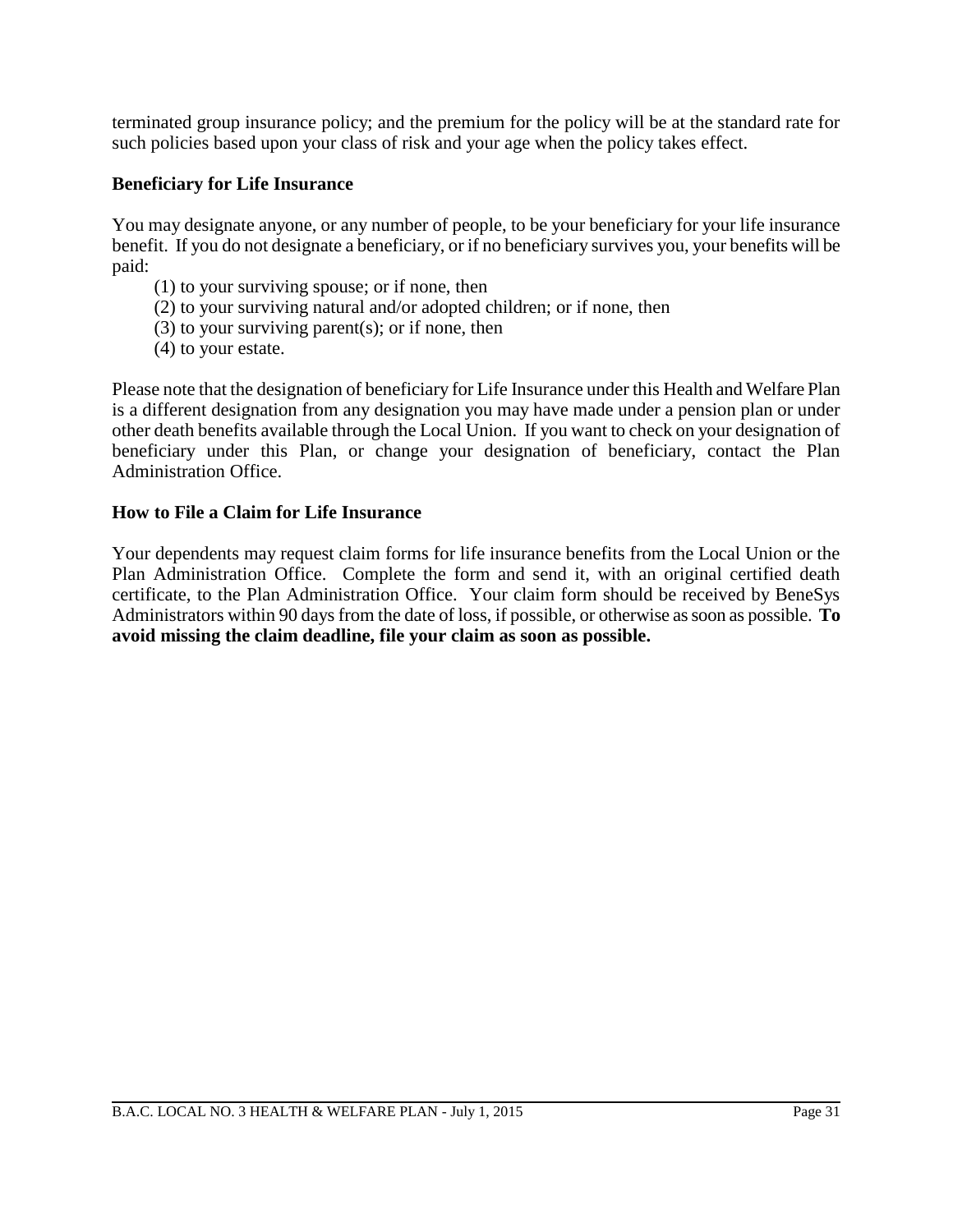terminated group insurance policy; and the premium for the policy will be at the standard rate for such policies based upon your class of risk and your age when the policy takes effect.

### **Beneficiary for Life Insurance**

You may designate anyone, or any number of people, to be your beneficiary for your life insurance benefit. If you do not designate a beneficiary, or if no beneficiary survives you, your benefits will be paid:

- (1) to your surviving spouse; or if none, then
- (2) to your surviving natural and/or adopted children; or if none, then
- (3) to your surviving parent(s); or if none, then
- (4) to your estate.

Please note that the designation of beneficiary for Life Insurance under this Health and Welfare Plan is a different designation from any designation you may have made under a pension plan or under other death benefits available through the Local Union. If you want to check on your designation of beneficiary under this Plan, or change your designation of beneficiary, contact the Plan Administration Office.

#### **How to File a Claim for Life Insurance**

Your dependents may request claim forms for life insurance benefits from the Local Union or the Plan Administration Office. Complete the form and send it, with an original certified death certificate, to the Plan Administration Office. Your claim form should be received by BeneSys Administrators within 90 days from the date of loss, if possible, or otherwise as soon as possible. **To avoid missing the claim deadline, file your claim as soon as possible.**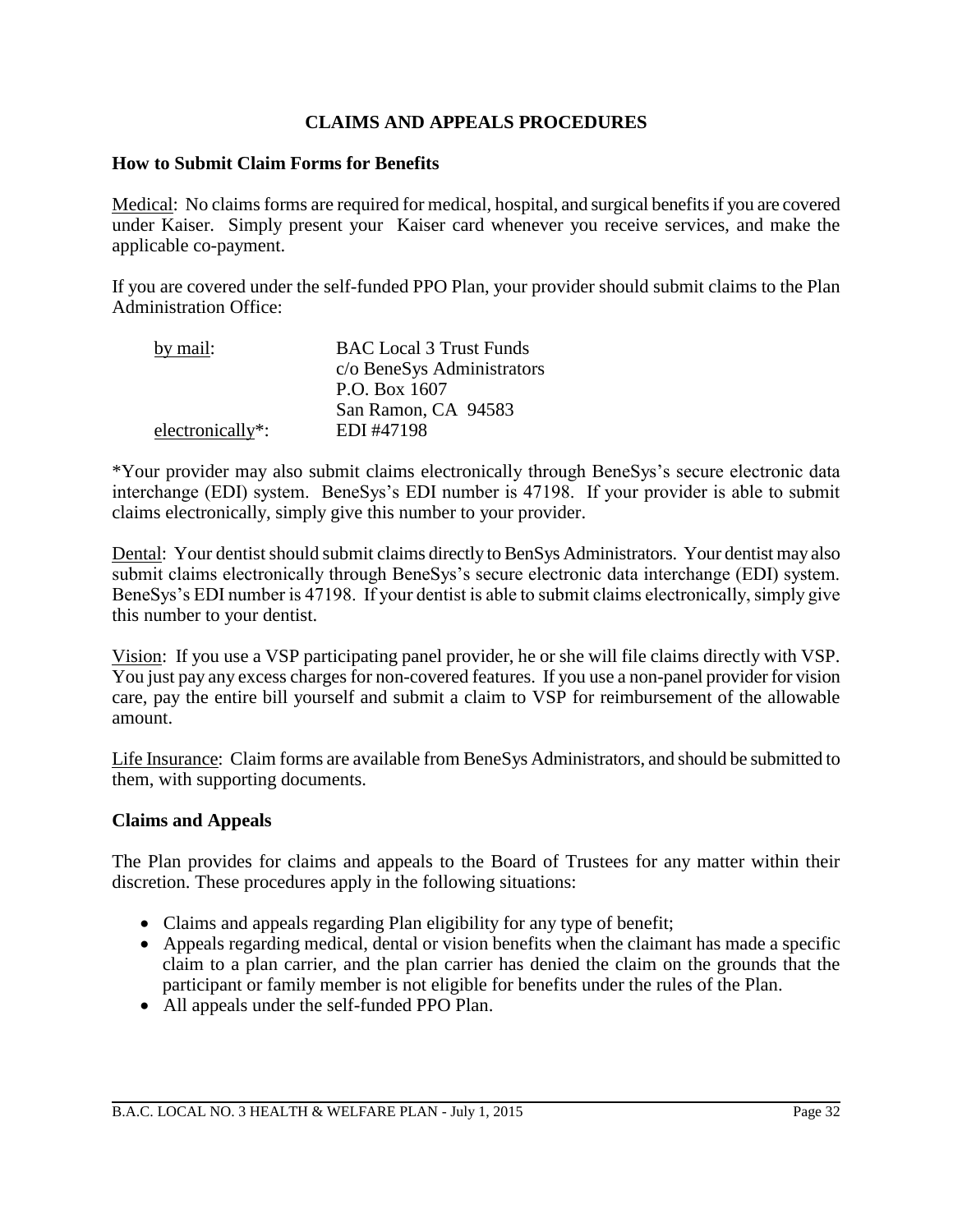### **CLAIMS AND APPEALS PROCEDURES**

#### **How to Submit Claim Forms for Benefits**

Medical: No claims forms are required for medical, hospital, and surgical benefits if you are covered under Kaiser. Simply present your Kaiser card whenever you receive services, and make the applicable co-payment.

If you are covered under the self-funded PPO Plan, your provider should submit claims to the Plan Administration Office:

| by mail:         | <b>BAC</b> Local 3 Trust Funds |
|------------------|--------------------------------|
|                  | c/o BeneSys Administrators     |
|                  | P.O. Box 1607                  |
|                  | San Ramon, CA 94583            |
| electronically*: | EDI#47198                      |

\*Your provider may also submit claims electronically through BeneSys's secure electronic data interchange (EDI) system. BeneSys's EDI number is 47198. If your provider is able to submit claims electronically, simply give this number to your provider.

Dental: Your dentist should submit claims directly to BenSys Administrators. Your dentist may also submit claims electronically through BeneSys's secure electronic data interchange (EDI) system. BeneSys's EDI number is 47198. If your dentist is able to submit claims electronically, simply give this number to your dentist.

Vision: If you use a VSP participating panel provider, he or she will file claims directly with VSP. You just pay any excess charges for non-covered features. If you use a non-panel provider for vision care, pay the entire bill yourself and submit a claim to VSP for reimbursement of the allowable amount.

Life Insurance: Claim forms are available from BeneSys Administrators, and should be submitted to them, with supporting documents.

#### **Claims and Appeals**

The Plan provides for claims and appeals to the Board of Trustees for any matter within their discretion. These procedures apply in the following situations:

- Claims and appeals regarding Plan eligibility for any type of benefit;
- Appeals regarding medical, dental or vision benefits when the claimant has made a specific claim to a plan carrier, and the plan carrier has denied the claim on the grounds that the participant or family member is not eligible for benefits under the rules of the Plan.
- All appeals under the self-funded PPO Plan.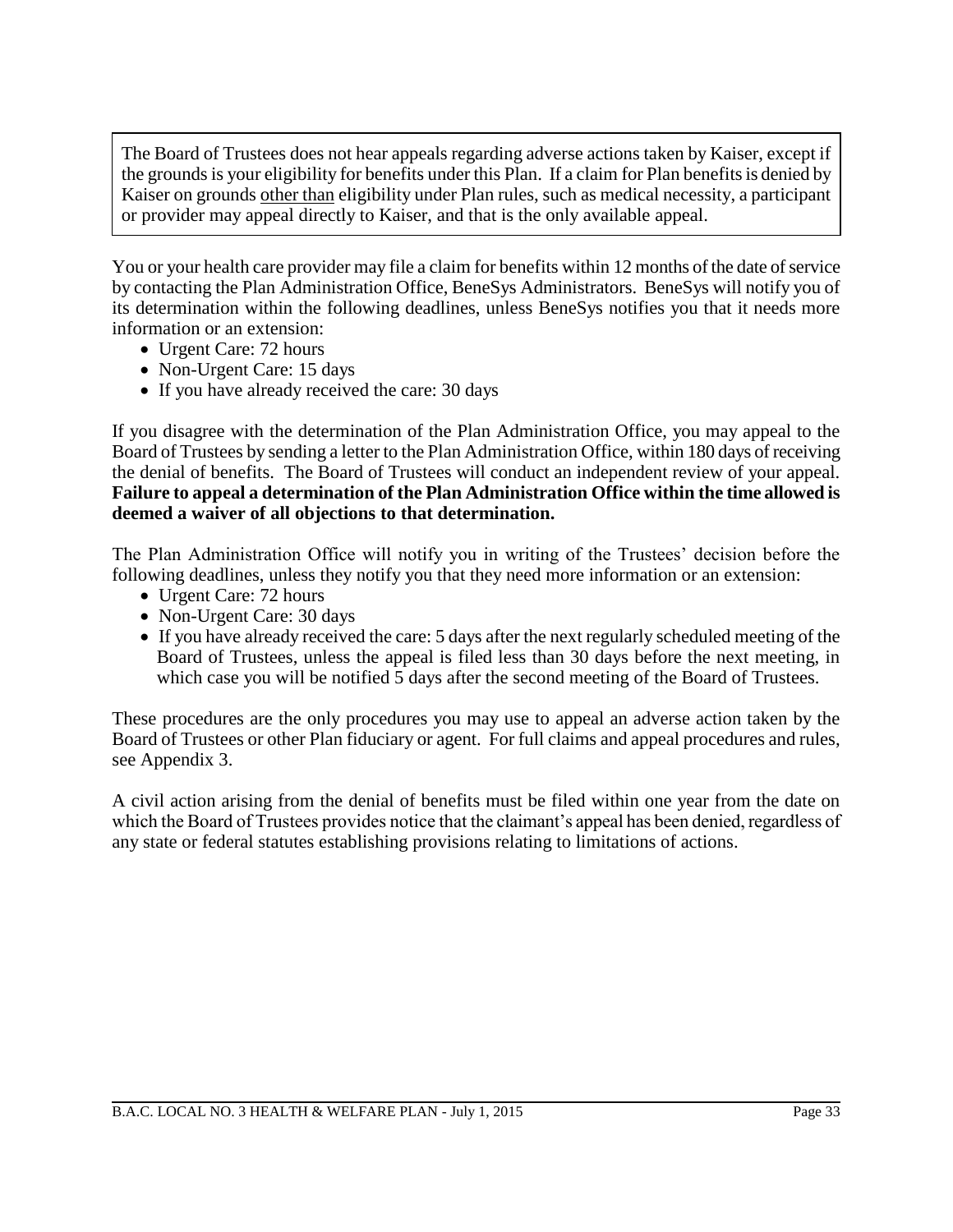The Board of Trustees does not hear appeals regarding adverse actions taken by Kaiser, except if the grounds is your eligibility for benefits under this Plan. If a claim for Plan benefits is denied by Kaiser on grounds other than eligibility under Plan rules, such as medical necessity, a participant or provider may appeal directly to Kaiser, and that is the only available appeal.

You or your health care provider may file a claim for benefits within 12 months of the date of service by contacting the Plan Administration Office, BeneSys Administrators. BeneSys will notify you of its determination within the following deadlines, unless BeneSys notifies you that it needs more information or an extension:

- Urgent Care: 72 hours
- Non-Urgent Care: 15 days
- If you have already received the care: 30 days

If you disagree with the determination of the Plan Administration Office, you may appeal to the Board of Trustees by sending a letter to the Plan Administration Office, within 180 days of receiving the denial of benefits. The Board of Trustees will conduct an independent review of your appeal. **Failure to appeal a determination of the Plan Administration Office within the time allowed is deemed a waiver of all objections to that determination.**

The Plan Administration Office will notify you in writing of the Trustees' decision before the following deadlines, unless they notify you that they need more information or an extension:

- Urgent Care: 72 hours
- Non-Urgent Care: 30 days
- If you have already received the care: 5 days after the next regularly scheduled meeting of the Board of Trustees, unless the appeal is filed less than 30 days before the next meeting, in which case you will be notified 5 days after the second meeting of the Board of Trustees.

These procedures are the only procedures you may use to appeal an adverse action taken by the Board of Trustees or other Plan fiduciary or agent. For full claims and appeal procedures and rules, see Appendix 3.

A civil action arising from the denial of benefits must be filed within one year from the date on which the Board of Trustees provides notice that the claimant's appeal has been denied, regardless of any state or federal statutes establishing provisions relating to limitations of actions.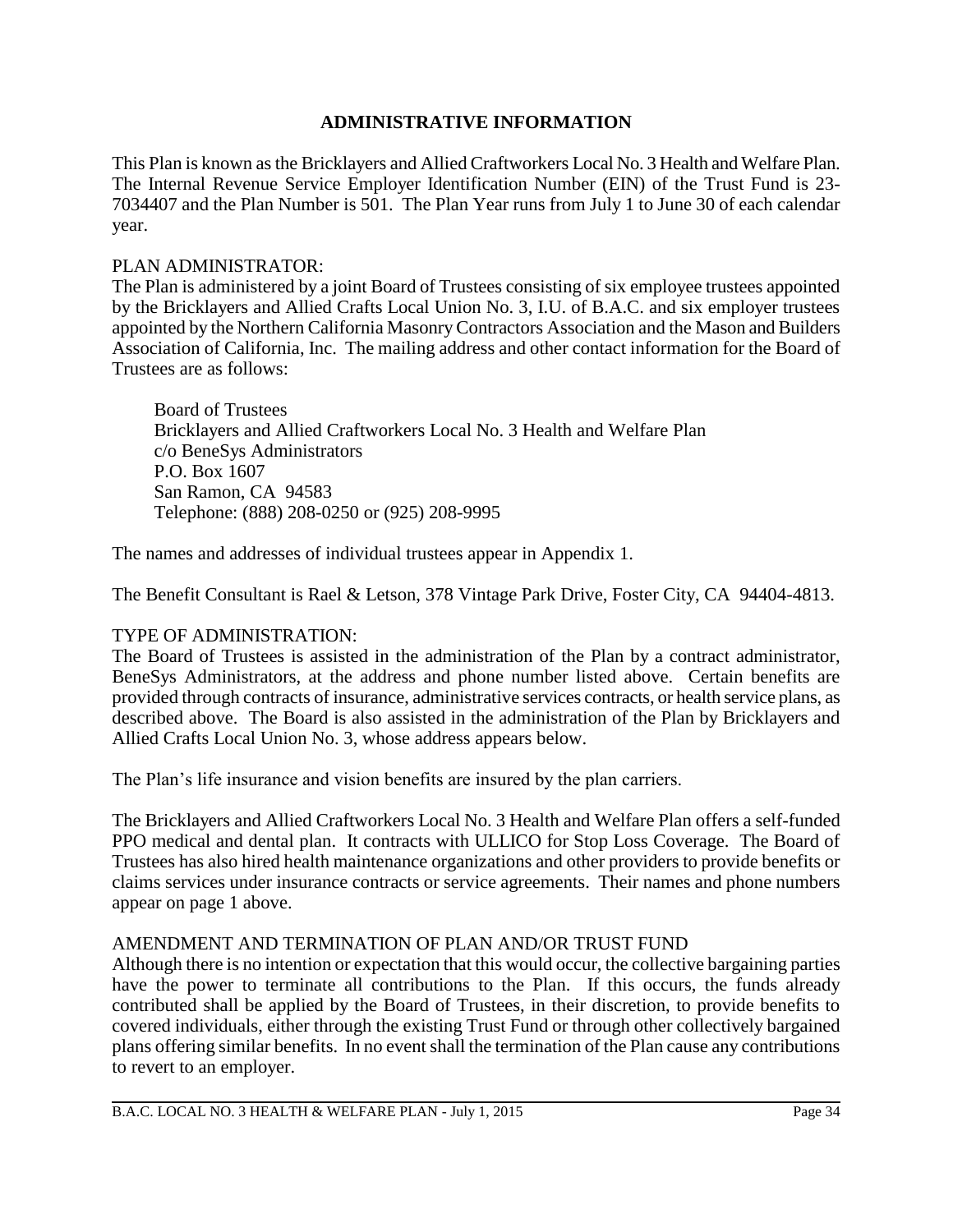## **ADMINISTRATIVE INFORMATION**

This Plan is known as the Bricklayers and Allied Craftworkers Local No. 3 Health and Welfare Plan. The Internal Revenue Service Employer Identification Number (EIN) of the Trust Fund is 23- 7034407 and the Plan Number is 501. The Plan Year runs from July 1 to June 30 of each calendar year.

### PLAN ADMINISTRATOR:

The Plan is administered by a joint Board of Trustees consisting of six employee trustees appointed by the Bricklayers and Allied Crafts Local Union No. 3, I.U. of B.A.C. and six employer trustees appointed by the Northern California Masonry Contractors Association and the Mason and Builders Association of California, Inc. The mailing address and other contact information for the Board of Trustees are as follows:

Board of Trustees Bricklayers and Allied Craftworkers Local No. 3 Health and Welfare Plan c/o BeneSys Administrators P.O. Box 1607 San Ramon, CA 94583 Telephone: (888) 208-0250 or (925) 208-9995

The names and addresses of individual trustees appear in Appendix 1.

The Benefit Consultant is Rael & Letson, 378 Vintage Park Drive, Foster City, CA 94404-4813.

## TYPE OF ADMINISTRATION:

The Board of Trustees is assisted in the administration of the Plan by a contract administrator, BeneSys Administrators, at the address and phone number listed above. Certain benefits are provided through contracts of insurance, administrative services contracts, or health service plans, as described above. The Board is also assisted in the administration of the Plan by Bricklayers and Allied Crafts Local Union No. 3, whose address appears below.

The Plan's life insurance and vision benefits are insured by the plan carriers.

The Bricklayers and Allied Craftworkers Local No. 3 Health and Welfare Plan offers a self-funded PPO medical and dental plan. It contracts with ULLICO for Stop Loss Coverage. The Board of Trustees has also hired health maintenance organizations and other providers to provide benefits or claims services under insurance contracts or service agreements. Their names and phone numbers appear on page 1 above.

## AMENDMENT AND TERMINATION OF PLAN AND/OR TRUST FUND

Although there is no intention or expectation that this would occur, the collective bargaining parties have the power to terminate all contributions to the Plan. If this occurs, the funds already contributed shall be applied by the Board of Trustees, in their discretion, to provide benefits to covered individuals, either through the existing Trust Fund or through other collectively bargained plans offering similar benefits. In no event shall the termination of the Plan cause any contributions to revert to an employer.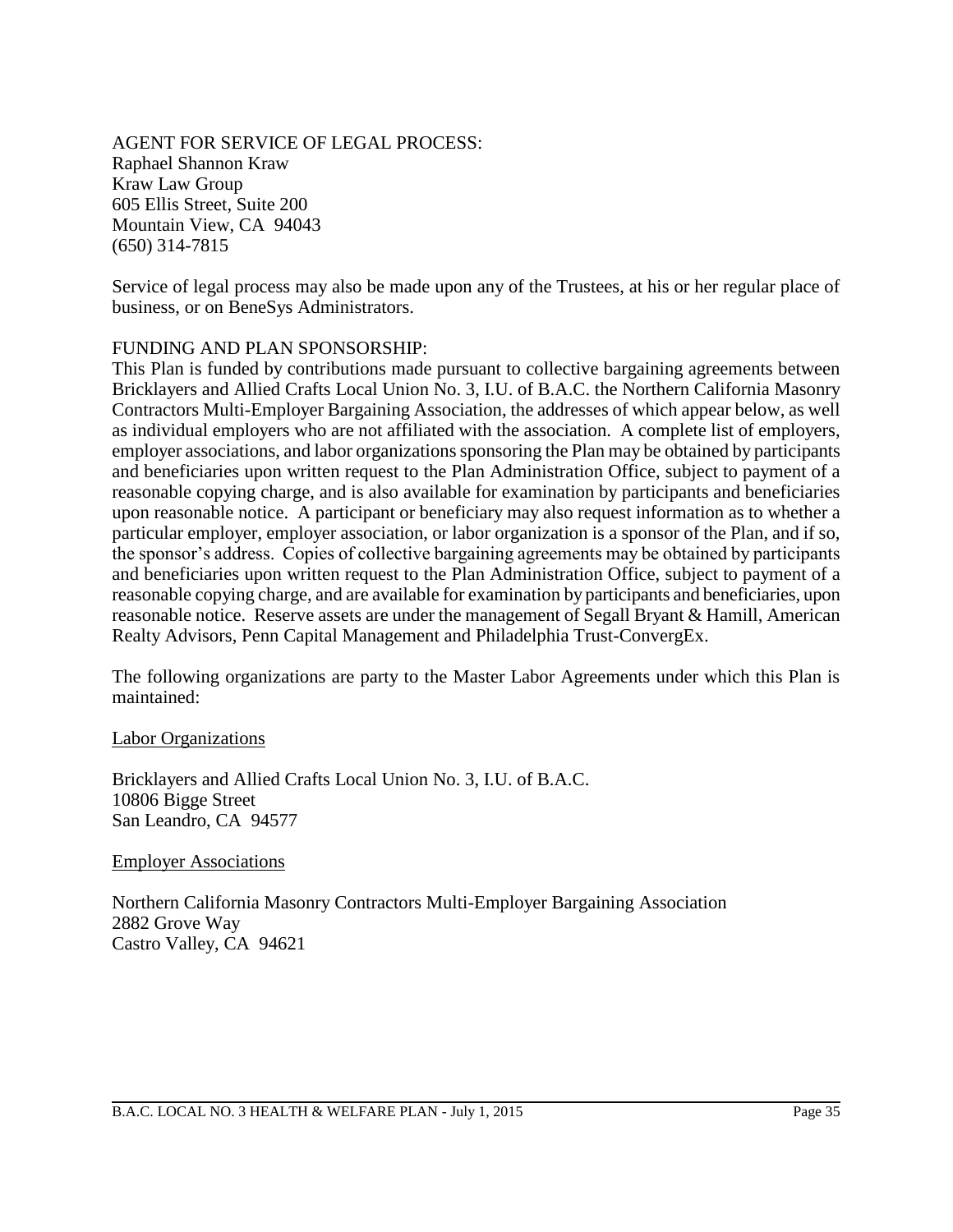AGENT FOR SERVICE OF LEGAL PROCESS: Raphael Shannon Kraw Kraw Law Group 605 Ellis Street, Suite 200 Mountain View, CA 94043 (650) 314-7815

Service of legal process may also be made upon any of the Trustees, at his or her regular place of business, or on BeneSys Administrators.

#### FUNDING AND PLAN SPONSORSHIP:

This Plan is funded by contributions made pursuant to collective bargaining agreements between Bricklayers and Allied Crafts Local Union No. 3, I.U. of B.A.C. the Northern California Masonry Contractors Multi-Employer Bargaining Association, the addresses of which appear below, as well as individual employers who are not affiliated with the association. A complete list of employers, employer associations, and labor organizations sponsoring the Plan may be obtained by participants and beneficiaries upon written request to the Plan Administration Office, subject to payment of a reasonable copying charge, and is also available for examination by participants and beneficiaries upon reasonable notice. A participant or beneficiary may also request information as to whether a particular employer, employer association, or labor organization is a sponsor of the Plan, and if so, the sponsor's address. Copies of collective bargaining agreements may be obtained by participants and beneficiaries upon written request to the Plan Administration Office, subject to payment of a reasonable copying charge, and are available for examination by participants and beneficiaries, upon reasonable notice. Reserve assets are under the management of Segall Bryant & Hamill, American Realty Advisors, Penn Capital Management and Philadelphia Trust-ConvergEx.

The following organizations are party to the Master Labor Agreements under which this Plan is maintained:

#### Labor Organizations

Bricklayers and Allied Crafts Local Union No. 3, I.U. of B.A.C. 10806 Bigge Street San Leandro, CA 94577

#### Employer Associations

Northern California Masonry Contractors Multi-Employer Bargaining Association 2882 Grove Way Castro Valley, CA 94621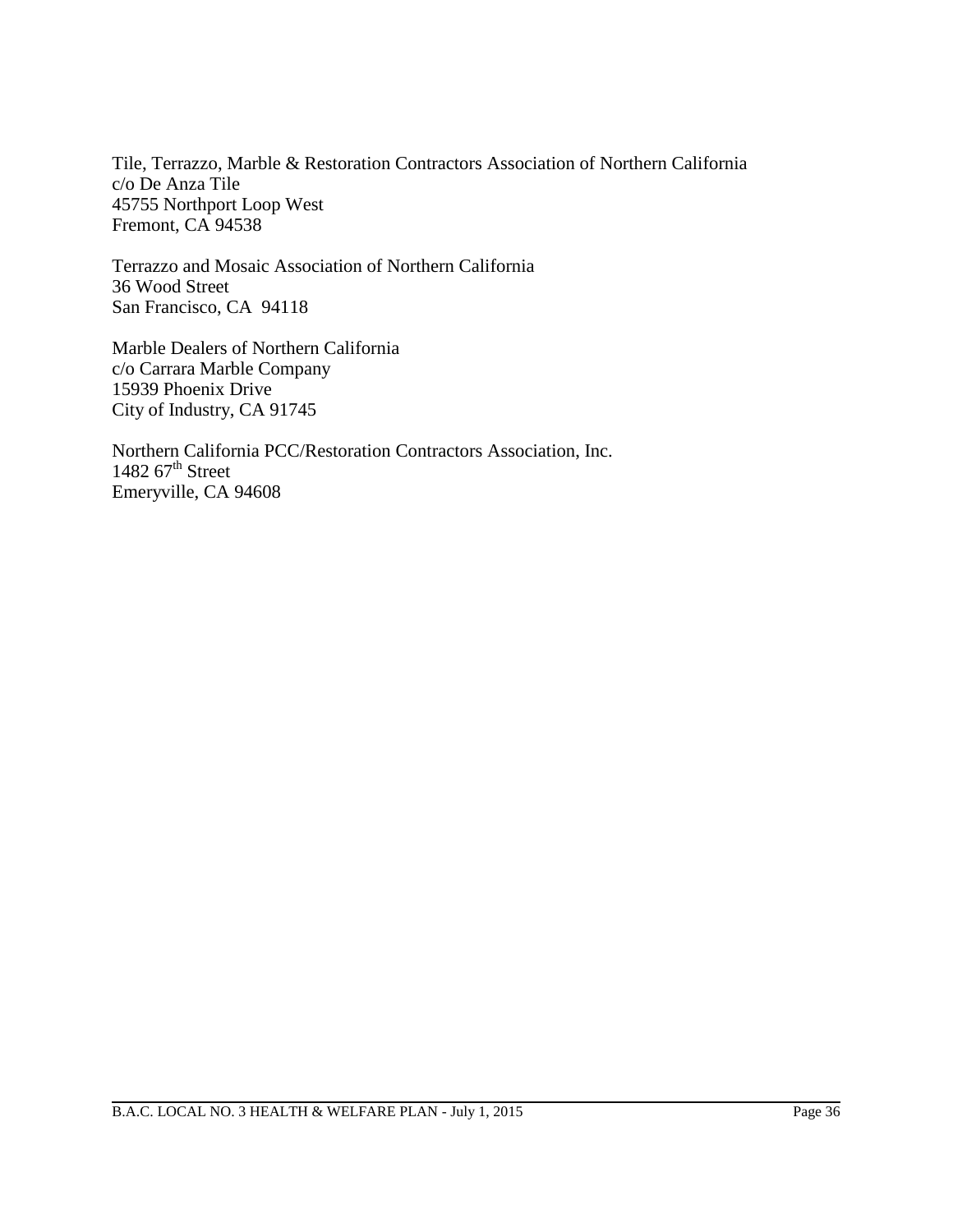Tile, Terrazzo, Marble & Restoration Contractors Association of Northern California c/o De Anza Tile 45755 Northport Loop West Fremont, CA 94538

Terrazzo and Mosaic Association of Northern California 36 Wood Street San Francisco, CA 94118

Marble Dealers of Northern California c/o Carrara Marble Company 15939 Phoenix Drive City of Industry, CA 91745

Northern California PCC/Restoration Contractors Association, Inc. 1482  $67<sup>th</sup>$  Street Emeryville, CA 94608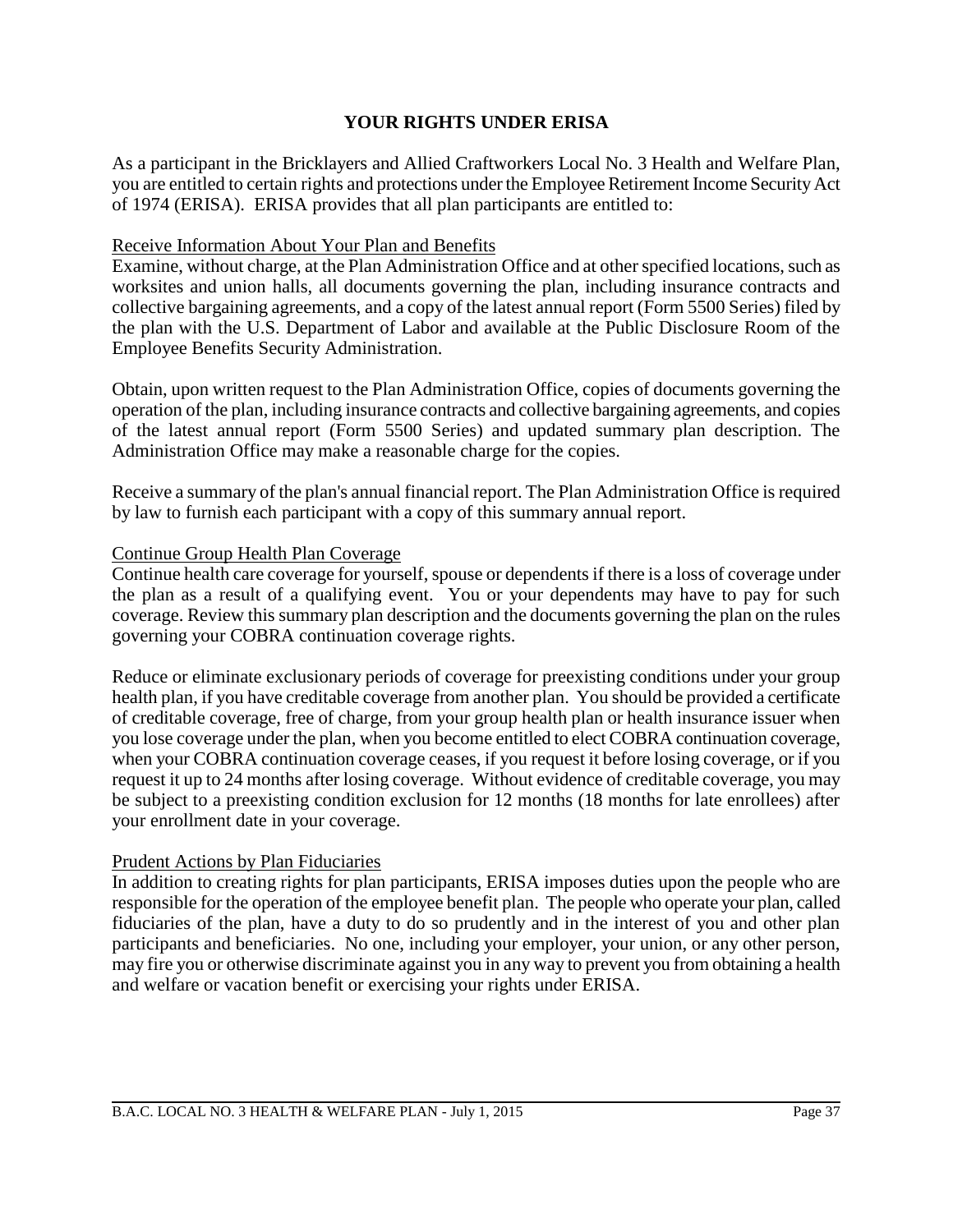#### **YOUR RIGHTS UNDER ERISA**

As a participant in the Bricklayers and Allied Craftworkers Local No. 3 Health and Welfare Plan, you are entitled to certain rights and protections under the Employee Retirement Income Security Act of 1974 (ERISA). ERISA provides that all plan participants are entitled to:

#### Receive Information About Your Plan and Benefits

Examine, without charge, at the Plan Administration Office and at other specified locations, such as worksites and union halls, all documents governing the plan, including insurance contracts and collective bargaining agreements, and a copy of the latest annual report (Form 5500 Series) filed by the plan with the U.S. Department of Labor and available at the Public Disclosure Room of the Employee Benefits Security Administration.

Obtain, upon written request to the Plan Administration Office, copies of documents governing the operation of the plan, including insurance contracts and collective bargaining agreements, and copies of the latest annual report (Form 5500 Series) and updated summary plan description. The Administration Office may make a reasonable charge for the copies.

Receive a summary of the plan's annual financial report. The Plan Administration Office is required by law to furnish each participant with a copy of this summary annual report.

#### Continue Group Health Plan Coverage

Continue health care coverage for yourself, spouse or dependents if there is a loss of coverage under the plan as a result of a qualifying event. You or your dependents may have to pay for such coverage. Review this summary plan description and the documents governing the plan on the rules governing your COBRA continuation coverage rights.

Reduce or eliminate exclusionary periods of coverage for preexisting conditions under your group health plan, if you have creditable coverage from another plan. You should be provided a certificate of creditable coverage, free of charge, from your group health plan or health insurance issuer when you lose coverage under the plan, when you become entitled to elect COBRA continuation coverage, when your COBRA continuation coverage ceases, if you request it before losing coverage, or if you request it up to 24 months after losing coverage. Without evidence of creditable coverage, you may be subject to a preexisting condition exclusion for 12 months (18 months for late enrollees) after your enrollment date in your coverage.

#### Prudent Actions by Plan Fiduciaries

In addition to creating rights for plan participants, ERISA imposes duties upon the people who are responsible for the operation of the employee benefit plan. The people who operate your plan, called fiduciaries of the plan, have a duty to do so prudently and in the interest of you and other plan participants and beneficiaries. No one, including your employer, your union, or any other person, may fire you or otherwise discriminate against you in any way to prevent you from obtaining a health and welfare or vacation benefit or exercising your rights under ERISA.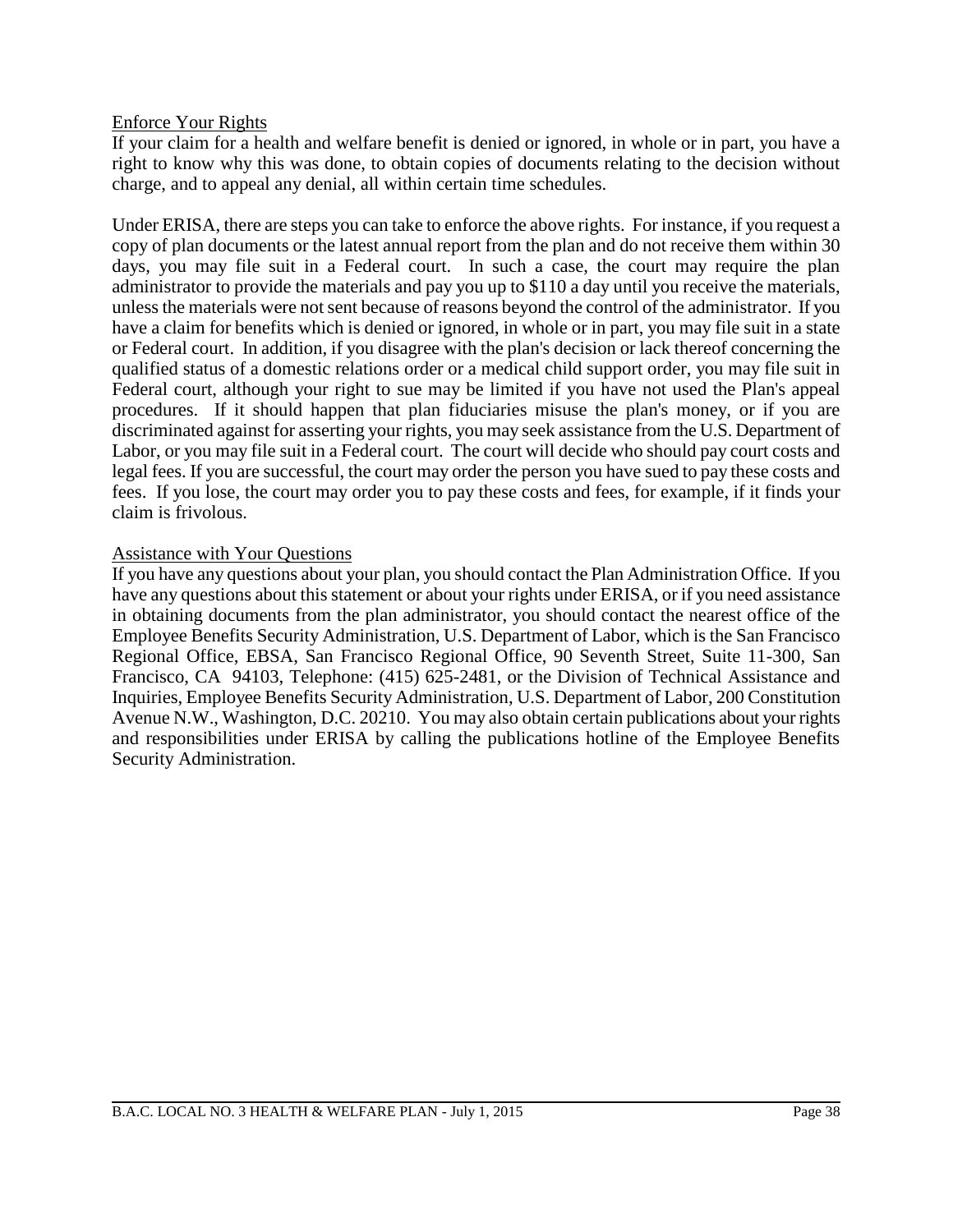#### Enforce Your Rights

If your claim for a health and welfare benefit is denied or ignored, in whole or in part, you have a right to know why this was done, to obtain copies of documents relating to the decision without charge, and to appeal any denial, all within certain time schedules.

Under ERISA, there are steps you can take to enforce the above rights. For instance, if you request a copy of plan documents or the latest annual report from the plan and do not receive them within 30 days, you may file suit in a Federal court. In such a case, the court may require the plan administrator to provide the materials and pay you up to \$110 a day until you receive the materials, unless the materials were not sent because of reasons beyond the control of the administrator. If you have a claim for benefits which is denied or ignored, in whole or in part, you may file suit in a state or Federal court. In addition, if you disagree with the plan's decision or lack thereof concerning the qualified status of a domestic relations order or a medical child support order, you may file suit in Federal court, although your right to sue may be limited if you have not used the Plan's appeal procedures. If it should happen that plan fiduciaries misuse the plan's money, or if you are discriminated against for asserting your rights, you may seek assistance from the U.S. Department of Labor, or you may file suit in a Federal court. The court will decide who should pay court costs and legal fees. If you are successful, the court may order the person you have sued to pay these costs and fees. If you lose, the court may order you to pay these costs and fees, for example, if it finds your claim is frivolous.

#### Assistance with Your Questions

If you have any questions about your plan, you should contact the Plan Administration Office. If you have any questions about this statement or about your rights under ERISA, or if you need assistance in obtaining documents from the plan administrator, you should contact the nearest office of the Employee Benefits Security Administration, U.S. Department of Labor, which is the San Francisco Regional Office, EBSA, San Francisco Regional Office, 90 Seventh Street, Suite 11-300, San Francisco, CA 94103, Telephone: (415) 625-2481, or the Division of Technical Assistance and Inquiries, Employee Benefits Security Administration, U.S. Department of Labor, 200 Constitution Avenue N.W., Washington, D.C. 20210. You may also obtain certain publications about your rights and responsibilities under ERISA by calling the publications hotline of the Employee Benefits Security Administration.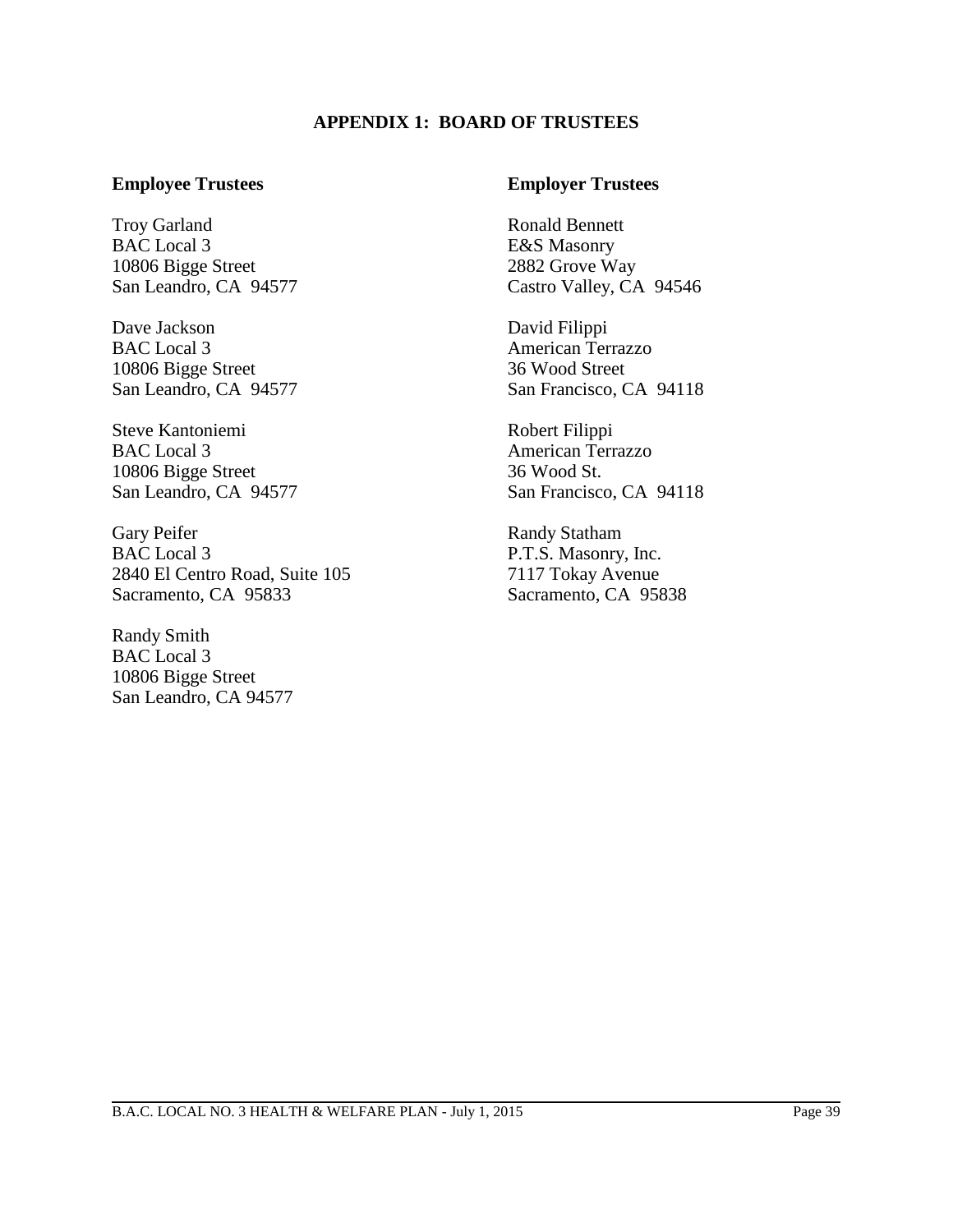#### **APPENDIX 1: BOARD OF TRUSTEES**

#### **Employee Trustees**

Troy Garland BAC Local 3 10806 Bigge Street San Leandro, CA 94577

Dave Jackson BAC Local 3 10806 Bigge Street San Leandro, CA 94577

Steve Kantoniemi BAC Local 3 10806 Bigge Street San Leandro, CA 94577

Gary Peifer BAC Local 3 2840 El Centro Road, Suite 105 Sacramento, CA 95833

Randy Smith BAC Local 3 10806 Bigge Street San Leandro, CA 94577

#### **Employer Trustees**

Ronald Bennett E&S Masonry 2882 Grove Way Castro Valley, CA 94546

David Filippi American Terrazzo 36 Wood Street San Francisco, CA 94118

Robert Filippi American Terrazzo 36 Wood St. San Francisco, CA 94118

Randy Statham P.T.S. Masonry, Inc. 7117 Tokay Avenue Sacramento, CA 95838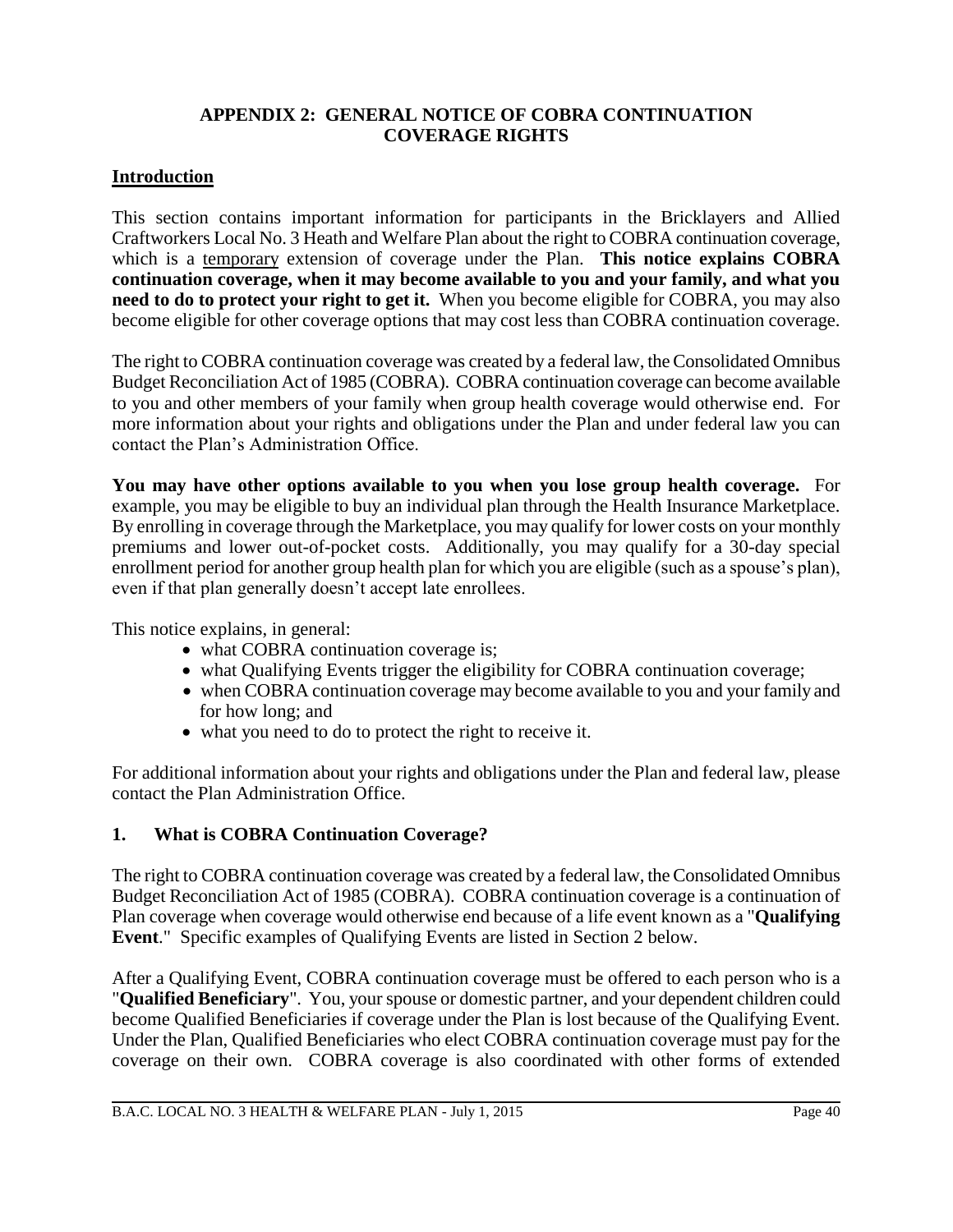## **APPENDIX 2: GENERAL NOTICE OF COBRA CONTINUATION COVERAGE RIGHTS**

## **Introduction**

This section contains important information for participants in the Bricklayers and Allied Craftworkers Local No. 3 Heath and Welfare Plan about the right to COBRA continuation coverage, which is a temporary extension of coverage under the Plan. **This notice explains COBRA continuation coverage, when it may become available to you and your family, and what you need to do to protect your right to get it.** When you become eligible for COBRA, you may also become eligible for other coverage options that may cost less than COBRA continuation coverage.

The right to COBRA continuation coverage was created by a federal law, the Consolidated Omnibus Budget Reconciliation Act of 1985 (COBRA). COBRA continuation coverage can become available to you and other members of your family when group health coverage would otherwise end. For more information about your rights and obligations under the Plan and under federal law you can contact the Plan's Administration Office.

**You may have other options available to you when you lose group health coverage.** For example, you may be eligible to buy an individual plan through the Health Insurance Marketplace. By enrolling in coverage through the Marketplace, you may qualify for lower costs on your monthly premiums and lower out-of-pocket costs. Additionally, you may qualify for a 30-day special enrollment period for another group health plan for which you are eligible (such as a spouse's plan), even if that plan generally doesn't accept late enrollees.

This notice explains, in general:

- what COBRA continuation coverage is;
- what Qualifying Events trigger the eligibility for COBRA continuation coverage;
- when COBRA continuation coverage may become available to you and your family and for how long; and
- what you need to do to protect the right to receive it.

For additional information about your rights and obligations under the Plan and federal law, please contact the Plan Administration Office.

## **1. What is COBRA Continuation Coverage?**

The right to COBRA continuation coverage was created by a federal law, the Consolidated Omnibus Budget Reconciliation Act of 1985 (COBRA). COBRA continuation coverage is a continuation of Plan coverage when coverage would otherwise end because of a life event known as a "**Qualifying Event**." Specific examples of Qualifying Events are listed in Section 2 below.

After a Qualifying Event, COBRA continuation coverage must be offered to each person who is a "**Qualified Beneficiary**". You, your spouse or domestic partner, and your dependent children could become Qualified Beneficiaries if coverage under the Plan is lost because of the Qualifying Event. Under the Plan, Qualified Beneficiaries who elect COBRA continuation coverage must pay for the coverage on their own. COBRA coverage is also coordinated with other forms of extended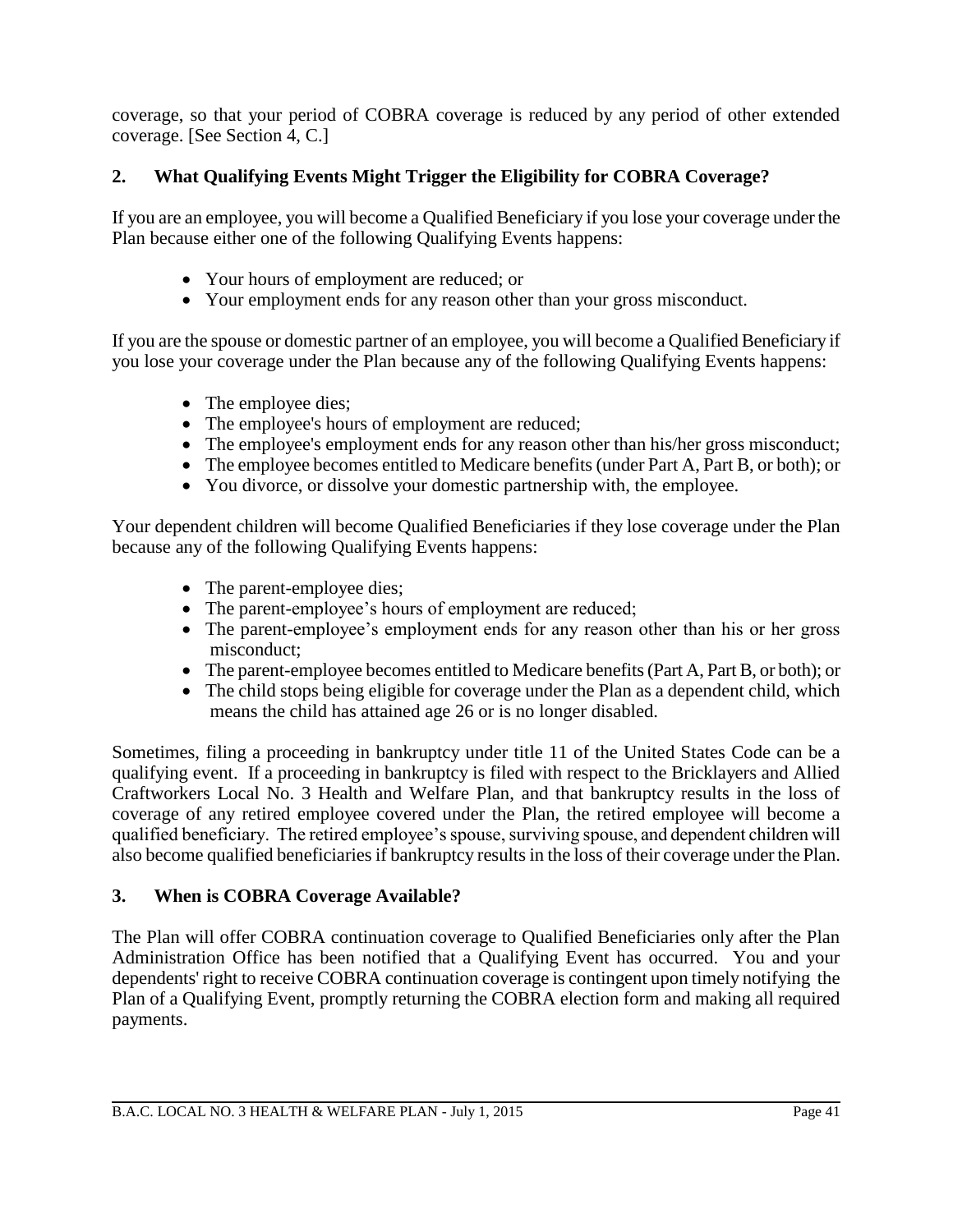coverage, so that your period of COBRA coverage is reduced by any period of other extended coverage. [See Section 4, C.]

# **2. What Qualifying Events Might Trigger the Eligibility for COBRA Coverage?**

If you are an employee, you will become a Qualified Beneficiary if you lose your coverage under the Plan because either one of the following Qualifying Events happens:

- Your hours of employment are reduced; or
- Your employment ends for any reason other than your gross misconduct.

If you are the spouse or domestic partner of an employee, you will become a Qualified Beneficiary if you lose your coverage under the Plan because any of the following Qualifying Events happens:

- The employee dies;
- The employee's hours of employment are reduced;
- The employee's employment ends for any reason other than his/her gross misconduct;
- The employee becomes entitled to Medicare benefits (under Part A, Part B, or both); or
- You divorce, or dissolve your domestic partnership with, the employee.

Your dependent children will become Qualified Beneficiaries if they lose coverage under the Plan because any of the following Qualifying Events happens:

- The parent-employee dies;
- The parent-employee's hours of employment are reduced;
- The parent-employee's employment ends for any reason other than his or her gross misconduct;
- The parent-employee becomes entitled to Medicare benefits (Part A, Part B, or both); or
- The child stops being eligible for coverage under the Plan as a dependent child, which means the child has attained age 26 or is no longer disabled.

Sometimes, filing a proceeding in bankruptcy under title 11 of the United States Code can be a qualifying event. If a proceeding in bankruptcy is filed with respect to the Bricklayers and Allied Craftworkers Local No. 3 Health and Welfare Plan, and that bankruptcy results in the loss of coverage of any retired employee covered under the Plan, the retired employee will become a qualified beneficiary. The retired employee's spouse, surviving spouse, and dependent children will also become qualified beneficiaries if bankruptcy results in the loss of their coverage under the Plan.

# **3. When is COBRA Coverage Available?**

The Plan will offer COBRA continuation coverage to Qualified Beneficiaries only after the Plan Administration Office has been notified that a Qualifying Event has occurred. You and your dependents' right to receive COBRA continuation coverage is contingent upon timely notifying the Plan of a Qualifying Event, promptly returning the COBRA election form and making all required payments.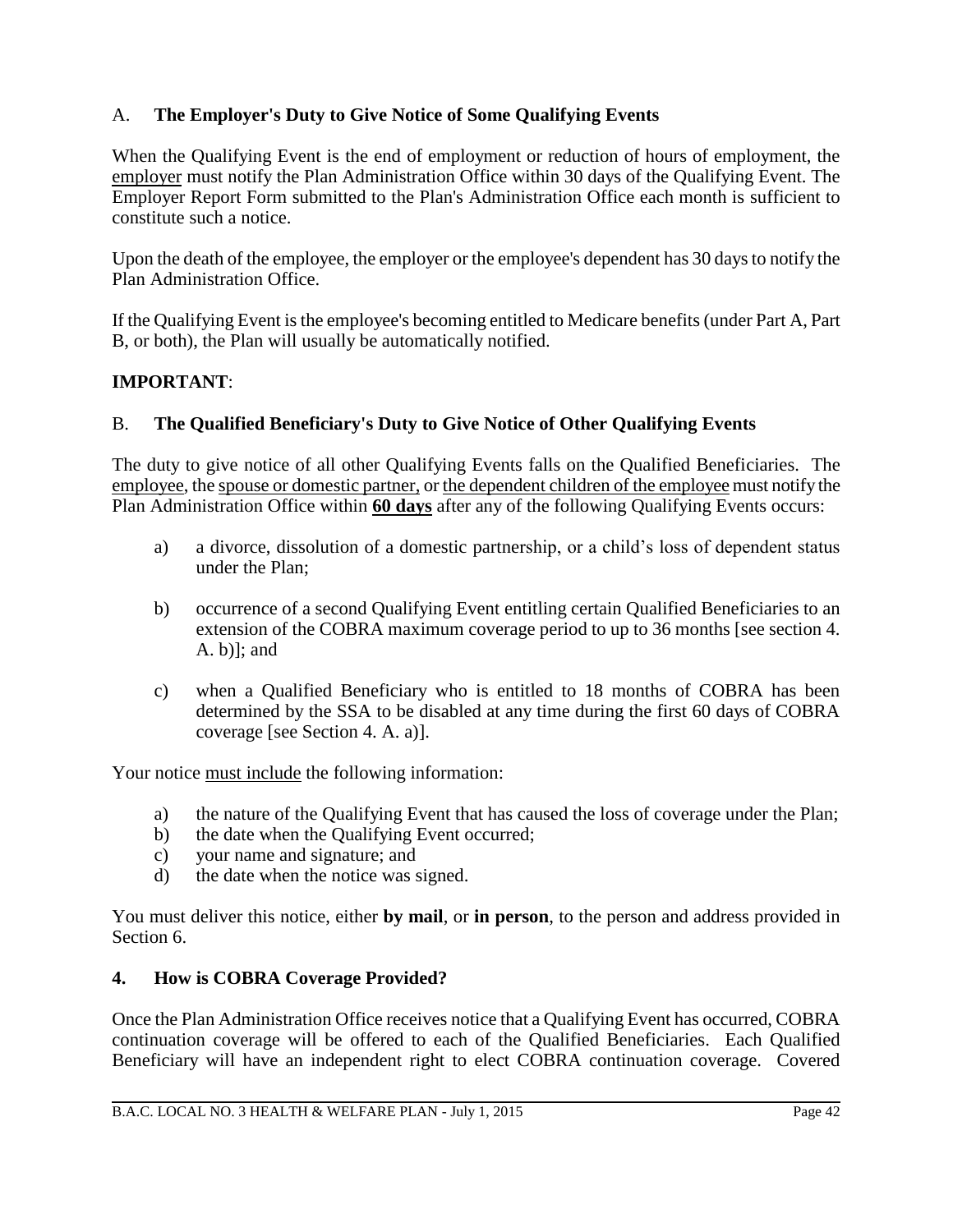## A. **The Employer's Duty to Give Notice of Some Qualifying Events**

When the Qualifying Event is the end of employment or reduction of hours of employment, the employer must notify the Plan Administration Office within 30 days of the Qualifying Event. The Employer Report Form submitted to the Plan's Administration Office each month is sufficient to constitute such a notice.

Upon the death of the employee, the employer or the employee's dependent has 30 days to notify the Plan Administration Office.

If the Qualifying Event is the employee's becoming entitled to Medicare benefits (under Part A, Part B, or both), the Plan will usually be automatically notified.

## **IMPORTANT**:

## B. **The Qualified Beneficiary's Duty to Give Notice of Other Qualifying Events**

The duty to give notice of all other Qualifying Events falls on the Qualified Beneficiaries. The employee, the spouse or domestic partner, or the dependent children of the employee must notify the Plan Administration Office within **60 days** after any of the following Qualifying Events occurs:

- a) a divorce, dissolution of a domestic partnership, or a child's loss of dependent status under the Plan;
- b) occurrence of a second Qualifying Event entitling certain Qualified Beneficiaries to an extension of the COBRA maximum coverage period to up to 36 months [see section 4. A. b)]; and
- c) when a Qualified Beneficiary who is entitled to 18 months of COBRA has been determined by the SSA to be disabled at any time during the first 60 days of COBRA coverage [see Section 4. A. a)].

Your notice must include the following information:

- a) the nature of the Qualifying Event that has caused the loss of coverage under the Plan;
- b) the date when the Qualifying Event occurred:
- c) your name and signature; and
- d) the date when the notice was signed.

You must deliver this notice, either **by mail**, or **in person**, to the person and address provided in Section 6.

#### **4. How is COBRA Coverage Provided?**

Once the Plan Administration Office receives notice that a Qualifying Event has occurred, COBRA continuation coverage will be offered to each of the Qualified Beneficiaries. Each Qualified Beneficiary will have an independent right to elect COBRA continuation coverage. Covered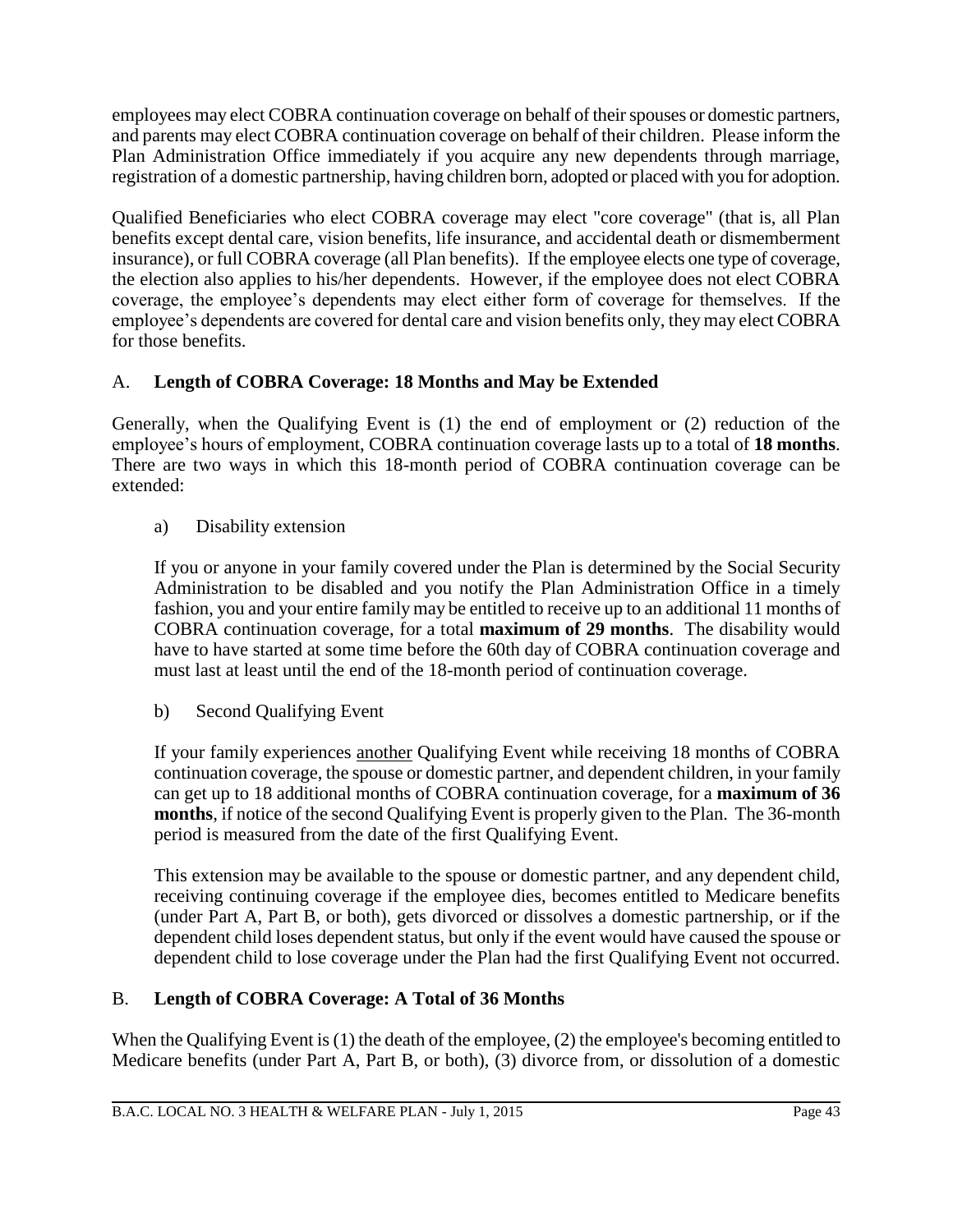employees may elect COBRA continuation coverage on behalf of their spouses or domestic partners, and parents may elect COBRA continuation coverage on behalf of their children. Please inform the Plan Administration Office immediately if you acquire any new dependents through marriage, registration of a domestic partnership, having children born, adopted or placed with you for adoption.

Qualified Beneficiaries who elect COBRA coverage may elect "core coverage" (that is, all Plan benefits except dental care, vision benefits, life insurance, and accidental death or dismemberment insurance), or full COBRA coverage (all Plan benefits). If the employee elects one type of coverage, the election also applies to his/her dependents. However, if the employee does not elect COBRA coverage, the employee's dependents may elect either form of coverage for themselves. If the employee's dependents are covered for dental care and vision benefits only, they may elect COBRA for those benefits.

# A. **Length of COBRA Coverage: 18 Months and May be Extended**

Generally, when the Qualifying Event is (1) the end of employment or (2) reduction of the employee's hours of employment, COBRA continuation coverage lasts up to a total of **18 months**. There are two ways in which this 18-month period of COBRA continuation coverage can be extended:

a) Disability extension

If you or anyone in your family covered under the Plan is determined by the Social Security Administration to be disabled and you notify the Plan Administration Office in a timely fashion, you and your entire family may be entitled to receive up to an additional 11 months of COBRA continuation coverage, for a total **maximum of 29 months**. The disability would have to have started at some time before the 60th day of COBRA continuation coverage and must last at least until the end of the 18-month period of continuation coverage.

b) Second Qualifying Event

If your family experiences another Qualifying Event while receiving 18 months of COBRA continuation coverage, the spouse or domestic partner, and dependent children, in your family can get up to 18 additional months of COBRA continuation coverage, for a **maximum of 36 months**, if notice of the second Qualifying Event is properly given to the Plan. The 36-month period is measured from the date of the first Qualifying Event.

This extension may be available to the spouse or domestic partner, and any dependent child, receiving continuing coverage if the employee dies, becomes entitled to Medicare benefits (under Part A, Part B, or both), gets divorced or dissolves a domestic partnership, or if the dependent child loses dependent status, but only if the event would have caused the spouse or dependent child to lose coverage under the Plan had the first Qualifying Event not occurred.

# B. **Length of COBRA Coverage: A Total of 36 Months**

When the Qualifying Event is (1) the death of the employee, (2) the employee's becoming entitled to Medicare benefits (under Part A, Part B, or both), (3) divorce from, or dissolution of a domestic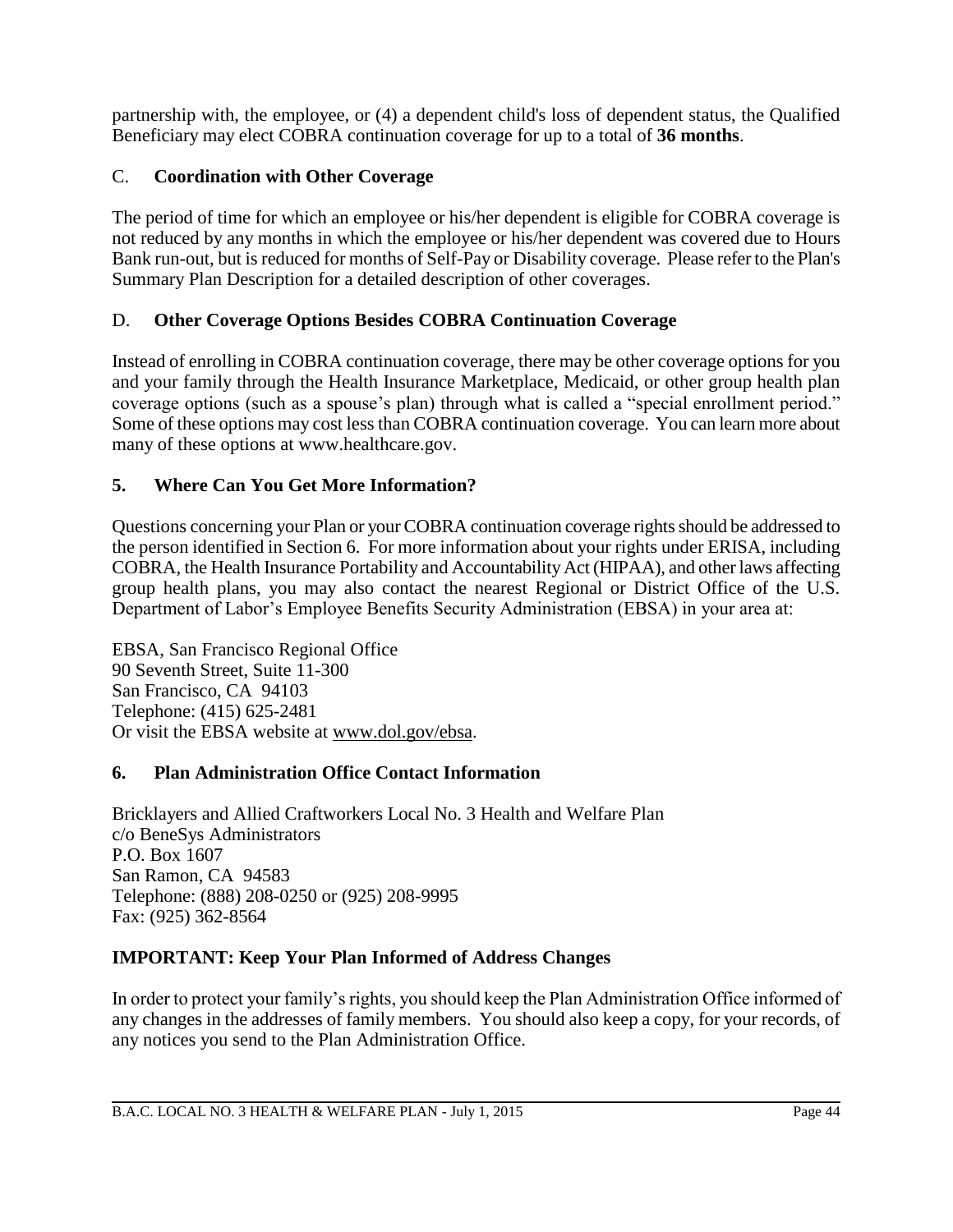partnership with, the employee, or (4) a dependent child's loss of dependent status, the Qualified Beneficiary may elect COBRA continuation coverage for up to a total of **36 months**.

# C. **Coordination with Other Coverage**

The period of time for which an employee or his/her dependent is eligible for COBRA coverage is not reduced by any months in which the employee or his/her dependent was covered due to Hours Bank run-out, but is reduced for months of Self-Pay or Disability coverage. Please refer to the Plan's Summary Plan Description for a detailed description of other coverages.

# D. **Other Coverage Options Besides COBRA Continuation Coverage**

Instead of enrolling in COBRA continuation coverage, there may be other coverage options for you and your family through the Health Insurance Marketplace, Medicaid, or other group health plan coverage options (such as a spouse's plan) through what is called a "special enrollment period." Some of these options may cost less than COBRA continuation coverage. You can learn more about many of these options at www.healthcare.gov.

# **5. Where Can You Get More Information?**

Questions concerning your Plan or your COBRA continuation coverage rights should be addressed to the person identified in Section 6. For more information about your rights under ERISA, including COBRA, the Health Insurance Portability and Accountability Act (HIPAA), and other laws affecting group health plans, you may also contact the nearest Regional or District Office of the U.S. Department of Labor's Employee Benefits Security Administration (EBSA) in your area at:

EBSA, San Francisco Regional Office 90 Seventh Street, Suite 11-300 San Francisco, CA 94103 Telephone: (415) 625-2481 Or visit the EBSA website at www.dol.gov/ebsa.

## **6. Plan Administration Office Contact Information**

Bricklayers and Allied Craftworkers Local No. 3 Health and Welfare Plan c/o BeneSys Administrators P.O. Box 1607 San Ramon, CA 94583 Telephone: (888) 208-0250 or (925) 208-9995 Fax: (925) 362-8564

## **IMPORTANT: Keep Your Plan Informed of Address Changes**

In order to protect your family's rights, you should keep the Plan Administration Office informed of any changes in the addresses of family members.You should also keep a copy, for your records, of any notices you send to the Plan Administration Office.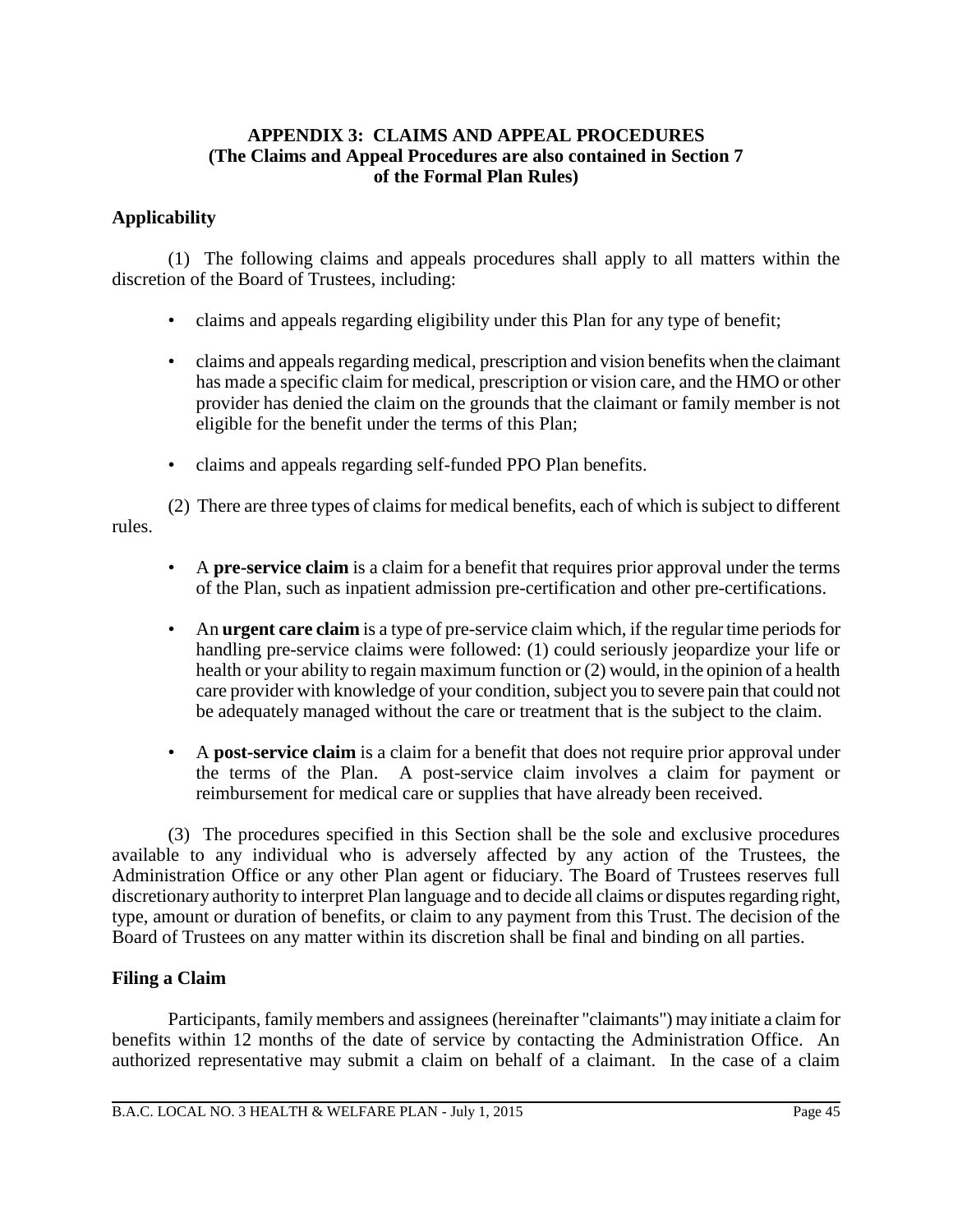## **APPENDIX 3: CLAIMS AND APPEAL PROCEDURES (The Claims and Appeal Procedures are also contained in Section 7 of the Formal Plan Rules)**

## **Applicability**

(1) The following claims and appeals procedures shall apply to all matters within the discretion of the Board of Trustees, including:

- claims and appeals regarding eligibility under this Plan for any type of benefit;
- claims and appeals regarding medical, prescription and vision benefits when the claimant has made a specific claim for medical, prescription or vision care, and the HMO or other provider has denied the claim on the grounds that the claimant or family member is not eligible for the benefit under the terms of this Plan;
- claims and appeals regarding self-funded PPO Plan benefits.

(2) There are three types of claims for medical benefits, each of which is subject to different rules.

- A **pre-service claim** is a claim for a benefit that requires prior approval under the terms of the Plan, such as inpatient admission pre-certification and other pre-certifications.
- An **urgent care claim** is a type of pre-service claim which, if the regular time periods for handling pre-service claims were followed: (1) could seriously jeopardize your life or health or your ability to regain maximum function or (2) would, in the opinion of a health care provider with knowledge of your condition, subject you to severe pain that could not be adequately managed without the care or treatment that is the subject to the claim.
- A **post-service claim** is a claim for a benefit that does not require prior approval under the terms of the Plan. A post-service claim involves a claim for payment or reimbursement for medical care or supplies that have already been received.

(3) The procedures specified in this Section shall be the sole and exclusive procedures available to any individual who is adversely affected by any action of the Trustees, the Administration Office or any other Plan agent or fiduciary. The Board of Trustees reserves full discretionary authority to interpret Plan language and to decide all claims or disputes regarding right, type, amount or duration of benefits, or claim to any payment from this Trust. The decision of the Board of Trustees on any matter within its discretion shall be final and binding on all parties.

## **Filing a Claim**

Participants, family members and assignees (hereinafter "claimants") may initiate a claim for benefits within 12 months of the date of service by contacting the Administration Office. An authorized representative may submit a claim on behalf of a claimant. In the case of a claim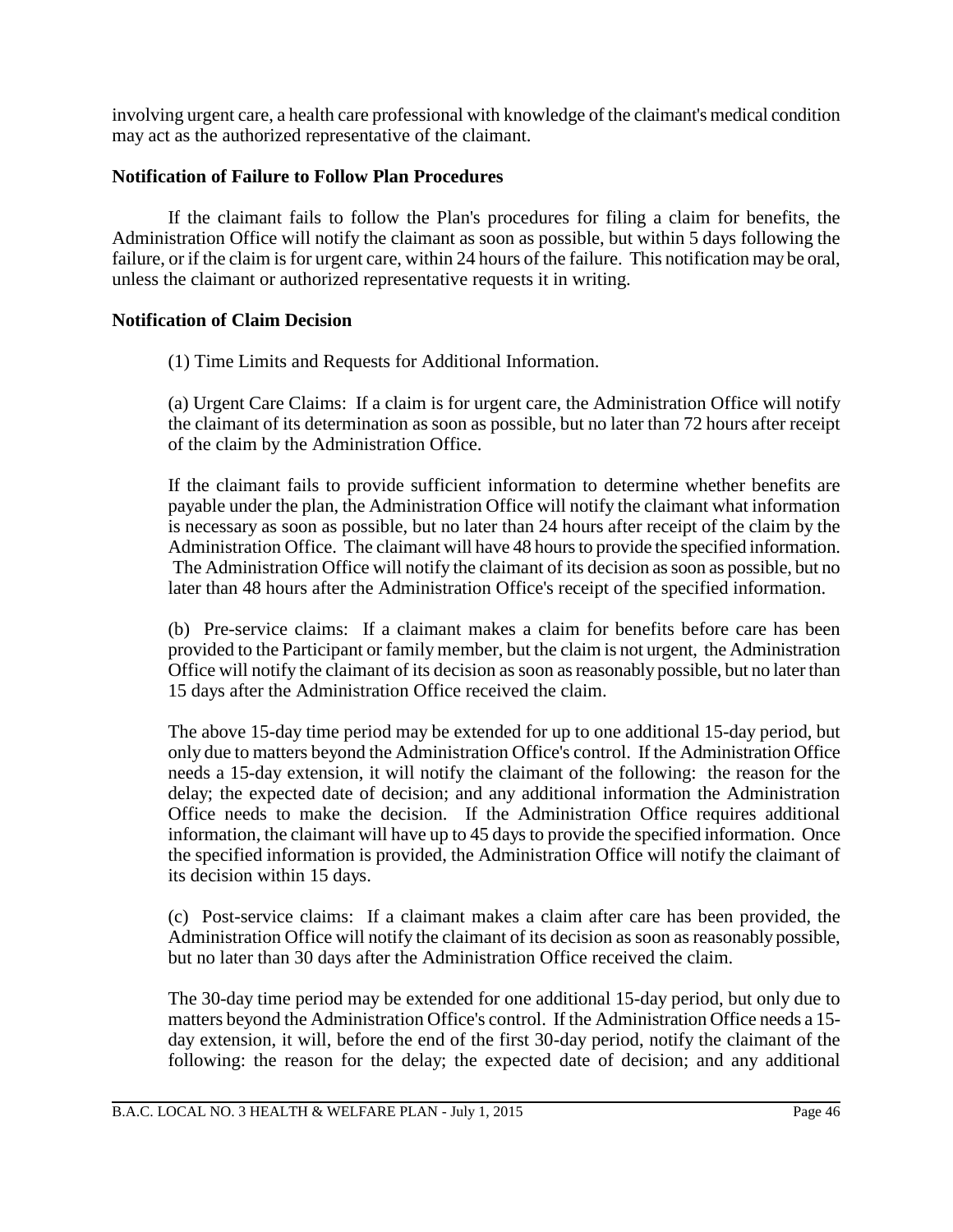involving urgent care, a health care professional with knowledge of the claimant's medical condition may act as the authorized representative of the claimant.

## **Notification of Failure to Follow Plan Procedures**

If the claimant fails to follow the Plan's procedures for filing a claim for benefits, the Administration Office will notify the claimant as soon as possible, but within 5 days following the failure, or if the claim is for urgent care, within 24 hours of the failure. This notification may be oral, unless the claimant or authorized representative requests it in writing.

#### **Notification of Claim Decision**

(1) Time Limits and Requests for Additional Information.

(a) Urgent Care Claims: If a claim is for urgent care, the Administration Office will notify the claimant of its determination as soon as possible, but no later than 72 hours after receipt of the claim by the Administration Office.

If the claimant fails to provide sufficient information to determine whether benefits are payable under the plan, the Administration Office will notify the claimant what information is necessary as soon as possible, but no later than 24 hours after receipt of the claim by the Administration Office. The claimant will have 48 hours to provide the specified information. The Administration Office will notify the claimant of its decision as soon as possible, but no later than 48 hours after the Administration Office's receipt of the specified information.

(b) Pre-service claims: If a claimant makes a claim for benefits before care has been provided to the Participant or family member, but the claim is not urgent, the Administration Office will notify the claimant of its decision as soon as reasonably possible, but no later than 15 days after the Administration Office received the claim.

The above 15-day time period may be extended for up to one additional 15-day period, but only due to matters beyond the Administration Office's control. If the Administration Office needs a 15-day extension, it will notify the claimant of the following: the reason for the delay; the expected date of decision; and any additional information the Administration Office needs to make the decision. If the Administration Office requires additional information, the claimant will have up to 45 days to provide the specified information. Once the specified information is provided, the Administration Office will notify the claimant of its decision within 15 days.

(c) Post-service claims: If a claimant makes a claim after care has been provided, the Administration Office will notify the claimant of its decision as soon as reasonably possible, but no later than 30 days after the Administration Office received the claim.

The 30-day time period may be extended for one additional 15-day period, but only due to matters beyond the Administration Office's control. If the Administration Office needs a 15 day extension, it will, before the end of the first 30-day period, notify the claimant of the following: the reason for the delay; the expected date of decision; and any additional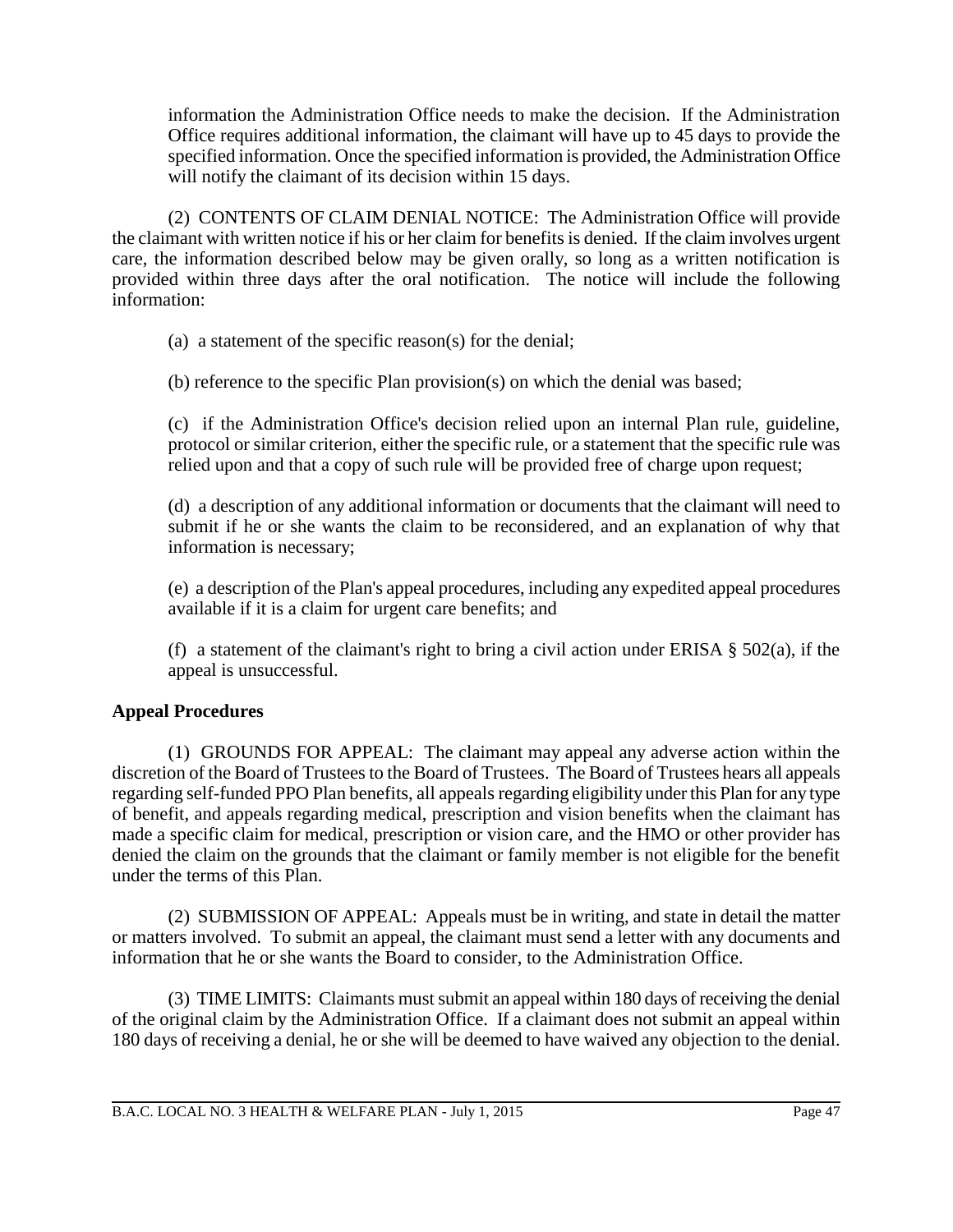information the Administration Office needs to make the decision. If the Administration Office requires additional information, the claimant will have up to 45 days to provide the specified information. Once the specified information is provided, the Administration Office will notify the claimant of its decision within 15 days.

(2) CONTENTS OF CLAIM DENIAL NOTICE: The Administration Office will provide the claimant with written notice if his or her claim for benefits is denied. If the claim involves urgent care, the information described below may be given orally, so long as a written notification is provided within three days after the oral notification. The notice will include the following information:

(a) a statement of the specific reason(s) for the denial;

(b) reference to the specific Plan provision(s) on which the denial was based;

(c) if the Administration Office's decision relied upon an internal Plan rule, guideline, protocol or similar criterion, either the specific rule, or a statement that the specific rule was relied upon and that a copy of such rule will be provided free of charge upon request;

(d) a description of any additional information or documents that the claimant will need to submit if he or she wants the claim to be reconsidered, and an explanation of why that information is necessary;

(e) a description of the Plan's appeal procedures, including any expedited appeal procedures available if it is a claim for urgent care benefits; and

(f) a statement of the claimant's right to bring a civil action under ERISA  $\S$  502(a), if the appeal is unsuccessful.

## **Appeal Procedures**

(1) GROUNDS FOR APPEAL: The claimant may appeal any adverse action within the discretion of the Board of Trustees to the Board of Trustees. The Board of Trustees hears all appeals regarding self-funded PPO Plan benefits, all appeals regarding eligibility under this Plan for any type of benefit, and appeals regarding medical, prescription and vision benefits when the claimant has made a specific claim for medical, prescription or vision care, and the HMO or other provider has denied the claim on the grounds that the claimant or family member is not eligible for the benefit under the terms of this Plan.

(2) SUBMISSION OF APPEAL: Appeals must be in writing, and state in detail the matter or matters involved. To submit an appeal, the claimant must send a letter with any documents and information that he or she wants the Board to consider, to the Administration Office.

(3) TIME LIMITS: Claimants must submit an appeal within 180 days of receiving the denial of the original claim by the Administration Office. If a claimant does not submit an appeal within 180 days of receiving a denial, he or she will be deemed to have waived any objection to the denial.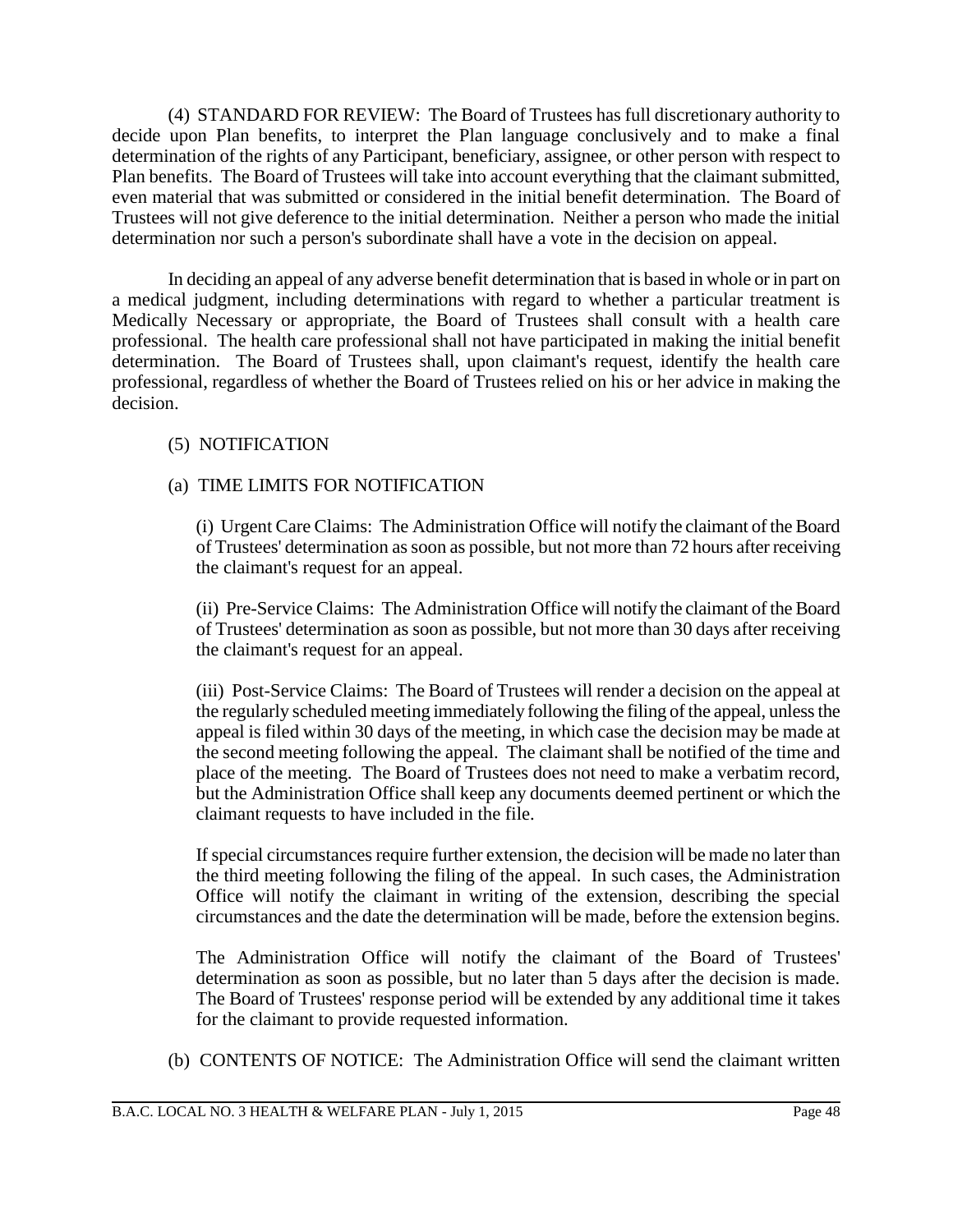(4) STANDARD FOR REVIEW: The Board of Trustees has full discretionary authority to decide upon Plan benefits, to interpret the Plan language conclusively and to make a final determination of the rights of any Participant, beneficiary, assignee, or other person with respect to Plan benefits. The Board of Trustees will take into account everything that the claimant submitted, even material that was submitted or considered in the initial benefit determination. The Board of Trustees will not give deference to the initial determination. Neither a person who made the initial determination nor such a person's subordinate shall have a vote in the decision on appeal.

In deciding an appeal of any adverse benefit determination that is based in whole or in part on a medical judgment, including determinations with regard to whether a particular treatment is Medically Necessary or appropriate, the Board of Trustees shall consult with a health care professional. The health care professional shall not have participated in making the initial benefit determination. The Board of Trustees shall, upon claimant's request, identify the health care professional, regardless of whether the Board of Trustees relied on his or her advice in making the decision.

### (5) NOTIFICATION

### (a) TIME LIMITS FOR NOTIFICATION

(i) Urgent Care Claims: The Administration Office will notify the claimant of the Board of Trustees' determination as soon as possible, but not more than 72 hours after receiving the claimant's request for an appeal.

(ii) Pre-Service Claims: The Administration Office will notify the claimant of the Board of Trustees' determination as soon as possible, but not more than 30 days after receiving the claimant's request for an appeal.

(iii) Post-Service Claims: The Board of Trustees will render a decision on the appeal at the regularly scheduled meeting immediately following the filing of the appeal, unless the appeal is filed within 30 days of the meeting, in which case the decision may be made at the second meeting following the appeal. The claimant shall be notified of the time and place of the meeting. The Board of Trustees does not need to make a verbatim record, but the Administration Office shall keep any documents deemed pertinent or which the claimant requests to have included in the file.

If special circumstances require further extension, the decision will be made no later than the third meeting following the filing of the appeal. In such cases, the Administration Office will notify the claimant in writing of the extension, describing the special circumstances and the date the determination will be made, before the extension begins.

The Administration Office will notify the claimant of the Board of Trustees' determination as soon as possible, but no later than 5 days after the decision is made. The Board of Trustees' response period will be extended by any additional time it takes for the claimant to provide requested information.

(b) CONTENTS OF NOTICE: The Administration Office will send the claimant written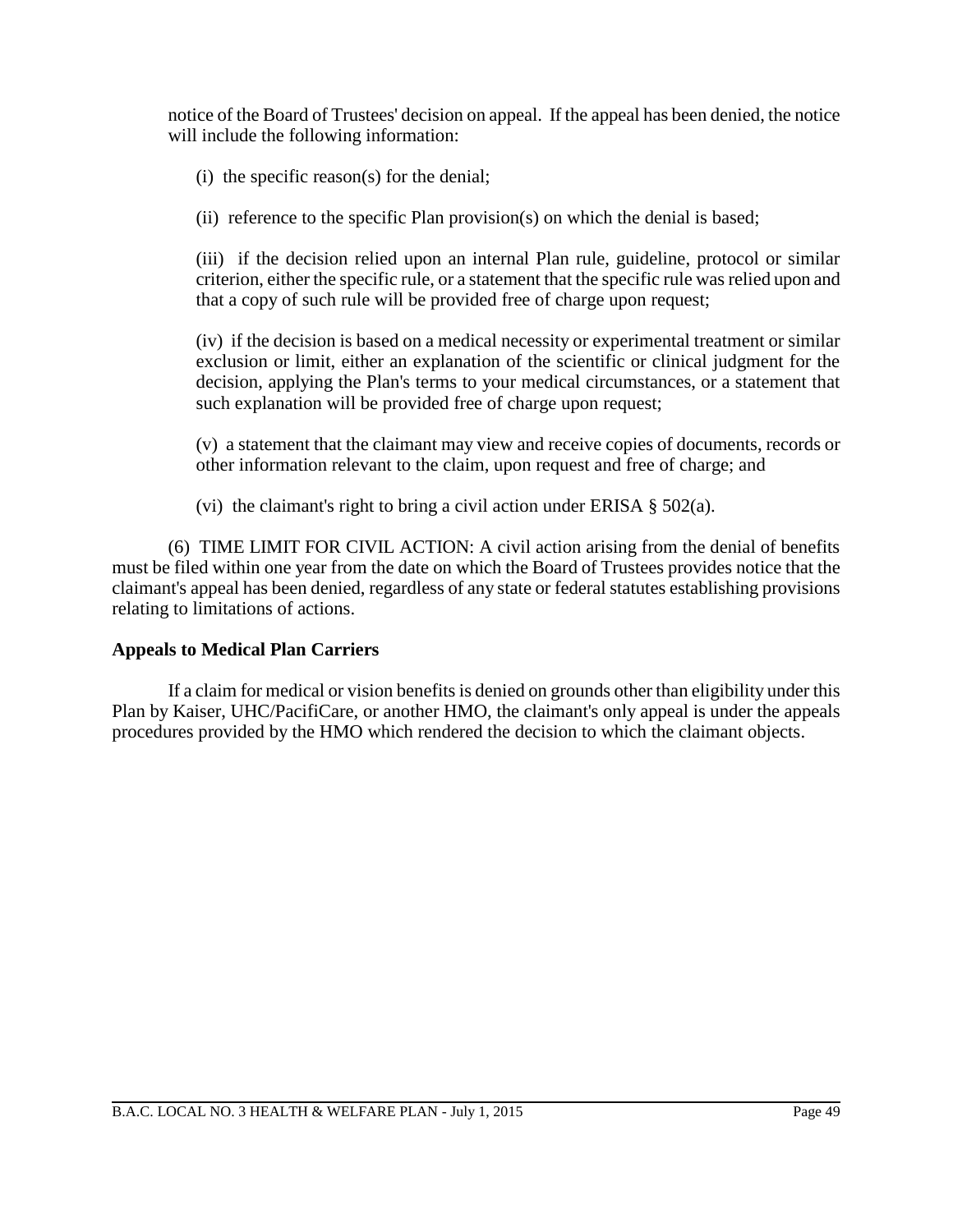notice of the Board of Trustees' decision on appeal. If the appeal has been denied, the notice will include the following information:

(i) the specific reason(s) for the denial;

(ii) reference to the specific Plan provision(s) on which the denial is based;

(iii) if the decision relied upon an internal Plan rule, guideline, protocol or similar criterion, either the specific rule, or a statement that the specific rule was relied upon and that a copy of such rule will be provided free of charge upon request;

(iv) if the decision is based on a medical necessity or experimental treatment or similar exclusion or limit, either an explanation of the scientific or clinical judgment for the decision, applying the Plan's terms to your medical circumstances, or a statement that such explanation will be provided free of charge upon request;

(v) a statement that the claimant may view and receive copies of documents, records or other information relevant to the claim, upon request and free of charge; and

(vi) the claimant's right to bring a civil action under ERISA  $\S$  502(a).

(6) TIME LIMIT FOR CIVIL ACTION: A civil action arising from the denial of benefits must be filed within one year from the date on which the Board of Trustees provides notice that the claimant's appeal has been denied, regardless of any state or federal statutes establishing provisions relating to limitations of actions.

## **Appeals to Medical Plan Carriers**

If a claim for medical or vision benefits is denied on grounds other than eligibility under this Plan by Kaiser, UHC/PacifiCare, or another HMO, the claimant's only appeal is under the appeals procedures provided by the HMO which rendered the decision to which the claimant objects.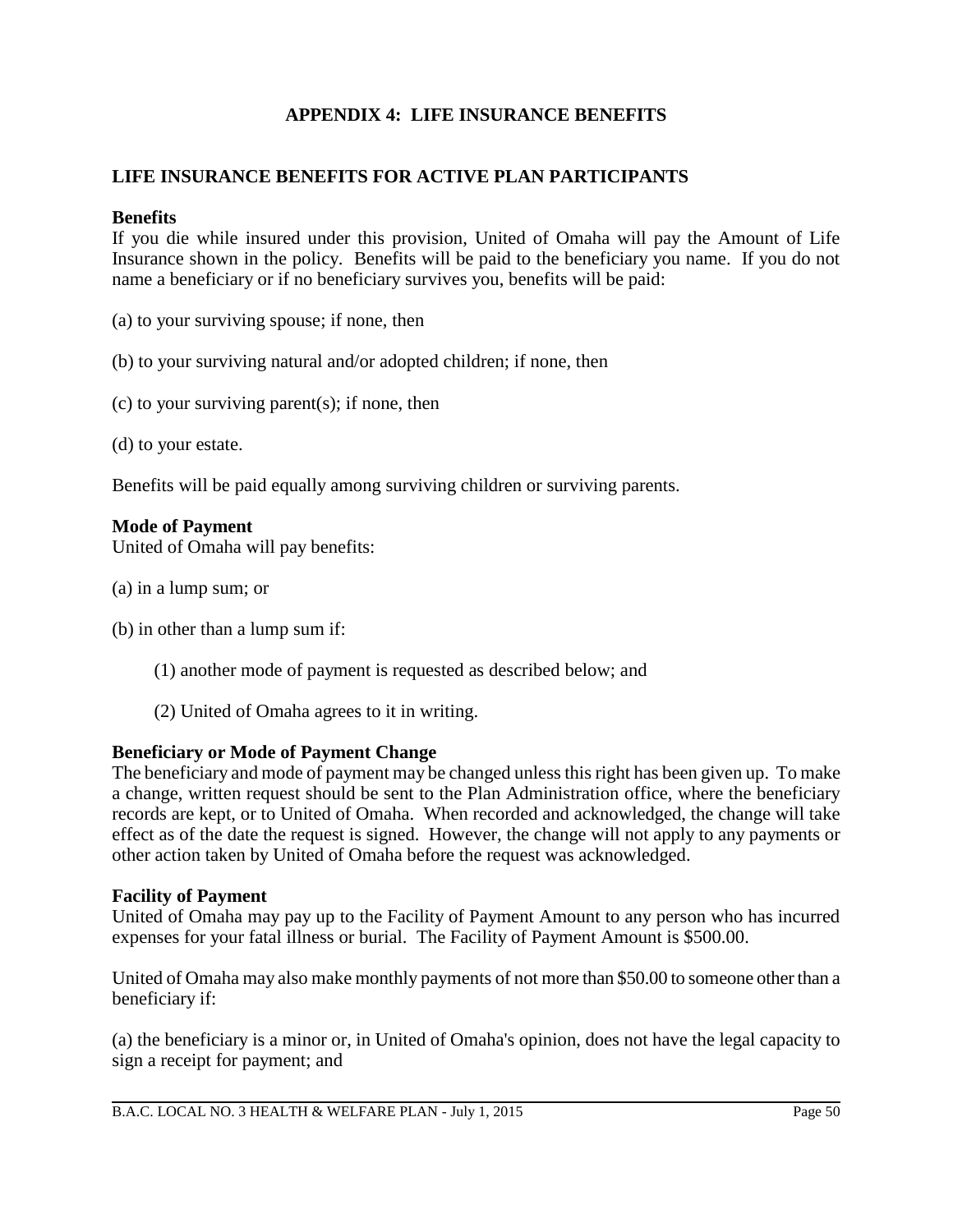## **APPENDIX 4: LIFE INSURANCE BENEFITS**

## **LIFE INSURANCE BENEFITS FOR ACTIVE PLAN PARTICIPANTS**

#### **Benefits**

If you die while insured under this provision, United of Omaha will pay the Amount of Life Insurance shown in the policy. Benefits will be paid to the beneficiary you name. If you do not name a beneficiary or if no beneficiary survives you, benefits will be paid:

(a) to your surviving spouse; if none, then

- (b) to your surviving natural and/or adopted children; if none, then
- (c) to your surviving parent(s); if none, then
- (d) to your estate.

Benefits will be paid equally among surviving children or surviving parents.

#### **Mode of Payment**

United of Omaha will pay benefits:

- (a) in a lump sum; or
- (b) in other than a lump sum if:
	- (1) another mode of payment is requested as described below; and
	- (2) United of Omaha agrees to it in writing.

#### **Beneficiary or Mode of Payment Change**

The beneficiary and mode of payment may be changed unless this right has been given up. To make a change, written request should be sent to the Plan Administration office, where the beneficiary records are kept, or to United of Omaha. When recorded and acknowledged, the change will take effect as of the date the request is signed. However, the change will not apply to any payments or other action taken by United of Omaha before the request was acknowledged.

#### **Facility of Payment**

United of Omaha may pay up to the Facility of Payment Amount to any person who has incurred expenses for your fatal illness or burial. The Facility of Payment Amount is \$500.00.

United of Omaha may also make monthly payments of not more than \$50.00 to someone other than a beneficiary if:

(a) the beneficiary is a minor or, in United of Omaha's opinion, does not have the legal capacity to sign a receipt for payment; and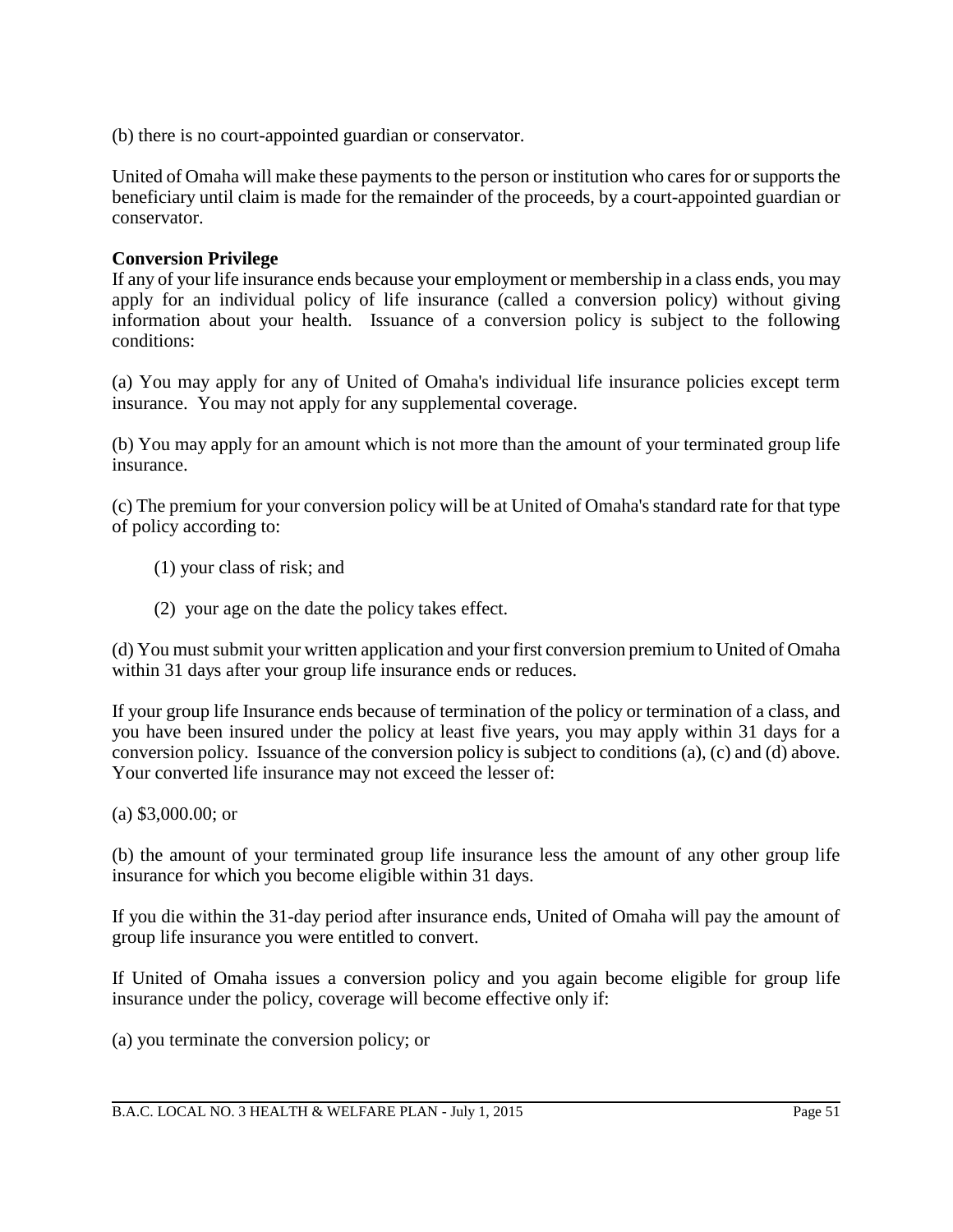(b) there is no court-appointed guardian or conservator.

United of Omaha will make these payments to the person or institution who cares for or supports the beneficiary until claim is made for the remainder of the proceeds, by a court-appointed guardian or conservator.

### **Conversion Privilege**

If any of your life insurance ends because your employment or membership in a class ends, you may apply for an individual policy of life insurance (called a conversion policy) without giving information about your health. Issuance of a conversion policy is subject to the following conditions:

(a) You may apply for any of United of Omaha's individual life insurance policies except term insurance. You may not apply for any supplemental coverage.

(b) You may apply for an amount which is not more than the amount of your terminated group life insurance.

(c) The premium for your conversion policy will be at United of Omaha's standard rate for that type of policy according to:

- (1) your class of risk; and
- (2) your age on the date the policy takes effect.

(d) You must submit your written application and your first conversion premium to United of Omaha within 31 days after your group life insurance ends or reduces.

If your group life Insurance ends because of termination of the policy or termination of a class, and you have been insured under the policy at least five years, you may apply within 31 days for a conversion policy. Issuance of the conversion policy is subject to conditions (a), (c) and (d) above. Your converted life insurance may not exceed the lesser of:

(a) \$3,000.00; or

(b) the amount of your terminated group life insurance less the amount of any other group life insurance for which you become eligible within 31 days.

If you die within the 31-day period after insurance ends, United of Omaha will pay the amount of group life insurance you were entitled to convert.

If United of Omaha issues a conversion policy and you again become eligible for group life insurance under the policy, coverage will become effective only if:

(a) you terminate the conversion policy; or